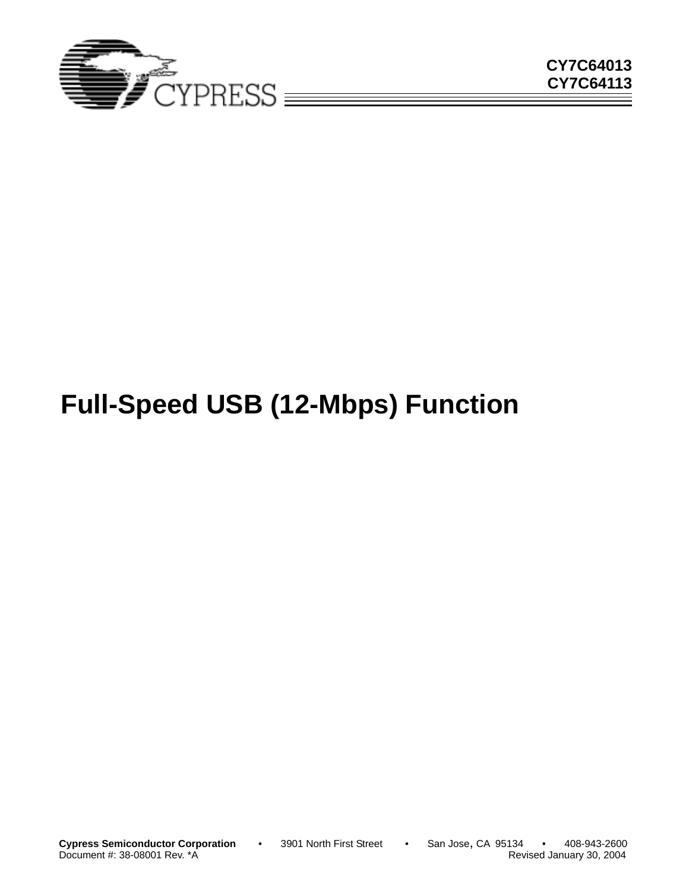

# **Full-Speed USB (12-Mbps) Function**

Document #: 38-08001 Rev. \*A

**Cypress Semiconductor Corporation** • 3901 North First Street • San Jose, CA 95134 • 408-943-2600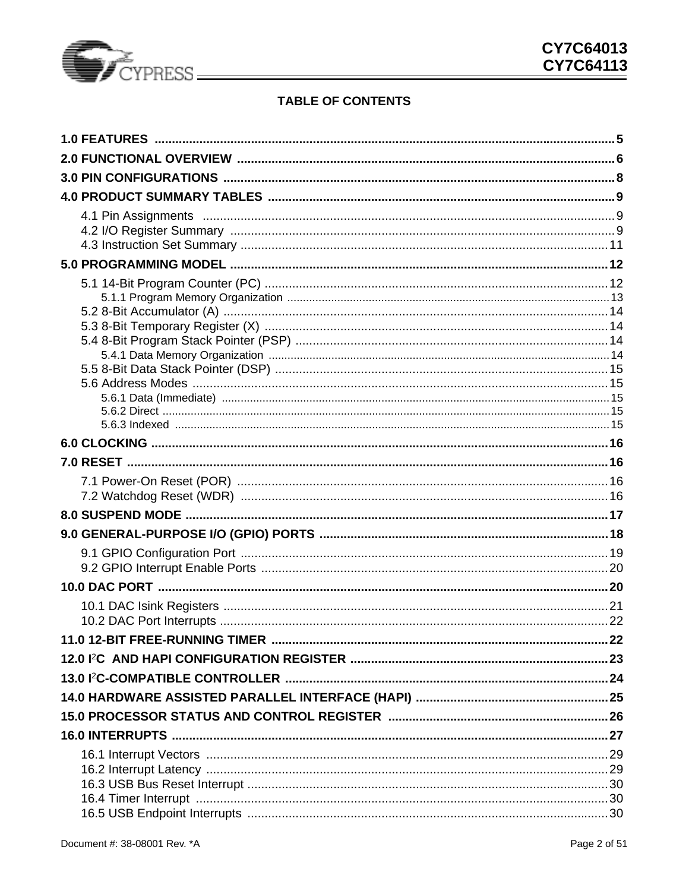

## **TABLE OF CONTENTS**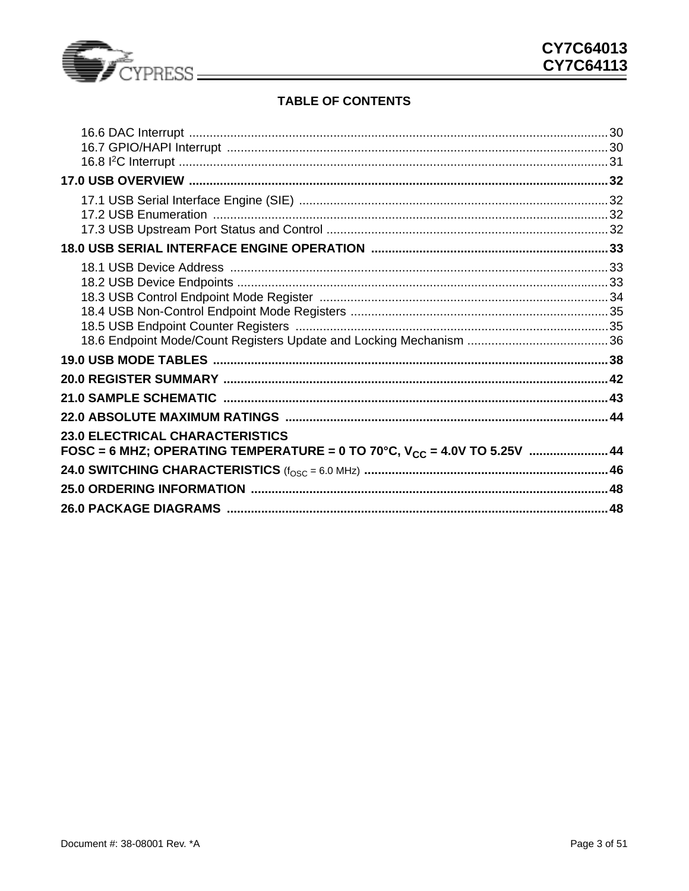

## **TABLE OF CONTENTS**

| <b>23.0 ELECTRICAL CHARACTERISTICS</b>                                        |  |
|-------------------------------------------------------------------------------|--|
| FOSC = 6 MHZ; OPERATING TEMPERATURE = 0 TO 70°C, $V_{CC}$ = 4.0V TO 5.25V  44 |  |
|                                                                               |  |
|                                                                               |  |
|                                                                               |  |
|                                                                               |  |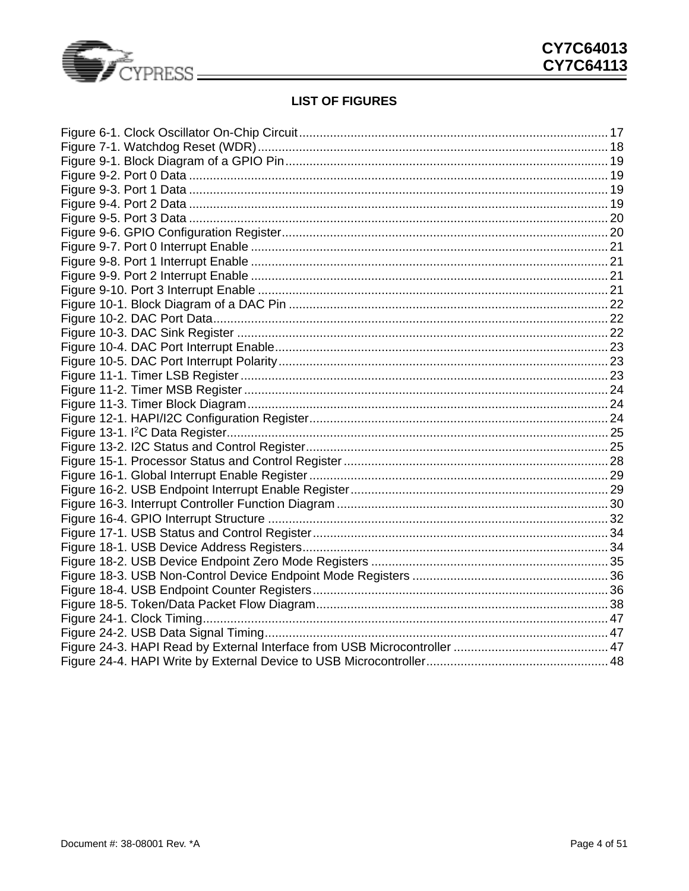

## **LIST OF FIGURES**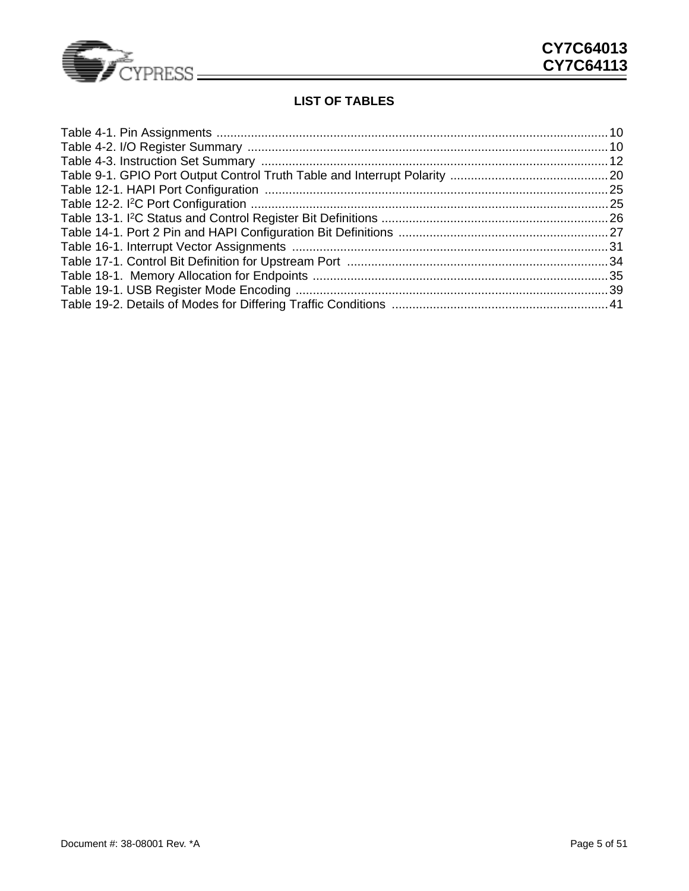

## **LIST OF TABLES**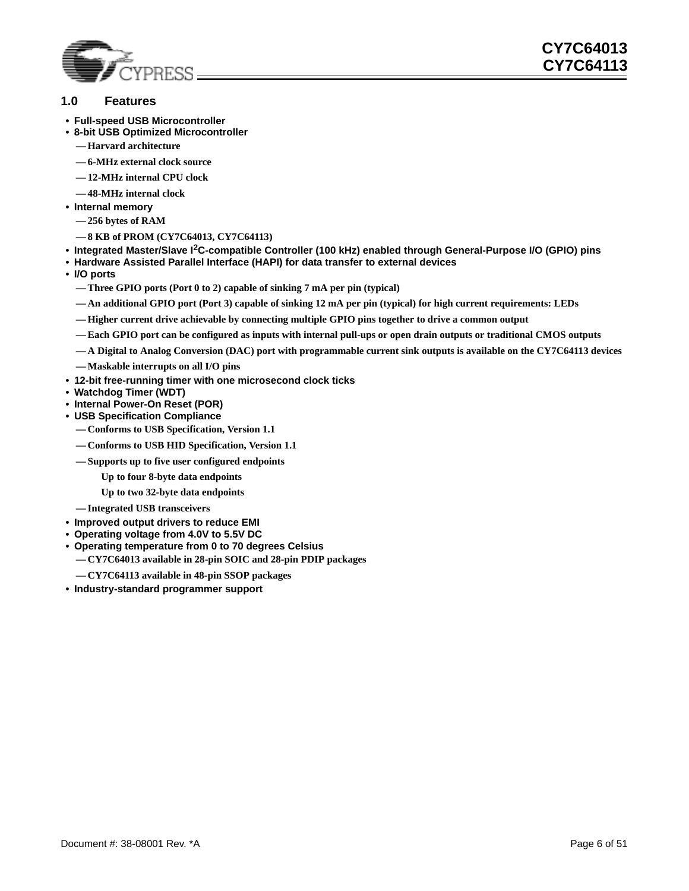

### <span id="page-5-0"></span>**1.0 Features**

- **Full-speed USB Microcontroller**
- **8-bit USB Optimized Microcontroller**
	- **Harvard architecture**
	- **6-MHz external clock source**
	- **12-MHz internal CPU clock**
	- **48-MHz internal clock**
- **Internal memory**
	- **256 bytes of RAM**
	- **8 KB of PROM (CY7C64013, CY7C64113)**
- **Integrated Master/Slave I2C-compatible Controller (100 kHz) enabled through General-Purpose I/O (GPIO) pins**
- **Hardware Assisted Parallel Interface (HAPI) for data transfer to external devices**
- **I/O ports**
	- **Three GPIO ports (Port 0 to 2) capable of sinking 7 mA per pin (typical)**
	- **An additional GPIO port (Port 3) capable of sinking 12 mA per pin (typical) for high current requirements: LEDs**
	- **Higher current drive achievable by connecting multiple GPIO pins together to drive a common output**
	- **Each GPIO port can be configured as inputs with internal pull-ups or open drain outputs or traditional CMOS outputs**
	- **A Digital to Analog Conversion (DAC) port with programmable current sink outputs is available on the CY7C64113 devices**
	- **Maskable interrupts on all I/O pins**
- **12-bit free-running timer with one microsecond clock ticks**
- **Watchdog Timer (WDT)**
- **Internal Power-On Reset (POR)**
- **USB Specification Compliance**
	- **Conforms to USB Specification, Version 1.1**
	- **Conforms to USB HID Specification, Version 1.1**
	- **Supports up to five user configured endpoints**
		- **Up to four 8-byte data endpoints**

**Up to two 32-byte data endpoints**

- **Integrated USB transceivers**
- **Improved output drivers to reduce EMI**
- **Operating voltage from 4.0V to 5.5V DC**
- **Operating temperature from 0 to 70 degrees Celsius**
	- **CY7C64013 available in 28-pin SOIC and 28-pin PDIP packages**
	- **CY7C64113 available in 48-pin SSOP packages**
- **Industry-standard programmer support**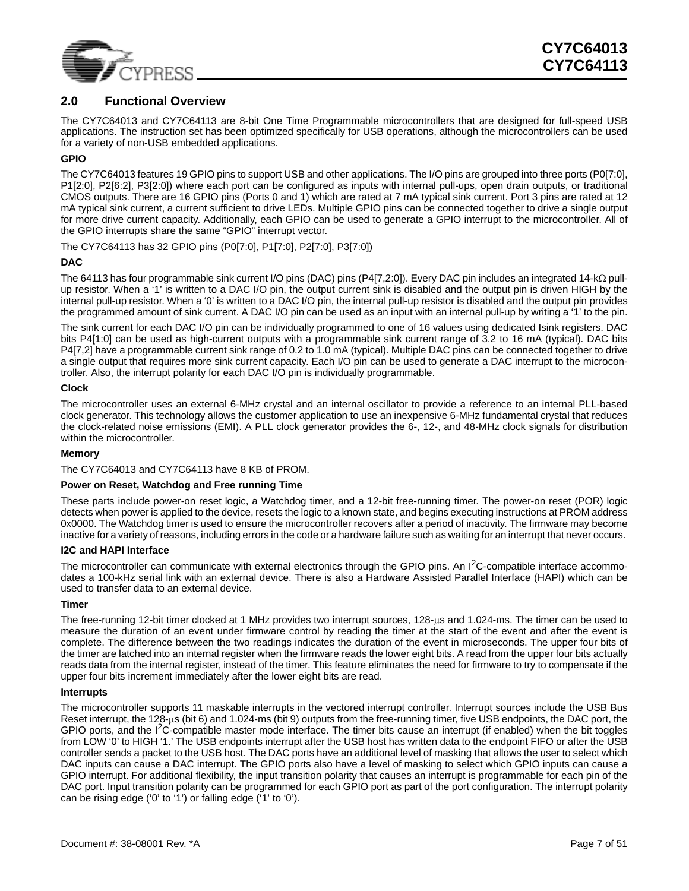

### <span id="page-6-0"></span>**2.0 Functional Overview**

The CY7C64013 and CY7C64113 are 8-bit One Time Programmable microcontrollers that are designed for full-speed USB applications. The instruction set has been optimized specifically for USB operations, although the microcontrollers can be used for a variety of non-USB embedded applications.

#### **GPIO**

The CY7C64013 features 19 GPIO pins to support USB and other applications. The I/O pins are grouped into three ports (P0[7:0], P1[2:0], P2[6:2], P3[2:0]) where each port can be configured as inputs with internal pull-ups, open drain outputs, or traditional CMOS outputs. There are 16 GPIO pins (Ports 0 and 1) which are rated at 7 mA typical sink current. Port 3 pins are rated at 12 mA typical sink current, a current sufficient to drive LEDs. Multiple GPIO pins can be connected together to drive a single output for more drive current capacity. Additionally, each GPIO can be used to generate a GPIO interrupt to the microcontroller. All of the GPIO interrupts share the same "GPIO" interrupt vector.

The CY7C64113 has 32 GPIO pins (P0[7:0], P1[7:0], P2[7:0], P3[7:0])

#### **DAC**

The 64113 has four programmable sink current I/O pins (DAC) pins (P4[7,2:0]). Every DAC pin includes an integrated 14-kΩ pullup resistor. When a '1' is written to a DAC I/O pin, the output current sink is disabled and the output pin is driven HIGH by the internal pull-up resistor. When a '0' is written to a DAC I/O pin, the internal pull-up resistor is disabled and the output pin provides the programmed amount of sink current. A DAC I/O pin can be used as an input with an internal pull-up by writing a '1' to the pin.

The sink current for each DAC I/O pin can be individually programmed to one of 16 values using dedicated Isink registers. DAC bits P4[1:0] can be used as high-current outputs with a programmable sink current range of 3.2 to 16 mA (typical). DAC bits P4[7,2] have a programmable current sink range of 0.2 to 1.0 mA (typical). Multiple DAC pins can be connected together to drive a single output that requires more sink current capacity. Each I/O pin can be used to generate a DAC interrupt to the microcontroller. Also, the interrupt polarity for each DAC I/O pin is individually programmable.

#### **Clock**

The microcontroller uses an external 6-MHz crystal and an internal oscillator to provide a reference to an internal PLL-based clock generator. This technology allows the customer application to use an inexpensive 6-MHz fundamental crystal that reduces the clock-related noise emissions (EMI). A PLL clock generator provides the 6-, 12-, and 48-MHz clock signals for distribution within the microcontroller.

#### **Memory**

The CY7C64013 and CY7C64113 have 8 KB of PROM.

#### **Power on Reset, Watchdog and Free running Time**

These parts include power-on reset logic, a Watchdog timer, and a 12-bit free-running timer. The power-on reset (POR) logic detects when power is applied to the device, resets the logic to a known state, and begins executing instructions at PROM address 0x0000. The Watchdog timer is used to ensure the microcontroller recovers after a period of inactivity. The firmware may become inactive for a variety of reasons, including errors in the code or a hardware failure such as waiting for an interrupt that never occurs.

#### **I2C and HAPI Interface**

The microcontroller can communicate with external electronics through the GPIO pins. An I<sup>2</sup>C-compatible interface accommodates a 100-kHz serial link with an external device. There is also a Hardware Assisted Parallel Interface (HAPI) which can be used to transfer data to an external device.

#### **Timer**

The free-running 12-bit timer clocked at 1 MHz provides two interrupt sources, 128-µs and 1.024-ms. The timer can be used to measure the duration of an event under firmware control by reading the timer at the start of the event and after the event is complete. The difference between the two readings indicates the duration of the event in microseconds. The upper four bits of the timer are latched into an internal register when the firmware reads the lower eight bits. A read from the upper four bits actually reads data from the internal register, instead of the timer. This feature eliminates the need for firmware to try to compensate if the upper four bits increment immediately after the lower eight bits are read.

#### **Interrupts**

The microcontroller supports 11 maskable interrupts in the vectored interrupt controller. Interrupt sources include the USB Bus Reset interrupt, the 128-µs (bit 6) and 1.024-ms (bit 9) outputs from the free-running timer, five USB endpoints, the DAC port, the GPIO ports, and the  $I^2C$ -compatible master mode interface. The timer bits cause an interrupt (if enabled) when the bit toggles from LOW '0' to HIGH '1.' The USB endpoints interrupt after the USB host has written data to the endpoint FIFO or after the USB controller sends a packet to the USB host. The DAC ports have an additional level of masking that allows the user to select which DAC inputs can cause a DAC interrupt. The GPIO ports also have a level of masking to select which GPIO inputs can cause a GPIO interrupt. For additional flexibility, the input transition polarity that causes an interrupt is programmable for each pin of the DAC port. Input transition polarity can be programmed for each GPIO port as part of the port configuration. The interrupt polarity can be rising edge ('0' to '1') or falling edge ('1' to '0').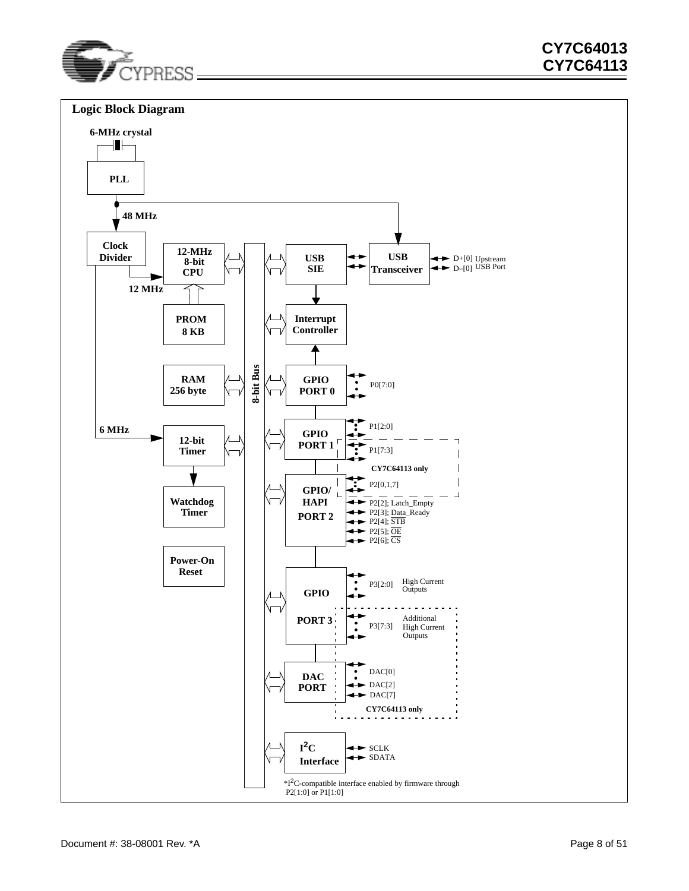

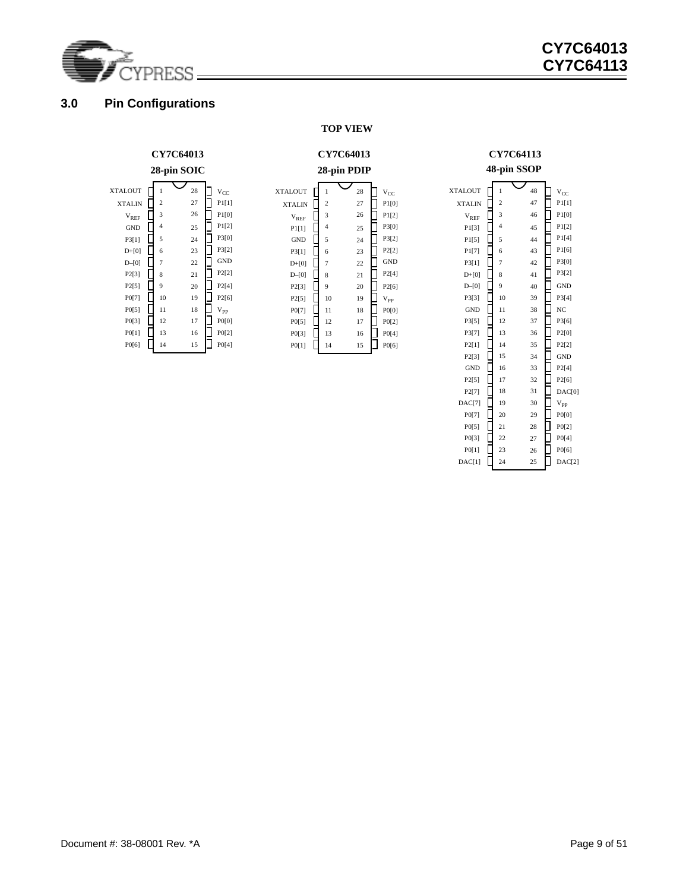

### <span id="page-8-0"></span>**3.0 Pin Configurations**

#### **TOP VIEW**

### **CY7C64013**

#### **28-pin PDIP**

XTALIN

XTALOUT

 $\rm{V}_{\rm{REF}}$  $P1[1]$ GND  $\Box$  $P3[1]$  $D+[0]$  $D-[0]$  $P2[3]$ P2[5] P0[7] P0[5] P0[3] P0[1]

 $\Box$ 

 $\Box$ 

 $\Box$ 

 $\Box$ 다

 $\Box$ 

 $\Box$ 

10 8

15

17 16

19 18

21 20

23 22

25 24

26

28 27

 $\Box$  V<sub>CC</sub> **P1[0]**  $\Box$  P1[2] P3[0] P3[2] P2[2] GND  $P2[4]$ 

 $\Box$ 

口

口

▯

**P2[6]**  ${\rm V_{PP}}$ P0[0] P0[2] P0[4]  $\Box$  P0[6]

### **CY7C64113 48-pin SSOP**

| <b>XTALOUT</b> | 1  | 48 | $V_{CC}$           |
|----------------|----|----|--------------------|
| <b>XTALIN</b>  | 2  | 47 | P1[1]              |
| $V_{REF}$      | 3  | 46 | P1[0]              |
| P1[3]          | 4  | 45 | P1[2]              |
| P1[5]          | 5  | 44 | P1[4]              |
| P1[7]          | 6  | 43 | P <sub>1</sub> [6] |
| P3[1]          | 7  | 42 | P3[0]              |
| $D+[0]$        | 8  | 41 | P3[2]              |
| $D-[0]$        | 9  | 40 | <b>GND</b>         |
| P3[3]          | 10 | 39 | P3[4]              |
| <b>GND</b>     | 11 | 38 | NC                 |
| P3[5]          | 12 | 37 | P3[6]              |
| P3[7]          | 13 | 36 | P2[0]              |
| P2[1]          | 14 | 35 | P2[2]              |
| P2[3]          | 15 | 34 | <b>GND</b>         |
| <b>GND</b>     | 16 | 33 | P2[4]              |
| P2[5]          | 17 | 32 | P2[6]              |
| P2[7]          | 18 | 31 | DAC[0]             |
| DAC[7]         | 19 | 30 | $\rm V_{PP}$       |
| P0[7]          | 20 | 29 | P0[0]              |
| P0[5]          | 21 | 28 | P0[2]              |
| P0[3]          | 22 | 27 | P0[4]              |
| P0[1]          | 23 | 26 | P0[6]              |
| DAC[1]         | 24 | 25 | DAC[2]             |
|                |    |    |                    |

#### **28-pin SOIC** XTALOUT 1 28 ा  $\rm v_{cc}$ XTALIN 2 27 P1[1] 26  $V<sub>REF</sub>$  $\overline{L}$ 3 P1[0]  $\Box$  P1[2] GND  $\overline{1}$ 4 25  $\Box$  P3[0] P3[1] Д 5 24  $\left[\begin{array}{cc} P3[2] \end{array}\right]$  $D+[0]$ 23  $\Gamma$ 6 D–[0]  $\Box$ 7 22 口 GND P2[3]  $\Gamma$ 21  $\Box$ P2[2] 8 P2[5]  $\Gamma$ 9 20  $\Box$  P2[4]  $\Gamma$ P0[7] 19  $\Box$  P2[6] 10 P0[5]  $\begin{bmatrix} 1 \\ 1 \end{bmatrix}$ 11 18  $\Box$  V<sub>PP</sub> P0[3] 12 17  $\Box$  P0[0] Ē  $\Box$  P0[2] P0[1] 13 16 P0[6] Г 14 15  $\Box$  P0[4]

**CY7C64013**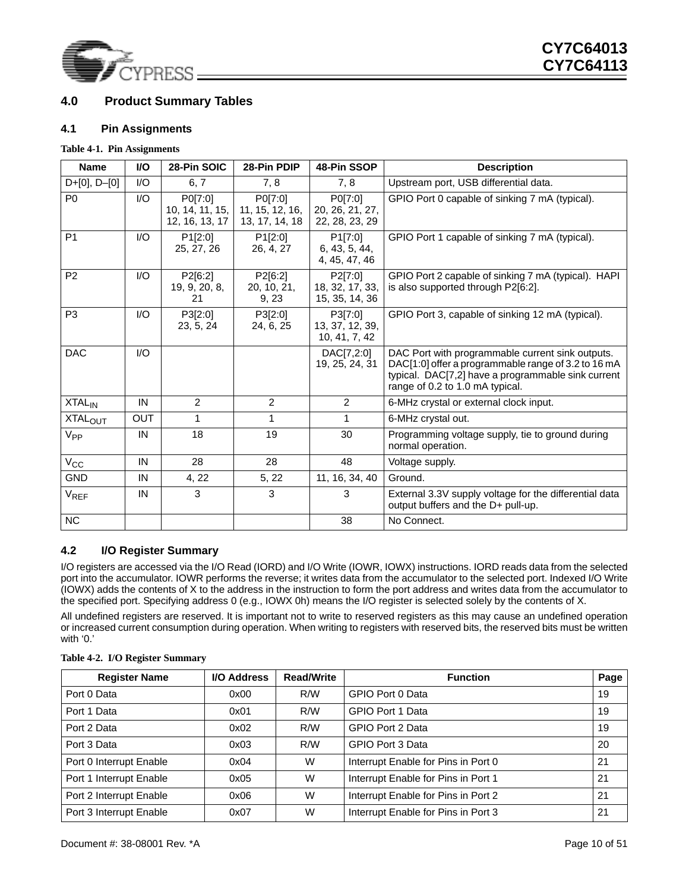

### <span id="page-9-0"></span>**4.0 Product Summary Tables**

#### <span id="page-9-1"></span>**4.1 Pin Assignments**

#### <span id="page-9-3"></span>**Table 4-1. Pin Assignments**

| <b>Name</b>              | <b>VO</b>               | 28-Pin SOIC                                  | 28-Pin PDIP                                  | 48-Pin SSOP                                  | <b>Description</b>                                                                                                                                                                               |
|--------------------------|-------------------------|----------------------------------------------|----------------------------------------------|----------------------------------------------|--------------------------------------------------------------------------------------------------------------------------------------------------------------------------------------------------|
| $D+[0], D-[0]$           | I/O                     | 6, 7                                         | 7, 8                                         | 7, 8                                         | Upstream port, USB differential data.                                                                                                                                                            |
| P <sub>0</sub>           | I/O                     | P0[7:0]<br>10, 14, 11, 15,<br>12, 16, 13, 17 | P0[7:0]<br>11, 15, 12, 16,<br>13, 17, 14, 18 | P0[7:0]<br>20, 26, 21, 27,<br>22, 28, 23, 29 | GPIO Port 0 capable of sinking 7 mA (typical).                                                                                                                                                   |
| P <sub>1</sub>           | 1/O                     | P1[2:0]<br>25, 27, 26                        | P1[2:0]<br>26, 4, 27                         | P1[7:0]<br>6, 43, 5, 44,<br>4, 45, 47, 46    | GPIO Port 1 capable of sinking 7 mA (typical).                                                                                                                                                   |
| P <sub>2</sub>           | $\mathsf{I}/\mathsf{O}$ | P2[6:2]<br>19, 9, 20, 8,<br>21               | P2[6:2]<br>20, 10, 21,<br>9, 23              | P2[7:0]<br>18, 32, 17, 33,<br>15, 35, 14, 36 | GPIO Port 2 capable of sinking 7 mA (typical). HAPI<br>is also supported through P2[6:2].                                                                                                        |
| P <sub>3</sub>           | $\mathsf{I}/\mathsf{O}$ | P3[2:0]<br>23, 5, 24                         | P3[2:0]<br>24, 6, 25                         | P3[7:0]<br>13, 37, 12, 39,<br>10, 41, 7, 42  | GPIO Port 3, capable of sinking 12 mA (typical).                                                                                                                                                 |
| <b>DAC</b>               | I/O                     |                                              |                                              | DAC[7,2:0]<br>19, 25, 24, 31                 | DAC Port with programmable current sink outputs.<br>DAC[1:0] offer a programmable range of 3.2 to 16 mA<br>typical. DAC[7,2] have a programmable sink current<br>range of 0.2 to 1.0 mA typical. |
| <b>XTAL<sub>IN</sub></b> | IN                      | $\overline{2}$                               | $\overline{2}$                               | 2                                            | 6-MHz crystal or external clock input.                                                                                                                                                           |
| XTAL <sub>OUT</sub>      | <b>OUT</b>              | 1                                            | 1                                            | $\mathbf{1}$                                 | 6-MHz crystal out.                                                                                                                                                                               |
| $V_{PP}$                 | IN                      | 18                                           | 19                                           | 30                                           | Programming voltage supply, tie to ground during<br>normal operation.                                                                                                                            |
| $V_{\rm CC}$             | IN                      | 28                                           | 28                                           | 48                                           | Voltage supply.                                                                                                                                                                                  |
| <b>GND</b>               | IN                      | 4, 22                                        | 5, 22                                        | 11, 16, 34, 40                               | Ground.                                                                                                                                                                                          |
| $V_{REF}$                | IN                      | 3                                            | 3                                            | 3                                            | External 3.3V supply voltage for the differential data<br>output buffers and the D+ pull-up.                                                                                                     |
| <b>NC</b>                |                         |                                              |                                              | 38                                           | No Connect.                                                                                                                                                                                      |

### <span id="page-9-2"></span>**4.2 I/O Register Summary**

I/O registers are accessed via the I/O Read (IORD) and I/O Write (IOWR, IOWX) instructions. IORD reads data from the selected port into the accumulator. IOWR performs the reverse; it writes data from the accumulator to the selected port. Indexed I/O Write (IOWX) adds the contents of X to the address in the instruction to form the port address and writes data from the accumulator to the specified port. Specifying address 0 (e.g., IOWX 0h) means the I/O register is selected solely by the contents of X.

All undefined registers are reserved. It is important not to write to reserved registers as this may cause an undefined operation or increased current consumption during operation. When writing to registers with reserved bits, the reserved bits must be written with '0.'

| <b>Register Name</b>    | I/O Address | <b>Read/Write</b> | <b>Function</b>                     | Page |
|-------------------------|-------------|-------------------|-------------------------------------|------|
| Port 0 Data             | 0x00        | R/W               | GPIO Port 0 Data                    | 19   |
| Port 1 Data             | 0x01        | R/W               | GPIO Port 1 Data                    | 19   |
| Port 2 Data             | 0x02        | R/W               | GPIO Port 2 Data                    | 19   |
| Port 3 Data             | 0x03        | R/W               | GPIO Port 3 Data                    | 20   |
| Port 0 Interrupt Enable | 0x04        | W                 | Interrupt Enable for Pins in Port 0 | 21   |
| Port 1 Interrupt Enable | 0x05        | W                 | Interrupt Enable for Pins in Port 1 | 21   |
| Port 2 Interrupt Enable | 0x06        | W                 | Interrupt Enable for Pins in Port 2 | 21   |
| Port 3 Interrupt Enable | 0x07        | W                 | Interrupt Enable for Pins in Port 3 | 21   |

#### <span id="page-9-4"></span>**Table 4-2. I/O Register Summary**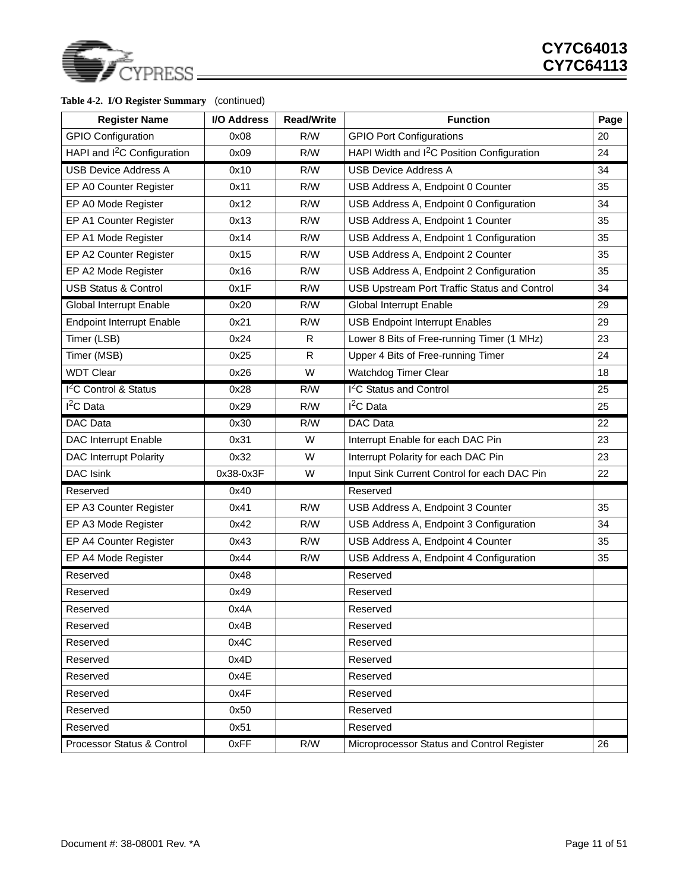

### **Table 4-2. I/O Register Summary** (continued)

| <b>Register Name</b>                    | I/O Address             | <b>Read/Write</b> | <b>Function</b>                                        |    |
|-----------------------------------------|-------------------------|-------------------|--------------------------------------------------------|----|
| <b>GPIO Configuration</b>               | 0x08                    | R/W               | <b>GPIO Port Configurations</b>                        | 20 |
| HAPI and I <sup>2</sup> C Configuration | 0x09                    | R/W               | HAPI Width and I <sup>2</sup> C Position Configuration | 24 |
| <b>USB Device Address A</b>             | 0x10                    | R/W               | <b>USB Device Address A</b>                            | 34 |
| EP A0 Counter Register                  | 0x11                    | R/W               | USB Address A, Endpoint 0 Counter                      | 35 |
| EP A0 Mode Register                     | 0x12                    | R/W               | USB Address A, Endpoint 0 Configuration                | 34 |
| EP A1 Counter Register                  | 0x13                    | R/W               | USB Address A, Endpoint 1 Counter                      | 35 |
| EP A1 Mode Register                     | 0x14                    | R/W               | USB Address A, Endpoint 1 Configuration                | 35 |
| EP A2 Counter Register                  | 0x15                    | R/W               | USB Address A, Endpoint 2 Counter                      | 35 |
| EP A2 Mode Register                     | 0x16                    | R/W               | USB Address A, Endpoint 2 Configuration                | 35 |
| <b>USB Status &amp; Control</b>         | 0x1F                    | R/W               | USB Upstream Port Traffic Status and Control           | 34 |
| Global Interrupt Enable                 | 0x20                    | R/W               | Global Interrupt Enable                                | 29 |
| <b>Endpoint Interrupt Enable</b>        | 0x21                    | R/W               | <b>USB Endpoint Interrupt Enables</b>                  | 29 |
| Timer (LSB)                             | 0x24                    | R.                | Lower 8 Bits of Free-running Timer (1 MHz)             | 23 |
| Timer (MSB)                             | 0x25                    | R.                | Upper 4 Bits of Free-running Timer                     | 24 |
| <b>WDT Clear</b>                        | 0x26                    | W                 | Watchdog Timer Clear                                   | 18 |
| $12C$ Control & Status                  | 0x28                    | R/W               | <sup>2</sup> C Status and Control                      | 25 |
| $I2C$ Data                              | 0x29                    | R/W               | $I2C$ Data                                             | 25 |
| DAC Data                                | DAC Data<br>0x30<br>R/W |                   |                                                        | 22 |
| <b>DAC Interrupt Enable</b>             | 0x31                    | W                 | Interrupt Enable for each DAC Pin                      | 23 |
| <b>DAC Interrupt Polarity</b>           | 0x32                    | W                 | Interrupt Polarity for each DAC Pin                    | 23 |
| <b>DAC Isink</b>                        | 0x38-0x3F               | W                 | Input Sink Current Control for each DAC Pin            | 22 |
| Reserved                                | 0x40                    |                   | Reserved                                               |    |
| EP A3 Counter Register                  | 0x41                    | R/W               | USB Address A, Endpoint 3 Counter                      | 35 |
| EP A3 Mode Register                     | 0x42                    | R/W               | USB Address A, Endpoint 3 Configuration                | 34 |
| EP A4 Counter Register                  | 0x43                    | R/W               | USB Address A, Endpoint 4 Counter                      | 35 |
| EP A4 Mode Register                     | 0x44                    | R/W               | USB Address A, Endpoint 4 Configuration                | 35 |
| Reserved                                | 0x48                    |                   | Reserved                                               |    |
| Reserved                                | 0x49                    |                   | Reserved                                               |    |
| Reserved                                | 0x4A                    |                   | Reserved                                               |    |
| Reserved                                | 0x4B                    |                   | Reserved                                               |    |
| Reserved                                | 0x4C                    |                   | Reserved                                               |    |
| Reserved                                | 0x4D                    |                   | Reserved                                               |    |
| Reserved                                | 0x4E                    |                   | Reserved                                               |    |
| Reserved                                | 0x4F                    |                   | Reserved                                               |    |
| Reserved                                | 0x50                    |                   | Reserved                                               |    |
| Reserved                                | 0x51                    |                   | Reserved                                               |    |
| Processor Status & Control              | 0xFF                    | R/W               | Microprocessor Status and Control Register             | 26 |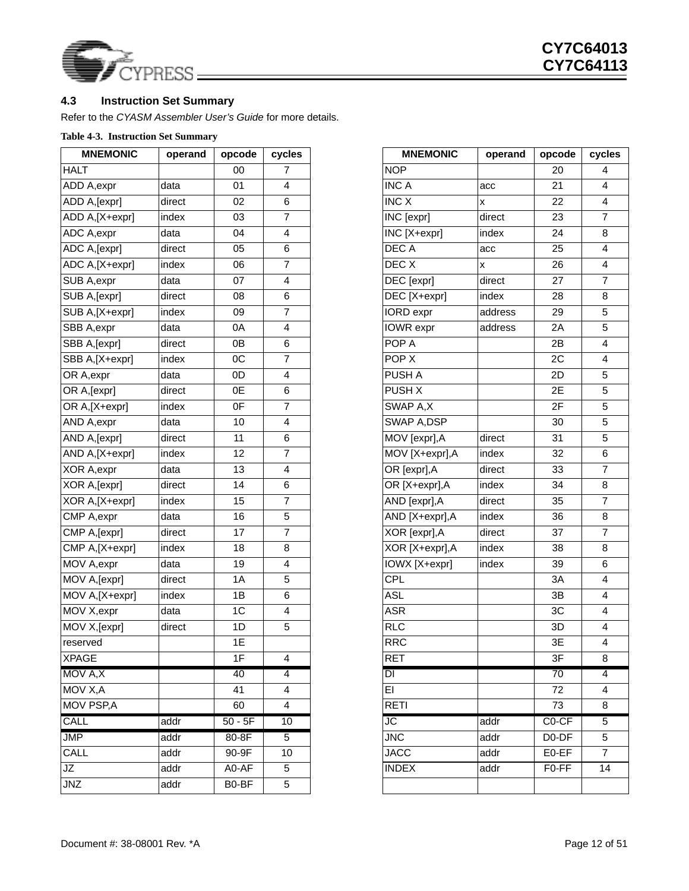

### <span id="page-11-0"></span>**4.3 Instruction Set Summary**

Refer to the *CYASM Assembler User's Guide* for more details.

### <span id="page-11-1"></span>**Table 4-3. Instruction Set Summary**

| <b>MNEMONIC</b> | operand | opcode    | cycles         | <b>MNEMONIC</b>                | operand                   | opcode             | cycl                    |
|-----------------|---------|-----------|----------------|--------------------------------|---------------------------|--------------------|-------------------------|
| <b>HALT</b>     |         | 00        | $\overline{7}$ | <b>NOP</b>                     |                           | 20                 | 4                       |
| ADD A, expr     | data    | 01        | $\overline{4}$ | <b>INC A</b>                   | acc                       | 21                 | 4                       |
| ADD A, [expr]   | direct  | 02        | 6              | INC X                          | $\pmb{\times}$            | 22                 | $\overline{\mathbf{4}}$ |
| ADD A, [X+expr] | index   | 03        | $\overline{7}$ | $\overline{\text{INC}}$ [expr] | direct                    | 23                 | $\boldsymbol{7}$        |
| ADC A, expr     | data    | 04        | $\overline{4}$ | INC [X+expr]                   | index                     | 24                 | $\bf 8$                 |
| ADC A, [expr]   | direct  | 05        | 6              | <b>DECA</b>                    | acc                       | 25                 | 4                       |
| ADC A,[X+expr]  | index   | 06        | $\overline{7}$ | DEC X                          | $\boldsymbol{\mathsf{x}}$ | 26                 | 4                       |
| SUB A, expr     | data    | 07        | $\overline{4}$ | DEC [expr]                     | direct                    | 27                 | $\overline{7}$          |
| SUB A, [expr]   | direct  | 08        | 6              | DEC [X+expr]                   | index                     | 28                 | $\bf8$                  |
| SUB A,[X+expr]  | index   | 09        | $\overline{7}$ | IORD expr                      | address                   | 29                 | $\sqrt{5}$              |
| SBB A, expr     | data    | 0A        | $\overline{4}$ | IOWR expr                      | address                   | 2A                 | $\sqrt{5}$              |
| SBB A, [expr]   | direct  | 0B        | 6              | POP A                          |                           | 2B                 | $\overline{\mathbf{4}}$ |
| SBB A,[X+expr]  | index   | OC        | $\overline{7}$ | POP X                          |                           | 2C                 | 4                       |
| OR A, expr      | data    | 0D        | $\overline{4}$ | PUSH A                         |                           | 2D                 | $\sqrt{5}$              |
| OR A, [expr]    | direct  | 0E        | 6              | PUSH X                         |                           | 2E                 | $\sqrt{5}$              |
| OR A,[X+expr]   | index   | 0F        | $\overline{7}$ | SWAP A,X                       |                           | 2F                 | $\sqrt{5}$              |
| AND A, expr     | data    | 10        | $\overline{4}$ | SWAP A, DSP                    |                           | 30                 | $\sqrt{5}$              |
| AND A, [expr]   | direct  | 11        | 6              | MOV [expr], A                  | direct                    | 31                 | $\sqrt{5}$              |
| AND A,[X+expr]  | index   | 12        | $\overline{7}$ | MOV [X+expr], A                | index                     | 32                 | $\,6\,$                 |
| XOR A, expr     | data    | 13        | $\overline{4}$ | OR [expr], A                   | direct                    | 33                 | $\overline{7}$          |
| XOR A, [expr]   | direct  | 14        | 6              | OR [X+expr], A                 | index                     | 34                 | $\bf8$                  |
| XOR A, [X+expr] | index   | 15        | $\overline{7}$ | AND [expr], A                  | direct                    | 35                 | $\overline{7}$          |
| CMP A, expr     | data    | 16        | 5              | AND [X+expr], A                | index                     | 36                 | $\bf 8$                 |
| CMP A, [expr]   | direct  | 17        | $\overline{7}$ | XOR [expr], A                  | direct                    | 37                 | $\overline{7}$          |
| CMP A,[X+expr]  | index   | 18        | 8              | XOR [X+expr], A                | index                     | 38                 | $\bf 8$                 |
| MOV A, expr     | data    | 19        | $\overline{4}$ | IOWX [X+expr]                  | index                     | 39                 | $\,6\,$                 |
| MOV A, [expr]   | direct  | 1A        | 5              | <b>CPL</b>                     |                           | 3A                 | $\overline{4}$          |
| MOV A,[X+expr]  | index   | 1B        | 6              | <b>ASL</b>                     |                           | 3B                 | $\overline{\mathbf{4}}$ |
| MOV X, expr     | data    | 1C        | $\overline{4}$ | <b>ASR</b>                     |                           | 3C                 | $\overline{\mathbf{4}}$ |
| MOV X, [expr]   | direct  | 1D        | $\sqrt{5}$     | <b>RLC</b>                     |                           | 3D                 | $\overline{\mathbf{4}}$ |
| reserved        |         | 1E        |                | <b>RRC</b>                     |                           | 3E                 | $\overline{\mathbf{4}}$ |
| <b>XPAGE</b>    |         | 1F        | $\overline{4}$ | <b>RET</b>                     |                           | 3F                 | 8                       |
| MOV A,X         |         | 40        | $\overline{4}$ | $\overline{\mathsf{D}}$        |                           | 70                 | 4                       |
| MOV X,A         |         | 41        | 4              | EI                             |                           | 72                 | 4                       |
| MOV PSP, A      |         | 60        | $\overline{4}$ | <b>RETI</b>                    |                           | 73                 | 8                       |
| CALL            | addr    | $50 - 5F$ | 10             | JC                             | addr                      | $CO-CF$            | 5                       |
| <b>JMP</b>      | addr    | 80-8F     | $\overline{5}$ | <b>JNC</b>                     | addr                      | D0-DF              | 5                       |
| CALL            | addr    | 90-9F     | 10             | <b>JACC</b>                    | addr                      | E0-EF              | $\overline{7}$          |
| JZ              | addr    | A0-AF     | 5              | <b>INDEX</b>                   | addr                      | F <sub>0</sub> -FF | 14                      |
| <b>JNZ</b>      | addr    | B0-BF     | 5              |                                |                           |                    |                         |

| <b>MNEMONIC</b>            | operand | opcode         | cycles                  | <b>MNEMONIC</b>  | operand            | opcode             | cycles |
|----------------------------|---------|----------------|-------------------------|------------------|--------------------|--------------------|--------|
|                            |         | $00\,$         | 7                       | <b>NOP</b>       |                    | 20                 |        |
| A,expr                     | data    | 01             | 4                       | <b>INC A</b>     | acc                | 21                 |        |
| A, [expr]                  | direct  | 02             | $\,6\,$                 | <b>INC X</b>     | $\pmb{\mathsf{X}}$ | 22                 |        |
| A, [X+expr]                | index   | 03             | 7                       | INC [expr]       | direct             | 23                 |        |
| CA,expr                    | data    | 04             | 4                       | INC [X+expr]     | index              | 24                 |        |
| A,[expr]                   | direct  | 05             | 6                       | DEC A            | acc                | 25                 |        |
| A,[X+expr]                 | index   | 06             | $\overline{7}$          | DEC X            | $\pmb{\mathsf{x}}$ | 26                 |        |
| A, expr                    | data    | 07             | $\overline{\mathbf{4}}$ | DEC [expr]       | direct             | 27                 |        |
| A, [expr]                  | direct  | 08             | $\,6$                   | DEC [X+expr]     | index              | 28                 |        |
| A,[X+expr]                 | index   | 09             | 7                       | IORD expr        | address            | 29                 |        |
| A,expr                     | data    | 0A             | 4                       | IOWR expr        | address            | 2A                 |        |
| A, [expr]                  | direct  | 0B             | 6                       | POP A            |                    | 2B                 |        |
| A,[X+expr]                 | index   | OC             | $\overline{7}$          | POP <sub>X</sub> |                    | 2C                 |        |
| A,expr                     | data    | 0 <sub>D</sub> | 4                       | PUSH A           |                    | 2D                 |        |
| A,[expr]                   | direct  | 0E             | $\,6$                   | PUSH X           |                    | 2E                 |        |
| A,[X+expr]                 | index   | 0 <sub>F</sub> | $\overline{7}$          | SWAP A,X         |                    | 2F                 |        |
| A,expr                     | data    | 10             | $\overline{\mathbf{4}}$ | SWAP A, DSP      |                    | 30                 |        |
| A, [expr]                  | direct  | 11             | 6                       | MOV [expr], A    | direct             | 31                 |        |
| A,[X+expr]                 | index   | 12             | $\overline{7}$          | MOV [X+expr], A  | index              | 32                 |        |
| R A,expr                   | data    | 13             | $\overline{\mathbf{4}}$ | OR [expr], A     | direct             | 33                 |        |
| R A, [expr]                | direct  | 14             | $\,6$                   | OR [X+expr],A    | index              | 34                 |        |
| R A,[X+expr]               | index   | 15             | $\overline{7}$          | AND [expr], A    | direct             | 35                 |        |
| $\overline{P}$ A, expr     | data    | 16             | 5                       | AND [X+expr], A  | index              | 36                 |        |
| $\overline{P}$ A, [expr]   | direct  | 17             | $\overline{7}$          | XOR [expr], A    | direct             | 37                 |        |
| $\overline{PA}$ , [X+expr] | index   | 18             | 8                       | XOR [X+expr], A  | index              | 38                 |        |
| √ A,expr                   | data    | 19             | 4                       | IOWX [X+expr]    | index              | 39                 |        |
| $\sqrt{A}$ [expr]          | direct  | 1A             | 5                       | CPL              |                    | 3A                 |        |
| V A,[X+expr]               | index   | 1B             | 6                       | <b>ASL</b>       |                    | 3B                 |        |
| $\sqrt{X}$ , expr          | data    | 1 <sub>C</sub> | $\overline{\mathbf{4}}$ | <b>ASR</b>       |                    | 3C                 |        |
| $\sqrt{X}$ [expr]          | direct  | 1D             | 5                       | <b>RLC</b>       |                    | 3D                 |        |
| rved                       |         | 1E             |                         | <b>RRC</b>       |                    | 3E                 |        |
| GE.                        |         | 1F             | 4                       | <b>RET</b>       |                    | 3F                 |        |
| √ A,X                      |         | 40             | 4                       | $\overline{D}$   |                    | 70                 |        |
| V X, A                     |         | 41             | 4                       | EL               |                    | 72                 |        |
| √ PSP,A                    |         | 60             | 4                       | <b>RETI</b>      |                    | 73                 |        |
| L.                         | addr    | $50 - 5F$      | 10                      | JC               | addr               | C <sub>0</sub> -CF |        |
|                            | addr    | 80-8F          | 5                       | <b>JNC</b>       | addr               | D <sub>0</sub> -DF |        |
| L                          | addr    | 90-9F          | 10                      | <b>JACC</b>      | addr               | E0-EF              |        |
|                            | addr    | A0-AF          | 5                       | <b>INDEX</b>     | addr               | F <sub>0</sub> -FF |        |
|                            | addr    | B0-BF          | 5                       |                  |                    |                    |        |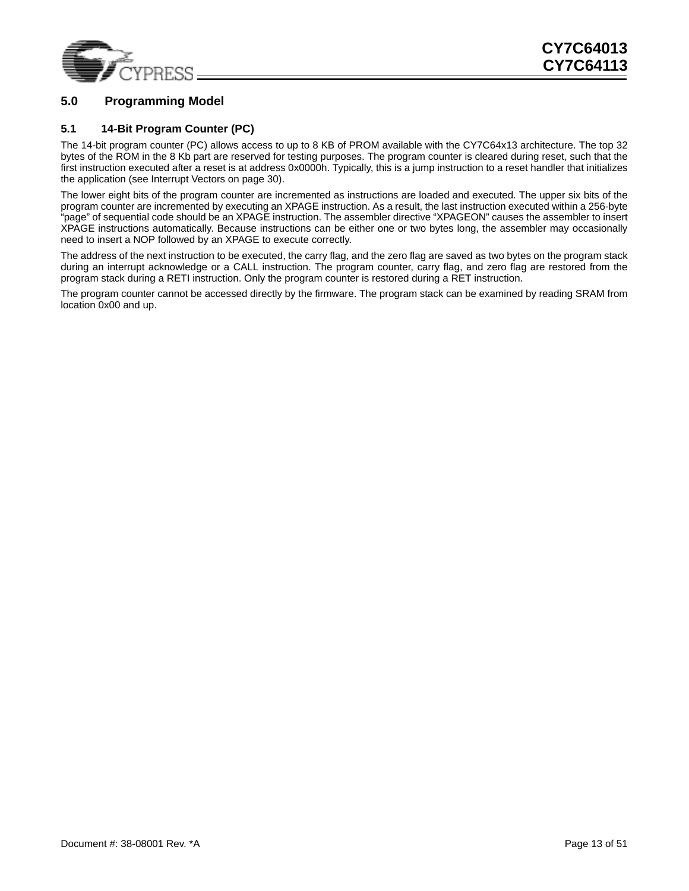

### <span id="page-12-0"></span>**5.0 Programming Model**

### <span id="page-12-1"></span>**5.1 14-Bit Program Counter (PC)**

The 14-bit program counter (PC) allows access to up to 8 KB of PROM available with the CY7C64x13 architecture. The top 32 bytes of the ROM in the 8 Kb part are reserved for testing purposes. The program counter is cleared during reset, such that the first instruction executed after a reset is at address 0x0000h. Typically, this is a jump instruction to a reset handler that initializes the application (see [Interrupt Vectors on page 30\)](#page-29-0).

The lower eight bits of the program counter are incremented as instructions are loaded and executed. The upper six bits of the program counter are incremented by executing an XPAGE instruction. As a result, the last instruction executed within a 256-byte "page" of sequential code should be an XPAGE instruction. The assembler directive "XPAGEON" causes the assembler to insert XPAGE instructions automatically. Because instructions can be either one or two bytes long, the assembler may occasionally need to insert a NOP followed by an XPAGE to execute correctly.

The address of the next instruction to be executed, the carry flag, and the zero flag are saved as two bytes on the program stack during an interrupt acknowledge or a CALL instruction. The program counter, carry flag, and zero flag are restored from the program stack during a RETI instruction. Only the program counter is restored during a RET instruction.

The program counter cannot be accessed directly by the firmware. The program stack can be examined by reading SRAM from location 0x00 and up.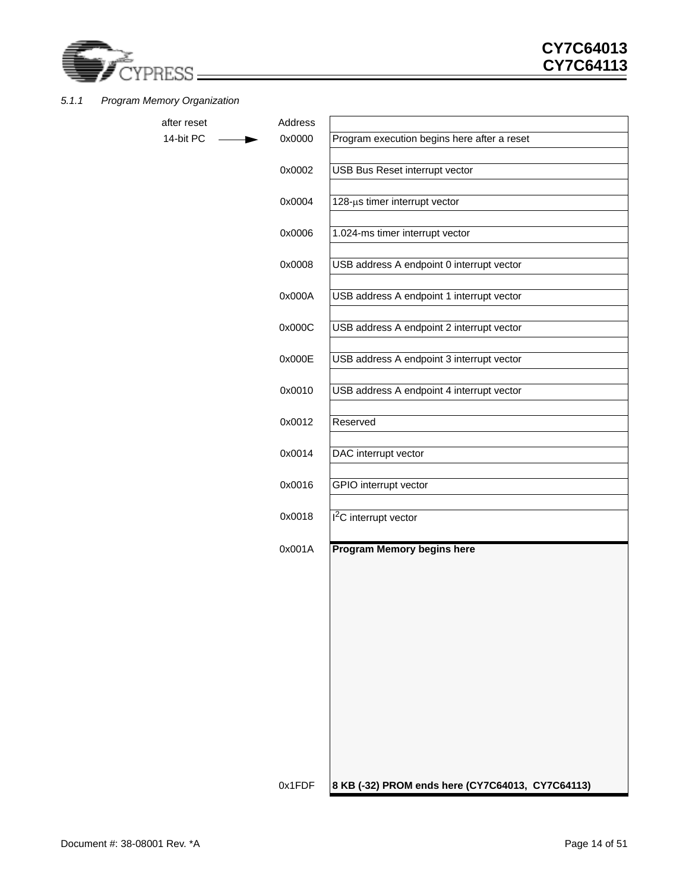

### <span id="page-13-0"></span>*5.1.1 Program Memory Organization*

| after reset | Address |                                                  |
|-------------|---------|--------------------------------------------------|
| 14-bit PC   | 0x0000  | Program execution begins here after a reset      |
|             | 0x0002  | USB Bus Reset interrupt vector                   |
|             | 0x0004  | 128-µs timer interrupt vector                    |
|             | 0x0006  | 1.024-ms timer interrupt vector                  |
|             | 0x0008  | USB address A endpoint 0 interrupt vector        |
|             | 0x000A  | USB address A endpoint 1 interrupt vector        |
|             | 0x000C  | USB address A endpoint 2 interrupt vector        |
|             | 0x000E  | USB address A endpoint 3 interrupt vector        |
|             | 0x0010  | USB address A endpoint 4 interrupt vector        |
|             | 0x0012  | Reserved                                         |
|             | 0x0014  | DAC interrupt vector                             |
|             | 0x0016  | GPIO interrupt vector                            |
|             | 0x0018  | $12C$ interrupt vector                           |
|             | 0x001A  | Program Memory begins here                       |
|             |         |                                                  |
|             |         |                                                  |
|             |         |                                                  |
|             |         |                                                  |
|             |         |                                                  |
|             |         |                                                  |
|             |         |                                                  |
|             | 0x1FDF  | 8 KB (-32) PROM ends here (CY7C64013, CY7C64113) |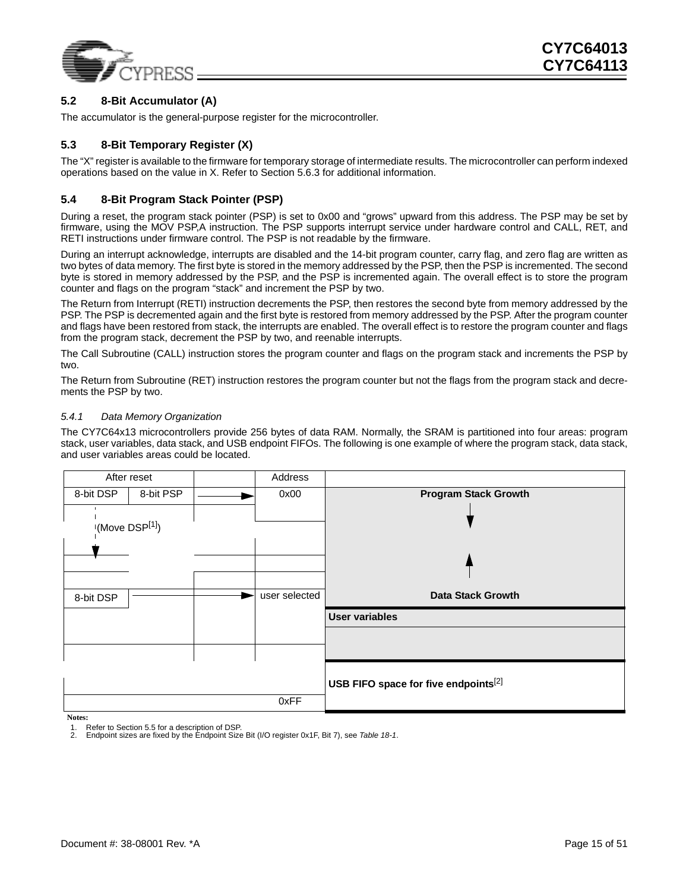

### <span id="page-14-0"></span>**5.2 8-Bit Accumulator (A)**

The accumulator is the general-purpose register for the microcontroller.

#### <span id="page-14-1"></span>**5.3 8-Bit Temporary Register (X)**

The "X" register is available to the firmware for temporary storage of intermediate results. The microcontroller can perform indexed operations based on the value in X. Refer to Section [5.6.3](#page-15-4) for additional information.

#### <span id="page-14-2"></span>**5.4 8-Bit Program Stack Pointer (PSP)**

During a reset, the program stack pointer (PSP) is set to 0x00 and "grows" upward from this address. The PSP may be set by firmware, using the MOV PSP,A instruction. The PSP supports interrupt service under hardware control and CALL, RET, and RETI instructions under firmware control. The PSP is not readable by the firmware.

During an interrupt acknowledge, interrupts are disabled and the 14-bit program counter, carry flag, and zero flag are written as two bytes of data memory. The first byte is stored in the memory addressed by the PSP, then the PSP is incremented. The second byte is stored in memory addressed by the PSP, and the PSP is incremented again. The overall effect is to store the program counter and flags on the program "stack" and increment the PSP by two.

The Return from Interrupt (RETI) instruction decrements the PSP, then restores the second byte from memory addressed by the PSP. The PSP is decremented again and the first byte is restored from memory addressed by the PSP. After the program counter and flags have been restored from stack, the interrupts are enabled. The overall effect is to restore the program counter and flags from the program stack, decrement the PSP by two, and reenable interrupts.

The Call Subroutine (CALL) instruction stores the program counter and flags on the program stack and increments the PSP by two.

The Return from Subroutine (RET) instruction restores the program counter but not the flags from the program stack and decrements the PSP by two.

#### <span id="page-14-3"></span>*5.4.1 Data Memory Organization*

The CY7C64x13 microcontrollers provide 256 bytes of data RAM. Normally, the SRAM is partitioned into four areas: program stack, user variables, data stack, and USB endpoint FIFOs. The following is one example of where the program stack, data stack, and user variables areas could be located.

|                                                  | Address       | After reset                |           |
|--------------------------------------------------|---------------|----------------------------|-----------|
| <b>Program Stack Growth</b>                      | 0x00          | 8-bit PSP                  | 8-bit DSP |
|                                                  |               |                            |           |
|                                                  |               | (Move DSP <sup>[1]</sup> ) |           |
|                                                  |               |                            |           |
|                                                  |               |                            |           |
|                                                  |               |                            |           |
| <b>Data Stack Growth</b>                         | user selected |                            | 8-bit DSP |
|                                                  |               |                            |           |
| <b>User variables</b>                            |               |                            |           |
|                                                  |               |                            |           |
|                                                  |               |                            |           |
|                                                  |               |                            |           |
| USB FIFO space for five endpoints <sup>[2]</sup> |               |                            |           |
|                                                  | 0xFF          |                            |           |

**Notes:**

<span id="page-14-5"></span>2. Endpoint sizes are fixed by the Endpoint Size Bit (I/O register 0x1F, Bit 7), see *[Table 18-1](#page-34-3)*.

<span id="page-14-4"></span><sup>1.</sup> Refer to Section [5.5](#page-15-0) for a description of DSP.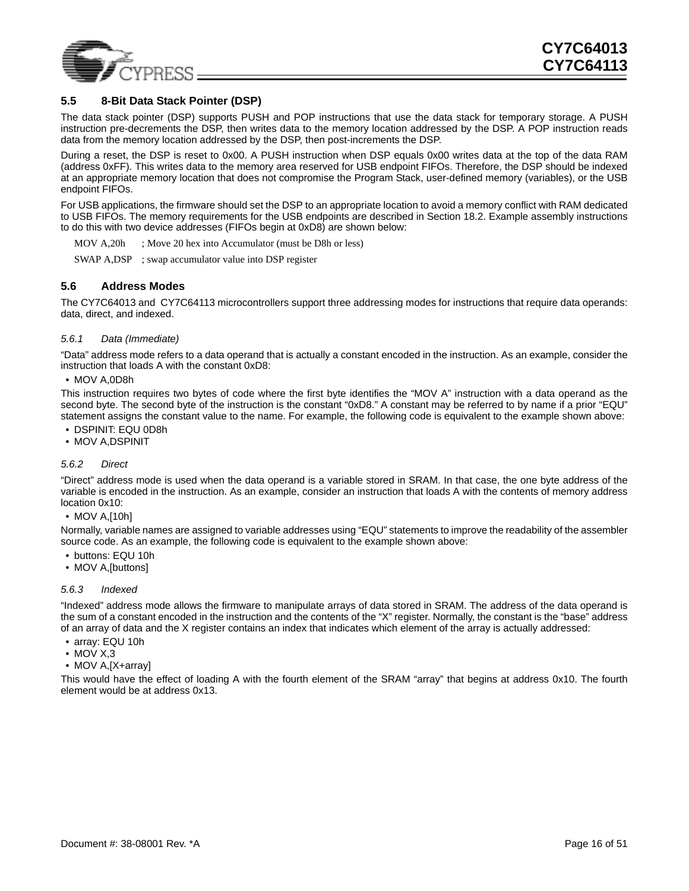

### <span id="page-15-0"></span>**5.5 8-Bit Data Stack Pointer (DSP)**

The data stack pointer (DSP) supports PUSH and POP instructions that use the data stack for temporary storage. A PUSH instruction pre-decrements the DSP, then writes data to the memory location addressed by the DSP. A POP instruction reads data from the memory location addressed by the DSP, then post-increments the DSP.

During a reset, the DSP is reset to 0x00. A PUSH instruction when DSP equals 0x00 writes data at the top of the data RAM (address 0xFF). This writes data to the memory area reserved for USB endpoint FIFOs. Therefore, the DSP should be indexed at an appropriate memory location that does not compromise the Program Stack, user-defined memory (variables), or the USB endpoint FIFOs.

For USB applications, the firmware should set the DSP to an appropriate location to avoid a memory conflict with RAM dedicated to USB FIFOs. The memory requirements for the USB endpoints are described in Section [18.2.](#page-34-0) Example assembly instructions to do this with two device addresses (FIFOs begin at 0xD8) are shown below:

MOV A, 20h ; Move 20 hex into Accumulator (must be D8h or less)

SWAP A,DSP ; swap accumulator value into DSP register

#### <span id="page-15-1"></span>**5.6 Address Modes**

The CY7C64013 and CY7C64113 microcontrollers support three addressing modes for instructions that require data operands: data, direct, and indexed.

#### <span id="page-15-2"></span>*5.6.1 Data (Immediate)*

"Data" address mode refers to a data operand that is actually a constant encoded in the instruction. As an example, consider the instruction that loads A with the constant 0xD8:

#### • MOV A,0D8h

This instruction requires two bytes of code where the first byte identifies the "MOV A" instruction with a data operand as the second byte. The second byte of the instruction is the constant "0xD8." A constant may be referred to by name if a prior "EQU" statement assigns the constant value to the name. For example, the following code is equivalent to the example shown above:

- DSPINIT: EQU 0D8h
- MOV A,DSPINIT

#### <span id="page-15-3"></span>*5.6.2 Direct*

"Direct" address mode is used when the data operand is a variable stored in SRAM. In that case, the one byte address of the variable is encoded in the instruction. As an example, consider an instruction that loads A with the contents of memory address location 0x10:

#### • MOV A, [10h]

Normally, variable names are assigned to variable addresses using "EQU" statements to improve the readability of the assembler source code. As an example, the following code is equivalent to the example shown above:

- buttons: EQU 10h
- MOV A,[buttons]

#### <span id="page-15-4"></span>*5.6.3 Indexed*

"Indexed" address mode allows the firmware to manipulate arrays of data stored in SRAM. The address of the data operand is the sum of a constant encoded in the instruction and the contents of the "X" register. Normally, the constant is the "base" address of an array of data and the X register contains an index that indicates which element of the array is actually addressed:

- array: EQU 10h
- MOV X,3
- MOV A, [X+array]

This would have the effect of loading A with the fourth element of the SRAM "array" that begins at address 0x10. The fourth element would be at address 0x13.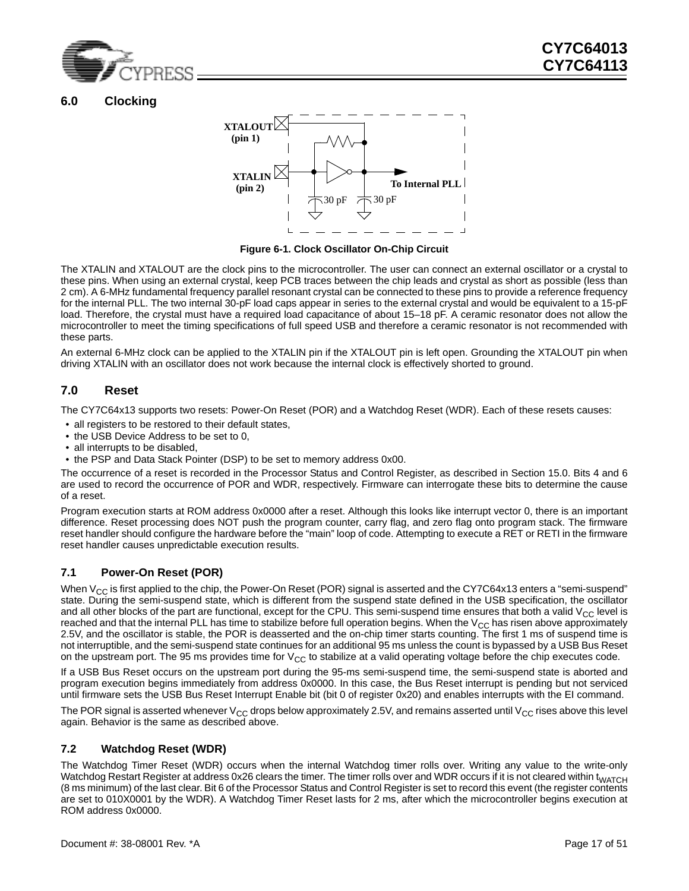

### <span id="page-16-0"></span>**6.0 Clocking**



**Figure 6-1. Clock Oscillator On-Chip Circuit**

<span id="page-16-4"></span>The XTALIN and XTALOUT are the clock pins to the microcontroller. The user can connect an external oscillator or a crystal to these pins. When using an external crystal, keep PCB traces between the chip leads and crystal as short as possible (less than 2 cm). A 6-MHz fundamental frequency parallel resonant crystal can be connected to these pins to provide a reference frequency for the internal PLL. The two internal 30-pF load caps appear in series to the external crystal and would be equivalent to a 15-pF load. Therefore, the crystal must have a required load capacitance of about 15–18 pF. A ceramic resonator does not allow the microcontroller to meet the timing specifications of full speed USB and therefore a ceramic resonator is not recommended with these parts.

An external 6-MHz clock can be applied to the XTALIN pin if the XTALOUT pin is left open. Grounding the XTALOUT pin when driving XTALIN with an oscillator does not work because the internal clock is effectively shorted to ground.

### <span id="page-16-1"></span>**7.0 Reset**

The CY7C64x13 supports two resets: Power-On Reset (POR) and a Watchdog Reset (WDR). Each of these resets causes:

- all registers to be restored to their default states,
- the USB Device Address to be set to 0,
- all interrupts to be disabled.
- the PSP and Data Stack Pointer (DSP) to be set to memory address 0x00.

The occurrence of a reset is recorded in the Processor Status and Control Register, as described in Section [15.0.](#page-27-0) Bits 4 and 6 are used to record the occurrence of POR and WDR, respectively. Firmware can interrogate these bits to determine the cause of a reset.

Program execution starts at ROM address 0x0000 after a reset. Although this looks like interrupt vector 0, there is an important difference. Reset processing does NOT push the program counter, carry flag, and zero flag onto program stack. The firmware reset handler should configure the hardware before the "main" loop of code. Attempting to execute a RET or RETI in the firmware reset handler causes unpredictable execution results.

### <span id="page-16-2"></span>**7.1 Power-On Reset (POR)**

When  $V_{CC}$  is first applied to the chip, the Power-On Reset (POR) signal is asserted and the CY7C64x13 enters a "semi-suspend" state. During the semi-suspend state, which is different from the suspend state defined in the USB specification, the oscillator and all other blocks of the part are functional, except for the CPU. This semi-suspend time ensures that both a valid  $V_{CC}$  level is reached and that the internal PLL has time to stabilize before full operation begins. When the  $V_{CC}$  has risen above approximately 2.5V, and the oscillator is stable, the POR is deasserted and the on-chip timer starts counting. The first 1 ms of suspend time is not interruptible, and the semi-suspend state continues for an additional 95 ms unless the count is bypassed by a USB Bus Reset on the upstream port. The 95 ms provides time for  $V_{CC}$  to stabilize at a valid operating voltage before the chip executes code.

If a USB Bus Reset occurs on the upstream port during the 95-ms semi-suspend time, the semi-suspend state is aborted and program execution begins immediately from address 0x0000. In this case, the Bus Reset interrupt is pending but not serviced until firmware sets the USB Bus Reset Interrupt Enable bit (bit 0 of register 0x20) and enables interrupts with the EI command.

The POR signal is asserted whenever  $V_{CC}$  drops below approximately 2.5V, and remains asserted until  $V_{CC}$  rises above this level again. Behavior is the same as described above.

### <span id="page-16-3"></span>**7.2 Watchdog Reset (WDR)**

The Watchdog Timer Reset (WDR) occurs when the internal Watchdog timer rolls over. Writing any value to the write-only Watchdog Restart Register at address 0x26 clears the timer. The timer rolls over and WDR occurs if it is not cleared within t<sub>WATCH</sub> (8 ms minimum) of the last clear. Bit 6 of the Processor Status and Control Register is set to record this event (the register contents are set to 010X0001 by the WDR). A Watchdog Timer Reset lasts for 2 ms, after which the microcontroller begins execution at ROM address 0x0000.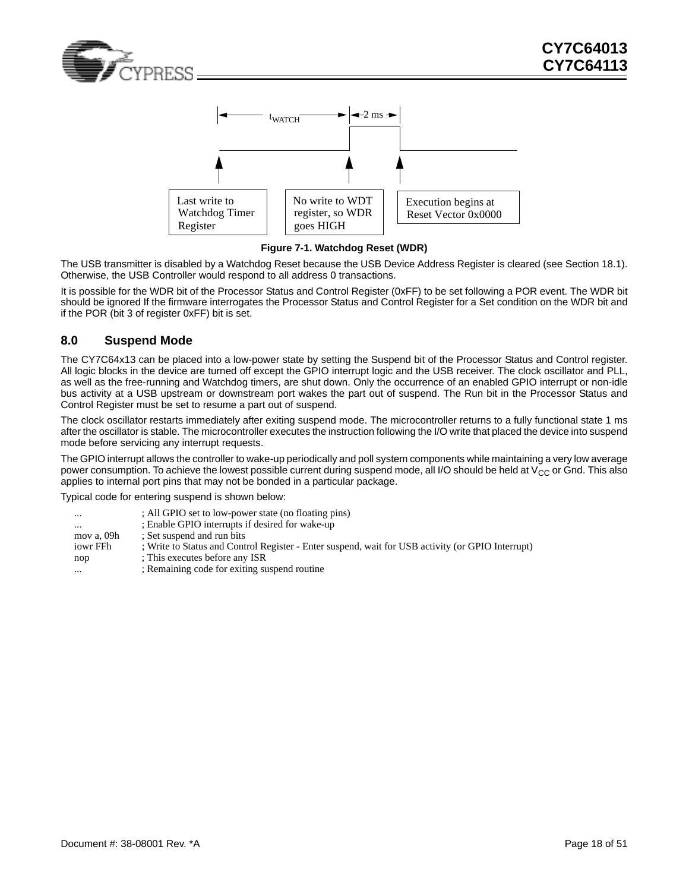



<span id="page-17-1"></span>**Figure 7-1. Watchdog Reset (WDR)**

The USB transmitter is disabled by a Watchdog Reset because the USB Device Address Register is cleared (see Section [18.1\)](#page-33-1). Otherwise, the USB Controller would respond to all address 0 transactions.

It is possible for the WDR bit of the Processor Status and Control Register (0xFF) to be set following a POR event. The WDR bit should be ignored If the firmware interrogates the Processor Status and Control Register for a Set condition on the WDR bit and if the POR (bit 3 of register 0xFF) bit is set.

### <span id="page-17-0"></span>**8.0 Suspend Mode**

The CY7C64x13 can be placed into a low-power state by setting the Suspend bit of the Processor Status and Control register. All logic blocks in the device are turned off except the GPIO interrupt logic and the USB receiver. The clock oscillator and PLL, as well as the free-running and Watchdog timers, are shut down. Only the occurrence of an enabled GPIO interrupt or non-idle bus activity at a USB upstream or downstream port wakes the part out of suspend. The Run bit in the Processor Status and Control Register must be set to resume a part out of suspend.

The clock oscillator restarts immediately after exiting suspend mode. The microcontroller returns to a fully functional state 1 ms after the oscillator is stable. The microcontroller executes the instruction following the I/O write that placed the device into suspend mode before servicing any interrupt requests.

The GPIO interrupt allows the controller to wake-up periodically and poll system components while maintaining a very low average power consumption. To achieve the lowest possible current during suspend mode, all I/O should be held at  $V_{CC}$  or Gnd. This also applies to internal port pins that may not be bonded in a particular package.

Typical code for entering suspend is shown below:

| $\cdots$   | ; All GPIO set to low-power state (no floating pins)                                              |
|------------|---------------------------------------------------------------------------------------------------|
| $\cdots$   | ; Enable GPIO interrupts if desired for wake-up                                                   |
| mov a, 09h | : Set suspend and run bits                                                                        |
| iowr FFh   | : Write to Status and Control Register - Enter suspend, wait for USB activity (or GPIO Interrupt) |
| nop        | : This executes before any ISR                                                                    |
| $\cdots$   | ; Remaining code for exiting suspend routine                                                      |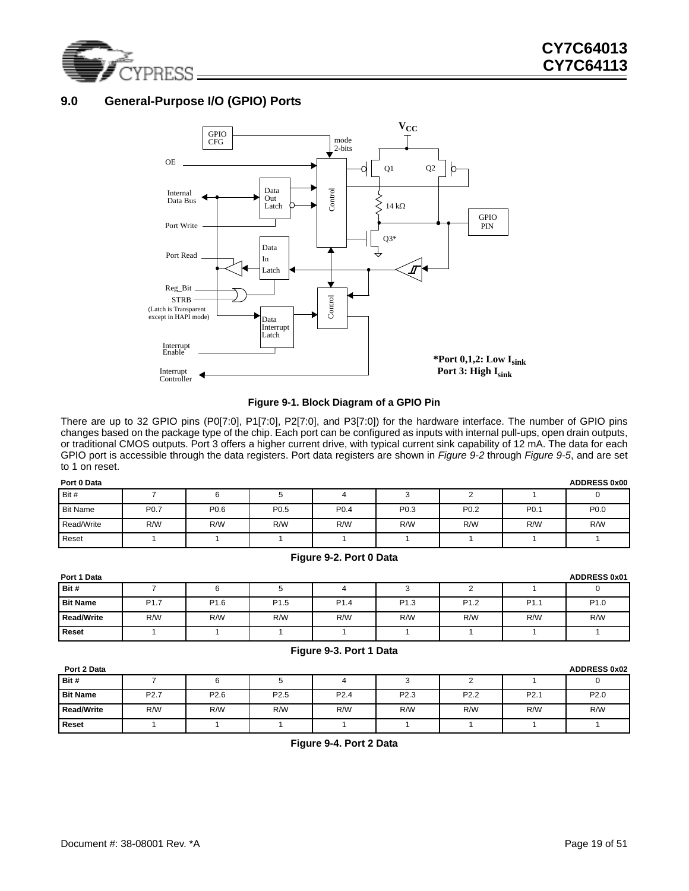

### <span id="page-18-0"></span>**9.0 General-Purpose I/O (GPIO) Ports**



### **Figure 9-1. Block Diagram of a GPIO Pin**

<span id="page-18-1"></span>There are up to 32 GPIO pins (P0[7:0], P1[7:0], P2[7:0], and P3[7:0]) for the hardware interface. The number of GPIO pins changes based on the package type of the chip. Each port can be configured as inputs with internal pull-ups, open drain outputs, or traditional CMOS outputs. Port 3 offers a higher current drive, with typical current sink capability of 12 mA. The data for each GPIO port is accessible through the data registers. Port data registers are shown in *[Figure 9-2](#page-18-2)* through *[Figure 9-5](#page-19-1)*, and are set to 1 on reset.

| <b>ADDRESS 0x00</b><br>Port 0 Data |                  |                  |                  |                  |      |                  |                  |                  |
|------------------------------------|------------------|------------------|------------------|------------------|------|------------------|------------------|------------------|
| Bit #                              |                  |                  |                  |                  |      |                  |                  | U                |
| <b>Bit Name</b>                    | P <sub>0.7</sub> | P <sub>0.6</sub> | P <sub>0.5</sub> | P <sub>0.4</sub> | P0.3 | P <sub>0.2</sub> | P <sub>0.1</sub> | P <sub>0.0</sub> |
| Read/Write                         | R/W              | R/W              | R/W              | R/W              | R/W  | R/W              | R/W              | R/W              |
| Reset                              |                  |                  |                  |                  |      |                  |                  |                  |

#### **Figure 9-2. Port 0 Data**

<span id="page-18-2"></span>

| Port 1 Data       |                  |                  |                  |                  |                  |                  |                  | <b>ADDRESS 0x01</b> |
|-------------------|------------------|------------------|------------------|------------------|------------------|------------------|------------------|---------------------|
| Bit #             |                  | 6                |                  |                  | u                | -                |                  |                     |
| <b>Bit Name</b>   | P <sub>1.7</sub> | P <sub>1.6</sub> | P <sub>1.5</sub> | P <sub>1.4</sub> | P <sub>1.3</sub> | P <sub>1.2</sub> | P <sub>1.1</sub> | P <sub>1.0</sub>    |
| <b>Read/Write</b> | R/W              | R/W              | R/W              | R/W              | R/W              | R/W              | R/W              | R/W                 |
| <b>Reset</b>      |                  |                  |                  |                  |                  |                  |                  |                     |

#### **Figure 9-3. Port 1 Data**

<span id="page-18-4"></span><span id="page-18-3"></span>

| Port 2 Data       |                  |                  |                  |                  |                  |                  |                  | <b>ADDRESS 0x02</b> |
|-------------------|------------------|------------------|------------------|------------------|------------------|------------------|------------------|---------------------|
| Bit #             |                  | 6                |                  |                  |                  |                  |                  |                     |
| <b>Bit Name</b>   | P <sub>2.7</sub> | P <sub>2.6</sub> | P <sub>2.5</sub> | P <sub>2.4</sub> | P <sub>2.3</sub> | P <sub>2.2</sub> | P <sub>2.1</sub> | P <sub>2.0</sub>    |
| <b>Read/Write</b> | R/W              | R/W              | R/W              | R/W              | R/W              | R/W              | R/W              | R/W                 |
| <b>Reset</b>      |                  |                  |                  |                  |                  |                  |                  |                     |

**Figure 9-4. Port 2 Data**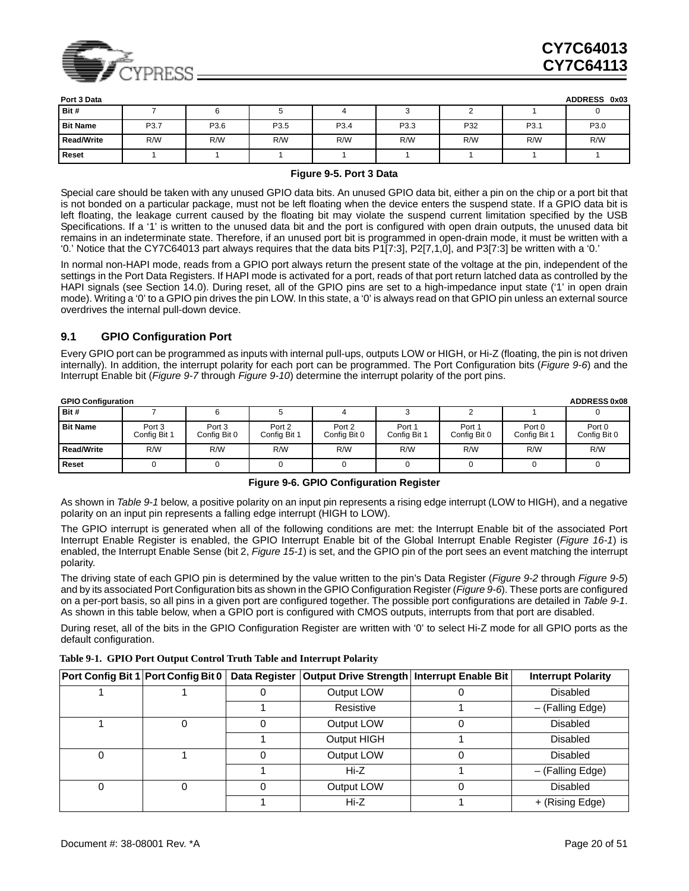

| Port 3 Data       |      |      |      |                  |      |     |                  | <b>ADDRESS</b><br>0x03 |
|-------------------|------|------|------|------------------|------|-----|------------------|------------------------|
| Bit #             |      |      |      |                  |      |     |                  |                        |
| <b>Bit Name</b>   | P3.7 | P3.6 | P3.5 | P <sub>3.4</sub> | P3.3 | P32 | P <sub>3.1</sub> | P3.0                   |
| <b>Read/Write</b> | R/W  | R/W  | R/W  | R/W              | R/W  | R/W | R/W              | R/W                    |
| <b>Reset</b>      |      |      |      |                  |      |     |                  |                        |

#### **Figure 9-5. Port 3 Data**

<span id="page-19-1"></span>Special care should be taken with any unused GPIO data bits. An unused GPIO data bit, either a pin on the chip or a port bit that is not bonded on a particular package, must not be left floating when the device enters the suspend state. If a GPIO data bit is left floating, the leakage current caused by the floating bit may violate the suspend current limitation specified by the USB Specifications. If a '1' is written to the unused data bit and the port is configured with open drain outputs, the unused data bit remains in an indeterminate state. Therefore, if an unused port bit is programmed in open-drain mode, it must be written with a '0.' Notice that the CY7C64013 part always requires that the data bits P1[7:3], P2[7,1,0], and P3[7:3] be written with a '0.'

In normal non-HAPI mode, reads from a GPIO port always return the present state of the voltage at the pin, independent of the settings in the Port Data Registers. If HAPI mode is activated for a port, reads of that port return latched data as controlled by the HAPI signals (see Section [14.0](#page-26-0)). During reset, all of the GPIO pins are set to a high-impedance input state ('1' in open drain mode). Writing a '0' to a GPIO pin drives the pin LOW. In this state, a '0' is always read on that GPIO pin unless an external source overdrives the internal pull-down device.

#### <span id="page-19-0"></span>**9.1 GPIO Configuration Port**

Every GPIO port can be programmed as inputs with internal pull-ups, outputs LOW or HIGH, or Hi-Z (floating, the pin is not driven internally). In addition, the interrupt polarity for each port can be programmed. The Port Configuration bits (*[Figure 9-6](#page-19-2)*) and the Interrupt Enable bit (*[Figure 9-7](#page-20-2)* through *[Figure 9-10](#page-20-5)*) determine the interrupt polarity of the port pins.

| <b>ADDRESS 0x08</b><br><b>GPIO Configuration</b> |                        |                        |                        |                        |                        |                        |                        |                        |  |
|--------------------------------------------------|------------------------|------------------------|------------------------|------------------------|------------------------|------------------------|------------------------|------------------------|--|
| Bit #                                            |                        |                        |                        |                        |                        |                        |                        |                        |  |
| <b>Bit Name</b>                                  | Port 3<br>Config Bit 1 | Port 3<br>Config Bit 0 | Port 2<br>Config Bit 1 | Port 2<br>Config Bit 0 | Port 1<br>Config Bit 1 | Port 1<br>Config Bit 0 | Port 0<br>Config Bit 1 | Port 0<br>Config Bit 0 |  |
| Read/Write                                       | R/W                    | R/W                    | R/W                    | R/W                    | R/W                    | R/W                    | R/W                    | R/W                    |  |
| Reset                                            |                        |                        |                        |                        |                        |                        |                        |                        |  |

**Figure 9-6. GPIO Configuration Register**

<span id="page-19-2"></span>As shown in *[Table 9-1](#page-19-3)* below, a positive polarity on an input pin represents a rising edge interrupt (LOW to HIGH), and a negative polarity on an input pin represents a falling edge interrupt (HIGH to LOW).

The GPIO interrupt is generated when all of the following conditions are met: the Interrupt Enable bit of the associated Port Interrupt Enable Register is enabled, the GPIO Interrupt Enable bit of the Global Interrupt Enable Register (*[Figure 16-1](#page-28-1)*) is enabled, the Interrupt Enable Sense (bit 2, *[Figure 15-1](#page-27-1)*) is set, and the GPIO pin of the port sees an event matching the interrupt polarity.

The driving state of each GPIO pin is determined by the value written to the pin's Data Register (*[Figure 9-2](#page-18-2)* through *[Figure 9-5](#page-19-1)*) and by its associated Port Configuration bits as shown in the GPIO Configuration Register (*[Figure 9-6](#page-19-2)*). These ports are configured on a per-port basis, so all pins in a given port are configured together. The possible port configurations are detailed in *[Table 9-1](#page-19-3)*. As shown in this table below, when a GPIO port is configured with CMOS outputs, interrupts from that port are disabled.

During reset, all of the bits in the GPIO Configuration Register are written with '0' to select Hi-Z mode for all GPIO ports as the default configuration.

<span id="page-19-3"></span>

|  |  |  | Table 9-1. GPIO Port Output Control Truth Table and Interrupt Polarity |
|--|--|--|------------------------------------------------------------------------|
|--|--|--|------------------------------------------------------------------------|

| Port Config Bit 1 Port Config Bit 0 |  | Data Register   Output Drive Strength   Interrupt Enable Bit | <b>Interrupt Polarity</b> |
|-------------------------------------|--|--------------------------------------------------------------|---------------------------|
|                                     |  | Output LOW                                                   | <b>Disabled</b>           |
|                                     |  | Resistive                                                    | - (Falling Edge)          |
|                                     |  | Output LOW                                                   | <b>Disabled</b>           |
|                                     |  | Output HIGH                                                  | <b>Disabled</b>           |
|                                     |  | Output LOW                                                   | <b>Disabled</b>           |
|                                     |  | Hi-Z                                                         | - (Falling Edge)          |
|                                     |  | Output LOW                                                   | <b>Disabled</b>           |
|                                     |  | Hi-Z                                                         | + (Rising Edge)           |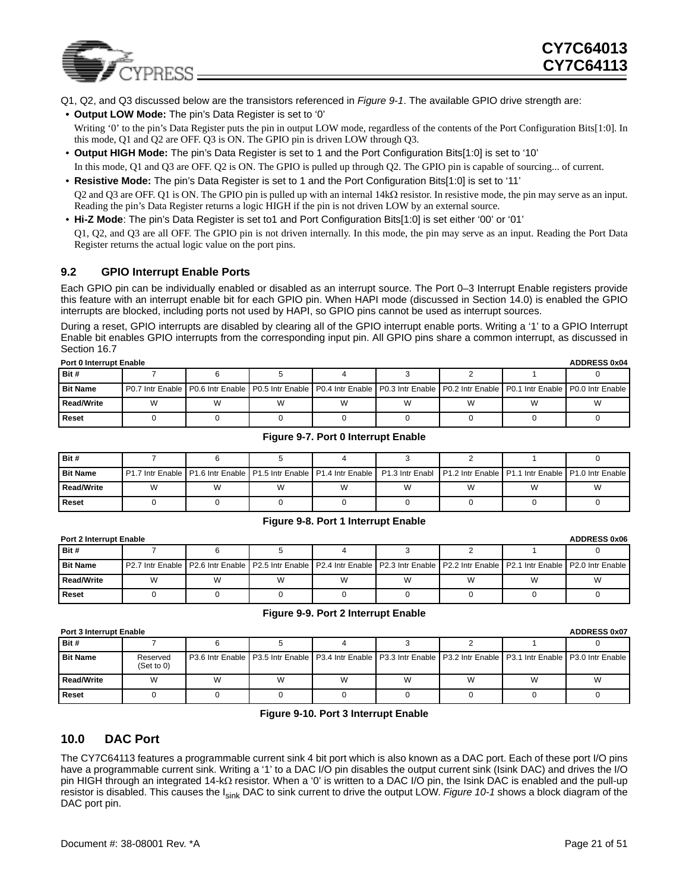

- Q1, Q2, and Q3 discussed below are the transistors referenced in *[Figure 9-1](#page-18-1)*. The available GPIO drive strength are:
- **Output LOW Mode:** The pin's Data Register is set to '0' Writing '0' to the pin's Data Register puts the pin in output LOW mode, regardless of the contents of the Port Configuration Bits[1:0]. In this mode, Q1 and Q2 are OFF. Q3 is ON. The GPIO pin is driven LOW through Q3.
- **Output HIGH Mode:** The pin's Data Register is set to 1 and the Port Configuration Bits[1:0] is set to '10' In this mode, Q1 and Q3 are OFF. Q2 is ON. The GPIO is pulled up through Q2. The GPIO pin is capable of sourcing... of current.
- **Resistive Mode:** The pin's Data Register is set to 1 and the Port Configuration Bits[1:0] is set to '11' Q2 and Q3 are OFF. Q1 is ON. The GPIO pin is pulled up with an internal 14kΩ resistor. In resistive mode, the pin may serve as an input. Reading the pin's Data Register returns a logic HIGH if the pin is not driven LOW by an external source.
- **Hi-Z Mode**: The pin's Data Register is set to1 and Port Configuration Bits[1:0] is set either '00' or '01' Q1, Q2, and Q3 are all OFF. The GPIO pin is not driven internally. In this mode, the pin may serve as an input. Reading the Port Data Register returns the actual logic value on the port pins.

### <span id="page-20-0"></span>**9.2 GPIO Interrupt Enable Ports**

Each GPIO pin can be individually enabled or disabled as an interrupt source. The Port 0–3 Interrupt Enable registers provide this feature with an interrupt enable bit for each GPIO pin. When HAPI mode (discussed in Section [14.0](#page-26-0)) is enabled the GPIO interrupts are blocked, including ports not used by HAPI, so GPIO pins cannot be used as interrupt sources.

During a reset, GPIO interrupts are disabled by clearing all of the GPIO interrupt enable ports. Writing a '1' to a GPIO Interrupt Enable bit enables GPIO interrupts from the corresponding input pin. All GPIO pins share a common interrupt, as discussed in Section [16.7](#page-31-0)

| <b>ADDRESS 0x04</b><br><b>Port 0 Interrupt Enable</b> |   |   |  |  |   |  |   |                                                                                                                                                       |  |
|-------------------------------------------------------|---|---|--|--|---|--|---|-------------------------------------------------------------------------------------------------------------------------------------------------------|--|
| Bit #                                                 |   |   |  |  |   |  |   |                                                                                                                                                       |  |
| <b>Bit Name</b>                                       |   |   |  |  |   |  |   | P0.7 Intr Enable   P0.6 Intr Enable   P0.5 Intr Enable   P0.4 Intr Enable   P0.3 Intr Enable   P0.2 Intr Enable   P0.1 Intr Enable   P0.0 Intr Enable |  |
| Read/Write                                            | W | W |  |  | W |  | W | W                                                                                                                                                     |  |
| <b>Reset</b>                                          |   |   |  |  |   |  |   |                                                                                                                                                       |  |

#### **Figure 9-7. Port 0 Interrupt Enable**

<span id="page-20-2"></span>

| Bit #           |   |   |                                                                                                                                                   |  |   |   |
|-----------------|---|---|---------------------------------------------------------------------------------------------------------------------------------------------------|--|---|---|
| <b>Bit Name</b> |   |   | l P1.7 Intr Enable LP1.6 Intr Enable LP1.5 Intr Enable LP1.4 Intr Enable LP1.3 Intr Enabl LP1.2 Intr Enable LP1.1 Intr Enable LP1.0 Intr Enable L |  |   |   |
| Read/Write      | W | W |                                                                                                                                                   |  | W | W |
| Reset           |   |   |                                                                                                                                                   |  |   |   |

#### **Figure 9-8. Port 1 Interrupt Enable**

<span id="page-20-3"></span>

| <b>ADDRESS 0x06</b><br><b>Port 2 Interrupt Enable</b> |   |   |   |   |   |   |   |                                                                                                                                                                          |
|-------------------------------------------------------|---|---|---|---|---|---|---|--------------------------------------------------------------------------------------------------------------------------------------------------------------------------|
| Bit#                                                  |   |   |   |   |   |   |   |                                                                                                                                                                          |
| <b>Bit Name</b>                                       |   |   |   |   |   |   |   | P2.7 Intr Enable   P2.6 Intr Enable   P2.5 Intr Enable   P2.4 Intr Enable   P2.3 Intr Enable   P2.2 Intr Enable   P2.1 Intr Enable   P2.0 Intr Enable   P2.0 Intr Enable |
| <b>Read/Write</b>                                     | W | W | W | W | W | W | W | W                                                                                                                                                                        |
| Reset                                                 |   |   |   |   |   |   |   |                                                                                                                                                                          |

#### **Figure 9-9. Port 2 Interrupt Enable**

<span id="page-20-4"></span>

| <b>ADDRESS 0x07</b><br><b>Port 3 Interrupt Enable</b> |                        |   |   |   |   |   |                                                                                                                                    |   |  |  |
|-------------------------------------------------------|------------------------|---|---|---|---|---|------------------------------------------------------------------------------------------------------------------------------------|---|--|--|
| Bit #                                                 |                        |   |   |   |   |   |                                                                                                                                    |   |  |  |
| <b>Bit Name</b>                                       | Reserved<br>(Set to 0) |   |   |   |   |   | P3.6 Intr Enable   P3.5 Intr Enable   P3.4 Intr Enable   P3.3 Intr Enable   P3.2 Intr Enable   P3.1 Intr Enable   P3.0 Intr Enable |   |  |  |
| Read/Write                                            | W                      | W | W | W | W | W | W                                                                                                                                  | W |  |  |
| Reset                                                 |                        |   |   |   |   |   |                                                                                                                                    |   |  |  |

#### **Figure 9-10. Port 3 Interrupt Enable**

### <span id="page-20-5"></span><span id="page-20-1"></span>**10.0 DAC Port**

The CY7C64113 features a programmable current sink 4 bit port which is also known as a DAC port. Each of these port I/O pins have a programmable current sink. Writing a '1' to a DAC I/O pin disables the output current sink (Isink DAC) and drives the I/O pin HIGH through an integrated 14-kΩ resistor. When a '0' is written to a DAC I/O pin, the Isink DAC is enabled and the pull-up resistor is disabled. This causes the Isink DAC to sink current to drive the output LOW. *[Figure 10-1](#page-21-1)* shows a block diagram of the DAC port pin.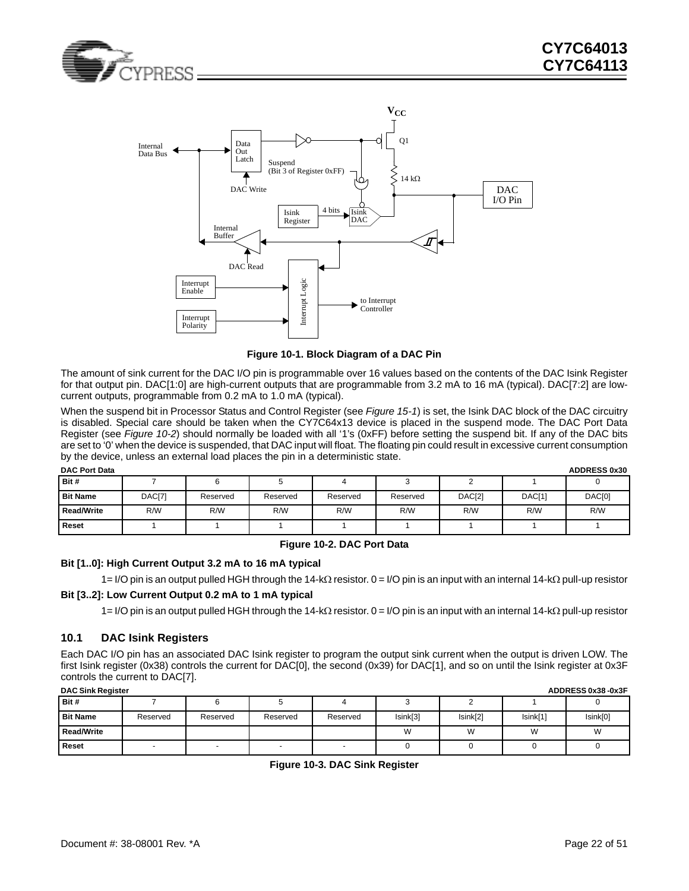



**Figure 10-1. Block Diagram of a DAC Pin**

<span id="page-21-1"></span>The amount of sink current for the DAC I/O pin is programmable over 16 values based on the contents of the DAC Isink Register for that output pin. DAC[1:0] are high-current outputs that are programmable from 3.2 mA to 16 mA (typical). DAC[7:2] are lowcurrent outputs, programmable from 0.2 mA to 1.0 mA (typical).

When the suspend bit in Processor Status and Control Register (see *[Figure 15-1](#page-27-1)*) is set, the Isink DAC block of the DAC circuitry is disabled. Special care should be taken when the CY7C64x13 device is placed in the suspend mode. The DAC Port Data Register (see *[Figure 10-2](#page-21-2)*) should normally be loaded with all '1's (0xFF) before setting the suspend bit. If any of the DAC bits are set to '0' when the device is suspended, that DAC input will float. The floating pin could result in excessive current consumption by the device, unless an external load places the pin in a deterministic state.

| <b>DAC Port Data</b> |        |          |          |          |          |        |        | <b>ADDRESS 0x30</b> |
|----------------------|--------|----------|----------|----------|----------|--------|--------|---------------------|
| Bit #                |        |          |          |          |          |        |        |                     |
| <b>Bit Name</b>      | DAC[7] | Reserved | Reserved | Reserved | Reserved | DAC[2] | DAC[1] | DAC[0]              |
| <b>Read/Write</b>    | R/W    | R/W      | R/W      | R/W      | R/W      | R/W    | R/W    | R/W                 |
| <b>Reset</b>         |        |          |          |          |          |        |        |                     |

### **Figure 10-2. DAC Port Data**

#### <span id="page-21-2"></span>**Bit [1..0]: High Current Output 3.2 mA to 16 mA typical**

1= I/O pin is an output pulled HGH through the 14-kΩ resistor. 0 = I/O pin is an input with an internal 14-kΩ pull-up resistor

#### **Bit [3..2]: Low Current Output 0.2 mA to 1 mA typical**

1= I/O pin is an output pulled HGH through the 14-kΩ resistor. 0 = I/O pin is an input with an internal 14-kΩ pull-up resistor

### <span id="page-21-0"></span>**10.1 DAC Isink Registers**

Each DAC I/O pin has an associated DAC Isink register to program the output sink current when the output is driven LOW. The first Isink register (0x38) controls the current for DAC[0], the second (0x39) for DAC[1], and so on until the Isink register at 0x3F controls the current to DAC[7].

<span id="page-21-3"></span>

| <b>DAC Sink Register</b> | ADDRESS 0x38-0x3F |          |          |          |          |          |          |          |  |  |  |  |
|--------------------------|-------------------|----------|----------|----------|----------|----------|----------|----------|--|--|--|--|
| Bit #                    |                   |          |          |          |          |          |          |          |  |  |  |  |
| <b>Bit Name</b>          | Reserved          | Reserved | Reserved | Reserved | Isink[3] | Isink[2] | Isink[1] | Isink[0] |  |  |  |  |
| <b>Read/Write</b>        |                   |          |          |          | W        | W        | W        | W        |  |  |  |  |
| Reset                    |                   |          |          |          |          |          |          |          |  |  |  |  |

|  |  |  |  | Figure 10-3. DAC Sink Register |
|--|--|--|--|--------------------------------|
|--|--|--|--|--------------------------------|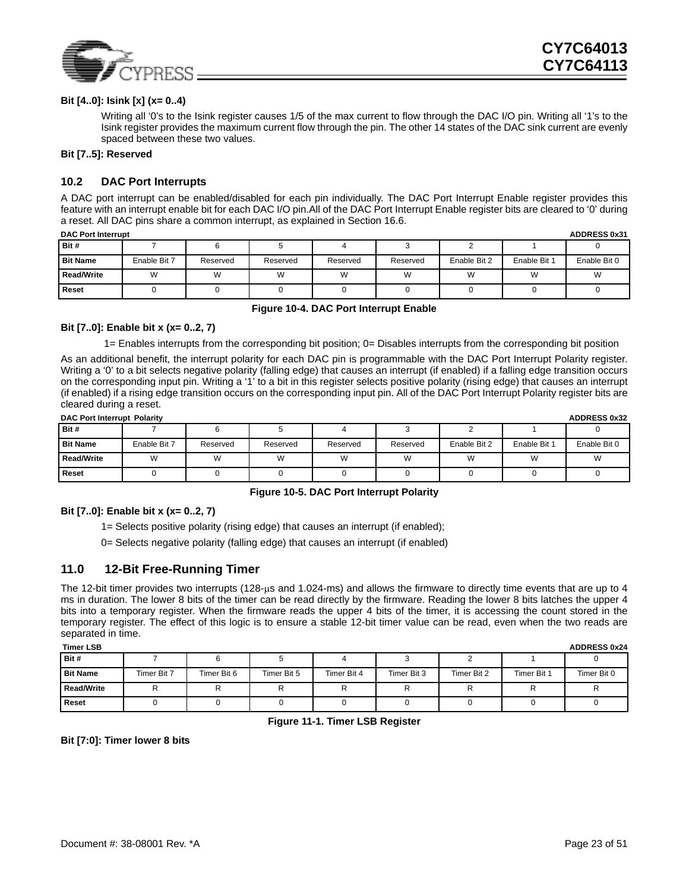

#### **Bit [4..0]: Isink [x] (x= 0..4)**

Writing all '0's to the Isink register causes 1/5 of the max current to flow through the DAC I/O pin. Writing all '1's to the Isink register provides the maximum current flow through the pin. The other 14 states of the DAC sink current are evenly spaced between these two values.

#### **Bit [7..5]: Reserved**

### <span id="page-22-0"></span>**10.2 DAC Port Interrupts**

A DAC port interrupt can be enabled/disabled for each pin individually. The DAC Port Interrupt Enable register provides this feature with an interrupt enable bit for each DAC I/O pin.All of the DAC Port Interrupt Enable register bits are cleared to '0' during a reset. All DAC pins share a common interrupt, as explained in Section [16.6](#page-30-4).

| <b>DAC Port Interrupt</b><br><b>ADDRESS 0x31</b> |              |          |          |          |          |              |              |              |  |  |
|--------------------------------------------------|--------------|----------|----------|----------|----------|--------------|--------------|--------------|--|--|
| Bit #                                            |              |          |          |          |          |              |              |              |  |  |
| <b>Bit Name</b>                                  | Enable Bit 7 | Reserved | Reserved | Reserved | Reserved | Enable Bit 2 | Enable Bit 1 | Enable Bit 0 |  |  |
| <b>Read/Write</b>                                | W            | W        |          | W        | W        | W            | W            |              |  |  |
| Reset                                            |              |          |          |          |          |              |              |              |  |  |

#### **Figure 10-4. DAC Port Interrupt Enable**

#### <span id="page-22-2"></span>**Bit [7..0]: Enable bit x (x= 0..2, 7)**

1= Enables interrupts from the corresponding bit position; 0= Disables interrupts from the corresponding bit position

As an additional benefit, the interrupt polarity for each DAC pin is programmable with the DAC Port Interrupt Polarity register. Writing a '0' to a bit selects negative polarity (falling edge) that causes an interrupt (if enabled) if a falling edge transition occurs on the corresponding input pin. Writing a '1' to a bit in this register selects positive polarity (rising edge) that causes an interrupt (if enabled) if a rising edge transition occurs on the corresponding input pin. All of the DAC Port Interrupt Polarity register bits are cleared during a reset.

| <b>ADDRESS 0x32</b><br>DAC Port Interrupt Polarity |              |          |          |          |          |              |              |              |  |  |
|----------------------------------------------------|--------------|----------|----------|----------|----------|--------------|--------------|--------------|--|--|
| Bit #                                              |              |          |          |          |          |              |              |              |  |  |
| <b>Bit Name</b>                                    | Enable Bit 7 | Reserved | Reserved | Reserved | Reserved | Enable Bit 2 | Enable Bit 1 | Enable Bit 0 |  |  |
| <b>Read/Write</b>                                  | W            | W        | W        | W        | W        | W            | W            | W            |  |  |
| <b>Reset</b>                                       |              |          |          |          |          |              |              |              |  |  |

#### **Figure 10-5. DAC Port Interrupt Polarity**

#### <span id="page-22-3"></span>**Bit [7..0]: Enable bit x (x= 0..2, 7)**

1= Selects positive polarity (rising edge) that causes an interrupt (if enabled);

0= Selects negative polarity (falling edge) that causes an interrupt (if enabled)

### <span id="page-22-1"></span>**11.0 12-Bit Free-Running Timer**

The 12-bit timer provides two interrupts (128-µs and 1.024-ms) and allows the firmware to directly time events that are up to 4 ms in duration. The lower 8 bits of the timer can be read directly by the firmware. Reading the lower 8 bits latches the upper 4 bits into a temporary register. When the firmware reads the upper 4 bits of the timer, it is accessing the count stored in the temporary register. The effect of this logic is to ensure a stable 12-bit timer value can be read, even when the two reads are separated in time.

| <b>Timer LSB</b>  |             |             |             |             |             |             |             | <b>ADDRESS 0x24</b> |
|-------------------|-------------|-------------|-------------|-------------|-------------|-------------|-------------|---------------------|
| Bit #             |             |             |             |             |             |             |             |                     |
| <b>Bit Name</b>   | Timer Bit 7 | Timer Bit 6 | Timer Bit 5 | Timer Bit 4 | Timer Bit 3 | Timer Bit 2 | Timer Bit 1 | Timer Bit 0         |
| <b>Read/Write</b> |             |             | ''          | '           |             | r           | R           |                     |
| Reset             |             |             |             |             |             |             |             |                     |

**Figure 11-1. Timer LSB Register**

<span id="page-22-4"></span>**Bit [7:0]: Timer lower 8 bits**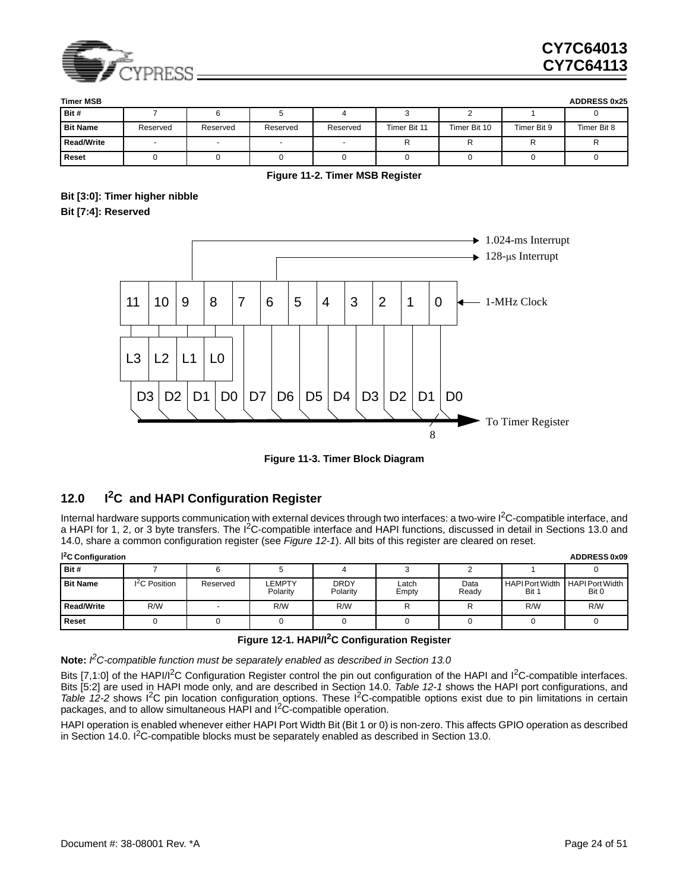

| <b>Timer MSB</b>  |                          |          |          |          |              |              |             | <b>ADDRESS 0x25</b> |
|-------------------|--------------------------|----------|----------|----------|--------------|--------------|-------------|---------------------|
| Bit #             |                          |          |          |          |              |              |             |                     |
| <b>Bit Name</b>   | Reserved                 | Reserved | Reserved | Reserved | Timer Bit 11 | Timer Bit 10 | Timer Bit 9 | Timer Bit 8         |
| <b>Read/Write</b> | $\overline{\phantom{a}}$ |          |          |          |              |              | rv.         |                     |
| Reset             |                          |          |          |          |              |              |             |                     |

#### **Figure 11-2. Timer MSB Register**

### <span id="page-23-1"></span>**Bit [3:0]: Timer higher nibble Bit [7:4]: Reserved**



**Figure 11-3. Timer Block Diagram**

### <span id="page-23-2"></span><span id="page-23-0"></span>**12.0 I2C and HAPI Configuration Register**

Internal hardware supports communication with external devices through two interfaces: a two-wire  $l^2C$ -compatible interface, and a HAPI for 1, 2, or 3 byte transfers. The  $I^2C$ -compatible interface and HAPI functions, discussed in detail in Sections [13.0](#page-24-0) and [14.0](#page-26-0), share a common configuration register (see *[Figure 12-1](#page-24-3)*). All bits of this register are cleared on reset.

| $\mathsf{I}^2$ C Configuration<br><b>ADDRESS 0x09</b> |                           |          |                    |                         |                |               |                                 |                                 |  |  |
|-------------------------------------------------------|---------------------------|----------|--------------------|-------------------------|----------------|---------------|---------------------------------|---------------------------------|--|--|
| Bit #                                                 |                           |          |                    |                         |                |               |                                 |                                 |  |  |
| <b>Bit Name</b>                                       | I <sup>2</sup> C Position | Reserved | LEMPTY<br>Polarity | <b>DRDY</b><br>Polarity | Latch<br>Empty | Data<br>Ready | <b>HAPI Port Width</b><br>Bit 1 | <b>HAPI Port Width</b><br>Bit 0 |  |  |
| Read/Write                                            | R/W                       |          | R/W                | R/W                     |                |               | R/W                             | R/W                             |  |  |
| <b>Reset</b>                                          |                           |          |                    |                         |                |               |                                 |                                 |  |  |

### **Figure 12-1. HAPI/I2C Configuration Register**

<span id="page-23-3"></span>**Note:** *I2C-compatible function must be separately enabled as described in Section [13.0](#page-24-0)*

Bits [7,1:0] of the HAPI/I<sup>2</sup>C Configuration Register control the pin out configuration of the HAPI and I<sup>2</sup>C-compatible interfaces. Bits [5:2] are used in HAPI mode only, and are described in Section [14.0.](#page-26-0) *[Table 12-1](#page-24-3)* shows the HAPI port configurations, and *[Table 12-2](#page-24-4)* shows I<sup>2</sup>C pin location configuration options. These I<sup>2</sup>C-compatible options exist due to pin limitations in certain packages, and to allow simultaneous HAPI and I<sup>2</sup>C-compatible operation.

HAPI operation is enabled whenever either HAPI Port Width Bit (Bit 1 or 0) is non-zero. This affects GPIO operation as described in Section [14.0](#page-26-0). I<sup>2</sup>C-compatible blocks must be separately enabled as described in Section [13.0.](#page-24-0)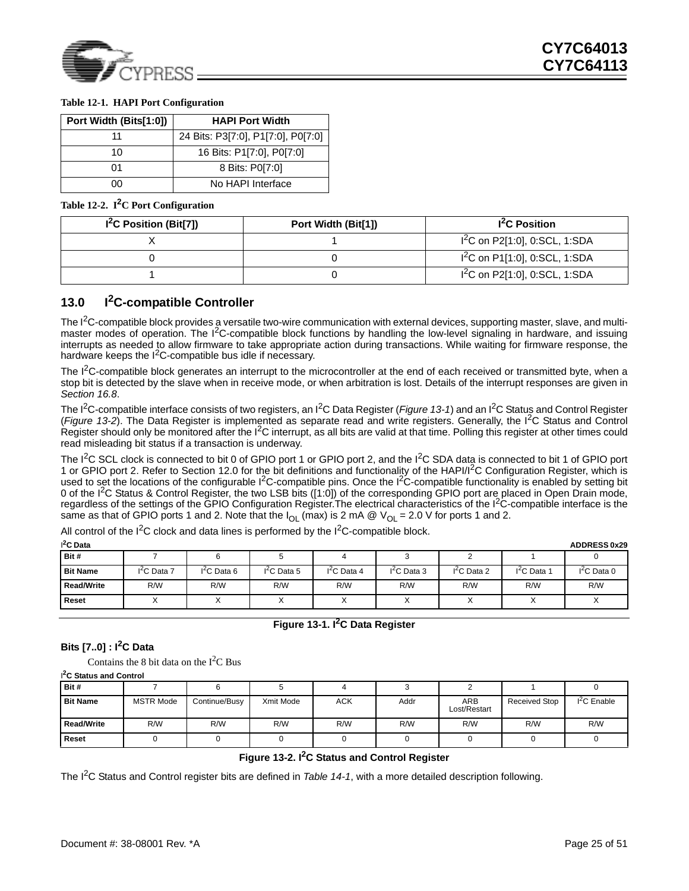

### <span id="page-24-3"></span>**Table 12-1. HAPI Port Configuration**

| Port Width (Bits[1:0]) | <b>HAPI Port Width</b>             |
|------------------------|------------------------------------|
| 11                     | 24 Bits: P3[7:0], P1[7:0], P0[7:0] |
| 10                     | 16 Bits: P1[7:0], P0[7:0]          |
| 01                     | 8 Bits: P0[7:0]                    |
| ስስ                     | No HAPI Interface                  |

<span id="page-24-4"></span>**Table 12-2. I2C Port Configuration**

| I <sup>2</sup> C Position (Bit[7]) | Port Width (Bit[1]) | I <sup>2</sup> C Position         |  |  |
|------------------------------------|---------------------|-----------------------------------|--|--|
|                                    |                     | $I^{2}C$ on P2[1:0], 0:SCL, 1:SDA |  |  |
|                                    |                     | $1^2C$ on P1[1:0], 0:SCL, 1:SDA   |  |  |
|                                    |                     | $1^2C$ on P2[1:0], 0:SCL, 1:SDA   |  |  |

### <span id="page-24-0"></span>**13.0 I2C-compatible Controller**

The  $I<sup>2</sup>C$ -compatible block provides a versatile two-wire communication with external devices, supporting master, slave, and multimaster modes of operation. The I<sup>2</sup>C-compatible block functions by handling the low-level signaling in hardware, and issuing interrupts as needed to allow firmware to take appropriate action during transactions. While waiting for firmware response, the hardware keeps the  $I^2C$ -compatible bus idle if necessary.

The  $I<sup>2</sup>C$ -compatible block generates an interrupt to the microcontroller at the end of each received or transmitted byte, when a stop bit is detected by the slave when in receive mode, or when arbitration is lost. Details of the interrupt responses are given in *Section [16.8](#page-31-1)*.

The I<sup>2</sup>C-compatible interface consists of two registers, an I<sup>2</sup>C Data Register (*[Figure 13-1](#page-24-1)*) and an I<sup>2</sup>C Status and Control Register (*[Figure 13-2](#page-24-2)*). The Data Register is implemented as separate read and write registers. Generally, the I2C Status and Control Register should only be monitored after the  $I<sup>2</sup>C$  interrupt, as all bits are valid at that time. Polling this register at other times could read misleading bit status if a transaction is underway.

The I<sup>2</sup>C SCL clock is connected to bit 0 of GPIO port 1 or GPIO port 2, and the I<sup>2</sup>C SDA data is connected to bit 1 of GPIO port 1 or GPIO port 2. Refer to Section [12.0](#page-23-0) for the bit definitions and functionality of the HAPI/I<sup>2</sup>C Configuration Register, which is used to set the locations of the configurable I<sup>2</sup>C-compatible pins. Once the I<sup>2</sup>C-compatible functionality is enabled by setting bit 0 of the I<sup>2</sup>C Status & Control Register, the two LSB bits ([1:0]) of the corresponding GPIO port are placed in Open Drain mode, regardless of the settings of the GPIO Configuration Register. The electrical characteristics of the I<sup>2</sup>C-compatible interface is the same as that of GPIO ports 1 and 2. Note that the  $I_{OL}$  (max) is 2 mA @  $V_{OL}$  = 2.0 V for ports 1 and 2.

All control of the  $I^2C$  clock and data lines is performed by the  $I^2C$ -compatible block.

| $^{2}$ C Data   |                   |              |              |              |              |              |                     | <b>ADDRESS 0x29</b> |
|-----------------|-------------------|--------------|--------------|--------------|--------------|--------------|---------------------|---------------------|
| Bit #           |                   |              |              |              |              |              |                     |                     |
| <b>Bit Name</b> | $I^2C$ Data 7     | $12C$ Data 6 | $12C$ Data 5 | $12C$ Data 4 | $12C$ Data 3 | $I2C$ Data 2 | $1^2C$ Data $\cdot$ | $I2C$ Data 0        |
| Read/Write      | R/W               | R/W          | R/W          | R/W          | R/W          | R/W          | R/W                 | R/W                 |
| <b>Reset</b>    | $\checkmark$<br>⌒ |              |              | $\lambda$    | $\sim$       | ⌒            | v<br>∧              | ⌒                   |

### **Figure 13-1. I2C Data Register**

### <span id="page-24-1"></span>**Bits [7..0] : I2C Data**

Contains the 8 bit data on the  $I<sup>2</sup>C$  Bus

| <sup>2</sup> C Status and Control |                  |               |           |            |      |                     |                      |              |  |  |  |  |
|-----------------------------------|------------------|---------------|-----------|------------|------|---------------------|----------------------|--------------|--|--|--|--|
| Bit #                             |                  |               |           |            |      |                     |                      |              |  |  |  |  |
| <b>Bit Name</b>                   | <b>MSTR Mode</b> | Continue/Busy | Xmit Mode | <b>ACK</b> | Addr | ARB<br>Lost/Restart | <b>Received Stop</b> | $I2C$ Enable |  |  |  |  |
| Read/Write                        | R/W              | R/W           | R/W       | R/W        | R/W  | R/W                 | R/W                  | R/W          |  |  |  |  |
| Reset                             |                  |               |           |            |      |                     |                      |              |  |  |  |  |

### **Figure 13-2. I2C Status and Control Register**

<span id="page-24-2"></span>The I<sup>2</sup>C Status and Control register bits are defined in *[Table 14-1](#page-26-1)*, with a more detailed description following.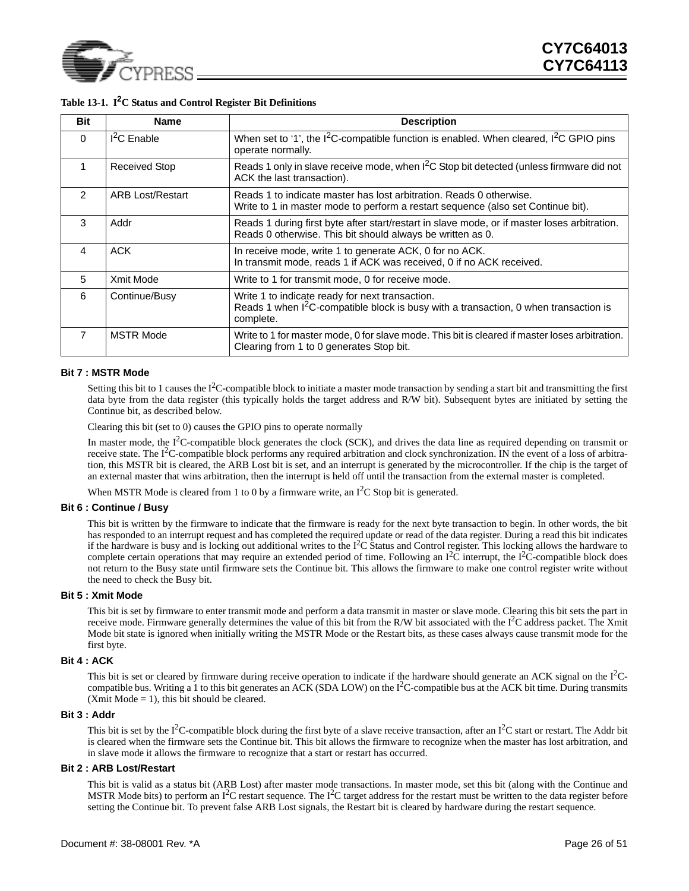

| <b>Bit</b>     | <b>Name</b>             | <b>Description</b>                                                                                                                                               |
|----------------|-------------------------|------------------------------------------------------------------------------------------------------------------------------------------------------------------|
| $\Omega$       | $I2C$ Enable            | When set to '1', the $12C$ -compatible function is enabled. When cleared, $12C$ GPIO pins<br>operate normally.                                                   |
| 1              | <b>Received Stop</b>    | Reads 1 only in slave receive mode, when $12C$ Stop bit detected (unless firmware did not<br>ACK the last transaction).                                          |
| $\mathcal{P}$  | <b>ARB Lost/Restart</b> | Reads 1 to indicate master has lost arbitration. Reads 0 otherwise.<br>Write to 1 in master mode to perform a restart sequence (also set Continue bit).          |
| 3              | Addr                    | Reads 1 during first byte after start/restart in slave mode, or if master loses arbitration.<br>Reads 0 otherwise. This bit should always be written as 0.       |
| 4              | <b>ACK</b>              | In receive mode, write 1 to generate ACK, 0 for no ACK.<br>In transmit mode, reads 1 if ACK was received, 0 if no ACK received.                                  |
| 5              | Xmit Mode               | Write to 1 for transmit mode, 0 for receive mode.                                                                                                                |
| 6              | Continue/Busy           | Write 1 to indicate ready for next transaction.<br>Reads 1 when I <sup>2</sup> C-compatible block is busy with a transaction, 0 when transaction is<br>complete. |
| $\overline{7}$ | <b>MSTR Mode</b>        | Write to 1 for master mode, 0 for slave mode. This bit is cleared if master loses arbitration.<br>Clearing from 1 to 0 generates Stop bit.                       |

### <span id="page-25-0"></span>**Table 13-1. I2C Status and Control Register Bit Definitions**

#### **Bit 7 : MSTR Mode**

Setting this bit to 1 causes the  $I^2C$ -compatible block to initiate a master mode transaction by sending a start bit and transmitting the first data byte from the data register (this typically holds the target address and R/W bit). Subsequent bytes are initiated by setting the Continue bit, as described below.

Clearing this bit (set to 0) causes the GPIO pins to operate normally

In master mode, the  $I^2C$ -compatible block generates the clock (SCK), and drives the data line as required depending on transmit or receive state. The  $I^2C$ -compatible block performs any required arbitration and clock synchronization. IN the event of a loss of arbitration, this MSTR bit is cleared, the ARB Lost bit is set, and an interrupt is generated by the microcontroller. If the chip is the target of an external master that wins arbitration, then the interrupt is held off until the transaction from the external master is completed.

When MSTR Mode is cleared from 1 to 0 by a firmware write, an  $I<sup>2</sup>C$  Stop bit is generated.

#### **Bit 6 : Continue / Busy**

This bit is written by the firmware to indicate that the firmware is ready for the next byte transaction to begin. In other words, the bit has responded to an interrupt request and has completed the required update or read of the data register. During a read this bit indicates if the hardware is busy and is locking out additional writes to the  $I^2C$  Status and Control register. This locking allows the hardware to complete certain operations that may require an extended period of time. Following an  $I^2\tilde{C}$  interrupt, the  $I^2\tilde{C}$ -compatible block does not return to the Busy state until firmware sets the Continue bit. This allows the firmware to make one control register write without the need to check the Busy bit.

#### **Bit 5 : Xmit Mode**

This bit is set by firmware to enter transmit mode and perform a data transmit in master or slave mode. Clearing this bit sets the part in receive mode. Firmware generally determines the value of this bit from the R/W bit associated with the I<sup>2</sup>C address packet. The Xmit Mode bit state is ignored when initially writing the MSTR Mode or the Restart bits, as these cases always cause transmit mode for the first byte.

#### **Bit 4 : ACK**

This bit is set or cleared by firmware during receive operation to indicate if the hardware should generate an ACK signal on the  $I<sup>2</sup>C$ compatible bus. Writing a 1 to this bit generates an ACK (SDA LOW) on the  $I<sup>2</sup>C$ -compatible bus at the ACK bit time. During transmits (Xmit Mode  $= 1$ ), this bit should be cleared.

#### **Bit 3 : Addr**

This bit is set by the I<sup>2</sup>C-compatible block during the first byte of a slave receive transaction, after an I<sup>2</sup>C start or restart. The Addr bit is cleared when the firmware sets the Continue bit. This bit allows the firmware to recognize when the master has lost arbitration, and in slave mode it allows the firmware to recognize that a start or restart has occurred.

#### **Bit 2 : ARB Lost/Restart**

This bit is valid as a status bit (ARB Lost) after master mode transactions. In master mode, set this bit (along with the Continue and MSTR Mode bits) to perform an I<sup>2</sup>C restart sequence. The I<sup>2</sup>C target address for the restart must be written to the data register before setting the Continue bit. To prevent false ARB Lost signals, the Restart bit is cleared by hardware during the restart sequence.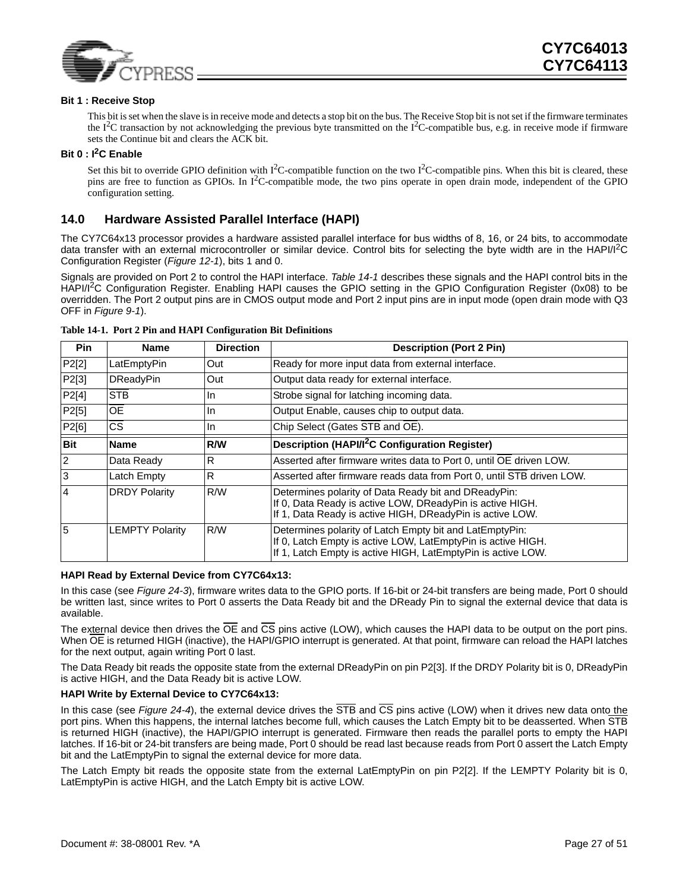

#### **Bit 1 : Receive Stop**

This bit is set when the slave is in receive mode and detects a stop bit on the bus. The Receive Stop bit is not set if the firmware terminates the  $I^2C$  transaction by not acknowledging the previous byte transmitted on the  $I^2C$ -compatible bus, e.g. in receive mode if firmware sets the Continue bit and clears the ACK bit.

#### **Bit 0 : I2C Enable**

Set this bit to override GPIO definition with  $I^2C$ -compatible function on the two  $I^2C$ -compatible pins. When this bit is cleared, these pins are free to function as GPIOs. In I<sup>2</sup>C-compatible mode, the two pins operate in open drain mode, independent of the GPIO configuration setting.

### <span id="page-26-0"></span>**14.0 Hardware Assisted Parallel Interface (HAPI)**

The CY7C64x13 processor provides a hardware assisted parallel interface for bus widths of 8, 16, or 24 bits, to accommodate data transfer with an external microcontroller or similar device. Control bits for selecting the byte width are in the HAPI/I<sup>2</sup>C Configuration Register (*[Figure 12-1](#page-23-3)*), bits 1 and 0.

Signals are provided on Port 2 to control the HAPI interface. *[Table 14-1](#page-26-1)* describes these signals and the HAPI control bits in the HAPI/I<sup>2</sup>C Configuration Register. Enabling HAPI causes the GPIO setting in the GPIO Configuration Register (0x08) to be overridden. The Port 2 output pins are in CMOS output mode and Port 2 input pins are in input mode (open drain mode with Q3 OFF in *[Figure 9-1](#page-18-1)*).

| <b>Pin</b>     | <b>Name</b>            | <b>Direction</b> | <b>Description (Port 2 Pin)</b>                                                                                                                                                         |
|----------------|------------------------|------------------|-----------------------------------------------------------------------------------------------------------------------------------------------------------------------------------------|
| P2[2]          | LatEmptyPin            | Out              | Ready for more input data from external interface.                                                                                                                                      |
| P2[3]          | <b>DReadyPin</b>       | Out              | Output data ready for external interface.                                                                                                                                               |
| P2[4]          | <b>STB</b>             | ln.              | Strobe signal for latching incoming data.                                                                                                                                               |
| P2[5]          | <b>OE</b>              | <b>In</b>        | Output Enable, causes chip to output data.                                                                                                                                              |
| P2[6]          | CS.                    | In.              | Chip Select (Gates STB and OE).                                                                                                                                                         |
| <b>Bit</b>     | <b>Name</b>            | R/W              | Description (HAPI/I <sup>2</sup> C Configuration Register)                                                                                                                              |
| <sup>2</sup>   | Data Ready             | $\overline{R}$   | Asserted after firmware writes data to Port 0, until OE driven LOW.                                                                                                                     |
| 3              | Latch Empty            | $\overline{R}$   | Asserted after firmware reads data from Port 0, until STB driven LOW.                                                                                                                   |
| $\overline{4}$ | <b>DRDY Polarity</b>   | R/W              | Determines polarity of Data Ready bit and DReadyPin:<br>If 0, Data Ready is active LOW, DReadyPin is active HIGH.<br>If 1, Data Ready is active HIGH, DReadyPin is active LOW.          |
| 5              | <b>LEMPTY Polarity</b> | R/W              | Determines polarity of Latch Empty bit and LatEmptyPin:<br>If 0, Latch Empty is active LOW, LatEmptyPin is active HIGH.<br>If 1, Latch Empty is active HIGH, LatEmptyPin is active LOW. |

<span id="page-26-1"></span>**Table 14-1. Port 2 Pin and HAPI Configuration Bit Definitions**

#### **HAPI Read by External Device from CY7C64x13:**

In this case (see *[Figure 24-3](#page-46-2)*), firmware writes data to the GPIO ports. If 16-bit or 24-bit transfers are being made, Port 0 should be written last, since writes to Port 0 asserts the Data Ready bit and the DReady Pin to signal the external device that data is available.

The external device then drives the  $\overline{OE}$  and  $\overline{CS}$  pins active (LOW), which causes the HAPI data to be output on the port pins. When  $\overline{OE}$  is returned HIGH (inactive), the HAPI/GPIO interrupt is generated. At that point, firmware can reload the HAPI latches for the next output, again writing Port 0 last.

The Data Ready bit reads the opposite state from the external DReadyPin on pin P2[3]. If the DRDY Polarity bit is 0, DReadyPin is active HIGH, and the Data Ready bit is active LOW.

#### **HAPI Write by External Device to CY7C64x13:**

In this case (see *[Figure 24-4](#page-47-1)*), the external device drives the  $\overline{STB}$  and  $\overline{CS}$  pins active (LOW) when it drives new data onto the port pins. When this happens, the internal latches become full, which causes the Latch Empty bit to be deasserted. When STB is returned HIGH (inactive), the HAPI/GPIO interrupt is generated. Firmware then reads the parallel ports to empty the HAPI latches. If 16-bit or 24-bit transfers are being made, Port 0 should be read last because reads from Port 0 assert the Latch Empty bit and the LatEmptyPin to signal the external device for more data.

The Latch Empty bit reads the opposite state from the external LatEmptyPin on pin P2[2]. If the LEMPTY Polarity bit is 0, LatEmptyPin is active HIGH, and the Latch Empty bit is active LOW.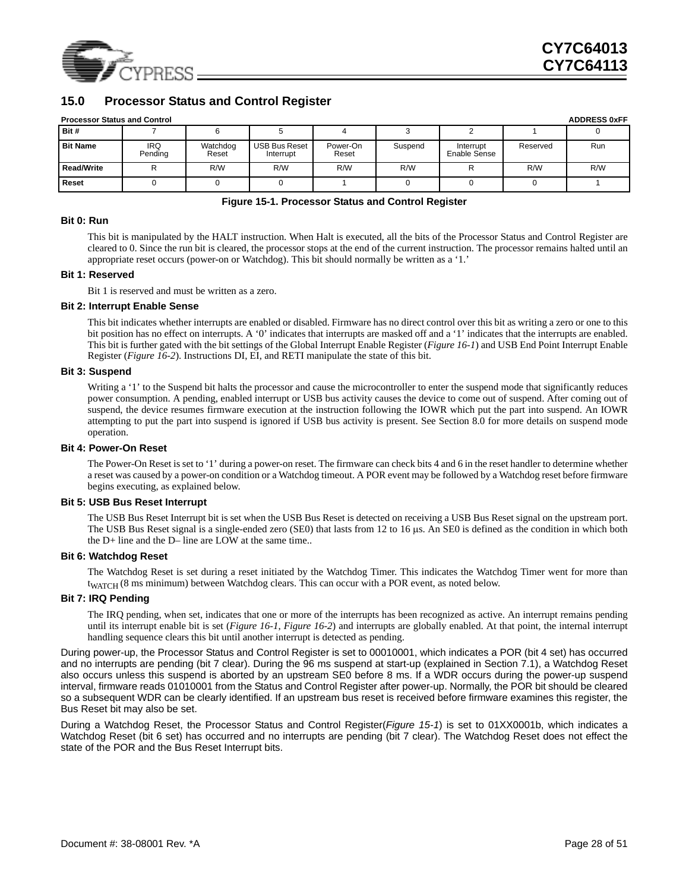

### <span id="page-27-0"></span>**15.0 Processor Status and Control Register**

| <b>Processor Status and Contro</b> |  |  |
|------------------------------------|--|--|

| <b>Processor Status and Control</b> |                       |                   |                                   |                   |         |                           |          | <b>ADDRESS 0xFF</b> |
|-------------------------------------|-----------------------|-------------------|-----------------------------------|-------------------|---------|---------------------------|----------|---------------------|
| Bit #                               |                       |                   |                                   |                   |         |                           |          |                     |
| <b>Bit Name</b>                     | <b>IRQ</b><br>Pending | Watchdog<br>Reset | <b>USB Bus Reset</b><br>Interrupt | Power-On<br>Reset | Suspend | Interrupt<br>Enable Sense | Reserved | Run                 |
| <b>Read/Write</b>                   |                       | R/W               | R/W                               | R/W               | R/W     |                           | R/W      | R/W                 |
| Reset                               |                       |                   |                                   |                   |         |                           |          |                     |

#### **Figure 15-1. Processor Status and Control Register**

#### <span id="page-27-1"></span>**Bit 0: Run**

This bit is manipulated by the HALT instruction. When Halt is executed, all the bits of the Processor Status and Control Register are cleared to 0. Since the run bit is cleared, the processor stops at the end of the current instruction. The processor remains halted until an appropriate reset occurs (power-on or Watchdog). This bit should normally be written as a '1.'

#### **Bit 1: Reserved**

Bit 1 is reserved and must be written as a zero.

#### **Bit 2: Interrupt Enable Sense**

This bit indicates whether interrupts are enabled or disabled. Firmware has no direct control over this bit as writing a zero or one to this bit position has no effect on interrupts. A '0' indicates that interrupts are masked off and a '1' indicates that the interrupts are enabled. This bit is further gated with the bit settings of the Global Interrupt Enable Register (*[Figure 16-1](#page-28-1)*) and USB End Point Interrupt Enable Register (*[Figure 16-2](#page-28-2)*). Instructions DI, EI, and RETI manipulate the state of this bit.

#### **Bit 3: Suspend**

Writing a '1' to the Suspend bit halts the processor and cause the microcontroller to enter the suspend mode that significantly reduces power consumption. A pending, enabled interrupt or USB bus activity causes the device to come out of suspend. After coming out of suspend, the device resumes firmware execution at the instruction following the IOWR which put the part into suspend. An IOWR attempting to put the part into suspend is ignored if USB bus activity is present. See Section [8.0](#page-17-0) for more details on suspend mode operation.

#### **Bit 4: Power-On Reset**

The Power-On Reset is set to '1' during a power-on reset. The firmware can check bits 4 and 6 in the reset handler to determine whether a reset was caused by a power-on condition or a Watchdog timeout. A POR event may be followed by a Watchdog reset before firmware begins executing, as explained below.

#### **Bit 5: USB Bus Reset Interrupt**

The USB Bus Reset Interrupt bit is set when the USB Bus Reset is detected on receiving a USB Bus Reset signal on the upstream port. The USB Bus Reset signal is a single-ended zero (SE0) that lasts from 12 to 16 µs. An SE0 is defined as the condition in which both the D+ line and the D– line are LOW at the same time..

#### **Bit 6: Watchdog Reset**

The Watchdog Reset is set during a reset initiated by the Watchdog Timer. This indicates the Watchdog Timer went for more than t<sub>WATCH</sub> (8 ms minimum) between Watchdog clears. This can occur with a POR event, as noted below.

#### **Bit 7: IRQ Pending**

The IRQ pending, when set, indicates that one or more of the interrupts has been recognized as active. An interrupt remains pending until its interrupt enable bit is set (*[Figure 16-1](#page-28-1)*, *[Figure 16-2](#page-28-2)*) and interrupts are globally enabled. At that point, the internal interrupt handling sequence clears this bit until another interrupt is detected as pending.

During power-up, the Processor Status and Control Register is set to 00010001, which indicates a POR (bit 4 set) has occurred and no interrupts are pending (bit 7 clear). During the 96 ms suspend at start-up (explained in Section [7.1\)](#page-16-2), a Watchdog Reset also occurs unless this suspend is aborted by an upstream SE0 before 8 ms. If a WDR occurs during the power-up suspend interval, firmware reads 01010001 from the Status and Control Register after power-up. Normally, the POR bit should be cleared so a subsequent WDR can be clearly identified. If an upstream bus reset is received before firmware examines this register, the Bus Reset bit may also be set.

During a Watchdog Reset, the Processor Status and Control Register(*[Figure 15-1](#page-27-1)*) is set to 01XX0001b, which indicates a Watchdog Reset (bit 6 set) has occurred and no interrupts are pending (bit 7 clear). The Watchdog Reset does not effect the state of the POR and the Bus Reset Interrupt bits.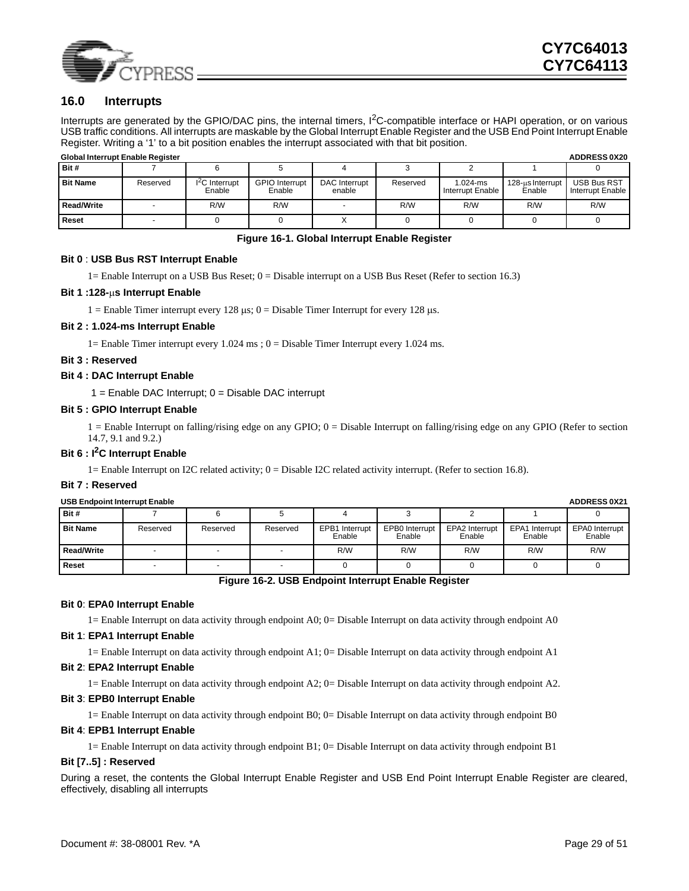

### <span id="page-28-0"></span>**16.0 Interrupts**

Interrupts are generated by the GPIO/DAC pins, the internal timers, I<sup>2</sup>C-compatible interface or HAPI operation, or on various USB traffic conditions. All interrupts are maskable by the Global Interrupt Enable Register and the USB End Point Interrupt Enable Register. Writing a '1' to a bit position enables the interrupt associated with that bit position.

| <b>Global Interrupt Enable Register</b> |          |                           |                                 |                         |          |                                  |                            | <b>ADDRESS 0X20</b>                    |
|-----------------------------------------|----------|---------------------------|---------------------------------|-------------------------|----------|----------------------------------|----------------------------|----------------------------------------|
| Bit #                                   |          |                           |                                 |                         |          |                                  |                            |                                        |
| <b>Bit Name</b>                         | Reserved | $I2C$ Interrupt<br>Enable | <b>GPIO</b> Interrupt<br>Enable | DAC Interrupt<br>enable | Reserved | $1.024 - ms$<br>Interrupt Enable | 128-us Interrupt<br>Enable | <b>USB Bus RST</b><br>Interrupt Enable |
| <b>Read/Write</b>                       |          | R/W                       | R/W                             |                         | R/W      | R/W                              | R/W                        | R/W                                    |
| Reset                                   |          |                           |                                 | $\lambda$               |          |                                  |                            |                                        |

#### **Figure 16-1. Global Interrupt Enable Register**

### <span id="page-28-1"></span>**Bit 0** : **USB Bus RST Interrupt Enable**

1= Enable Interrupt on a USB Bus Reset; 0 = Disable interrupt on a USB Bus Reset (Refer to section 16.3)

#### **Bit 1 :128-**µ**s Interrupt Enable**

1 = Enable Timer interrupt every 128  $\mu$ s; 0 = Disable Timer Interrupt for every 128  $\mu$ s.

#### **Bit 2 : 1.024-ms Interrupt Enable**

1= Enable Timer interrupt every 1.024 ms ;  $0 =$  Disable Timer Interrupt every 1.024 ms.

#### **Bit 3 : Reserved**

#### **Bit 4 : DAC Interrupt Enable**

 $1 =$  Enable DAC Interrupt;  $0 =$  Disable DAC interrupt

#### **Bit 5 : GPIO Interrupt Enable**

1 = Enable Interrupt on falling/rising edge on any GPIO; 0 = Disable Interrupt on falling/rising edge on any GPIO (Refer to section 14.7, 9.1 and 9.2.)

#### **Bit 6 : I<sup>2</sup>C Interrupt Enable**

1= Enable Interrupt on I2C related activity; 0 = Disable I2C related activity interrupt. (Refer to section 16.8).

#### **Bit 7 : Reserved**

#### USB Endpoint Interrupt Enable **ADDRESS 0X21**

| Bit #             |          |          |          |                          |                          |                          |                          |                          |
|-------------------|----------|----------|----------|--------------------------|--------------------------|--------------------------|--------------------------|--------------------------|
| <b>Bit Name</b>   | Reserved | Reserved | Reserved | EPB1 Interrupt<br>Enable | EPB0 Interrupt<br>Enable | EPA2 Interrupt<br>Enable | EPA1 Interrupt<br>Enable | EPA0 Interrupt<br>Enable |
| <b>Read/Write</b> |          |          |          | R/W                      | R/W                      | R/W                      | R/W                      | R/W                      |
| Reset             |          |          |          |                          |                          |                          |                          |                          |
|                   |          | $- - -$  | .        |                          | .                        |                          |                          |                          |

#### **Figure 16-2. USB Endpoint Interrupt Enable Register**

#### <span id="page-28-2"></span>**Bit 0**: **EPA0 Interrupt Enable**

1= Enable Interrupt on data activity through endpoint A0; 0= Disable Interrupt on data activity through endpoint A0

#### **Bit 1**: **EPA1 Interrupt Enable**

1= Enable Interrupt on data activity through endpoint A1; 0= Disable Interrupt on data activity through endpoint A1

#### **Bit 2**: **EPA2 Interrupt Enable**

1= Enable Interrupt on data activity through endpoint A2; 0= Disable Interrupt on data activity through endpoint A2.

#### **Bit 3**: **EPB0 Interrupt Enable**

1= Enable Interrupt on data activity through endpoint B0; 0= Disable Interrupt on data activity through endpoint B0

#### **Bit 4**: **EPB1 Interrupt Enable**

1= Enable Interrupt on data activity through endpoint B1; 0= Disable Interrupt on data activity through endpoint B1

#### **Bit [7..5] : Reserved**

During a reset, the contents the Global Interrupt Enable Register and USB End Point Interrupt Enable Register are cleared, effectively, disabling all interrupts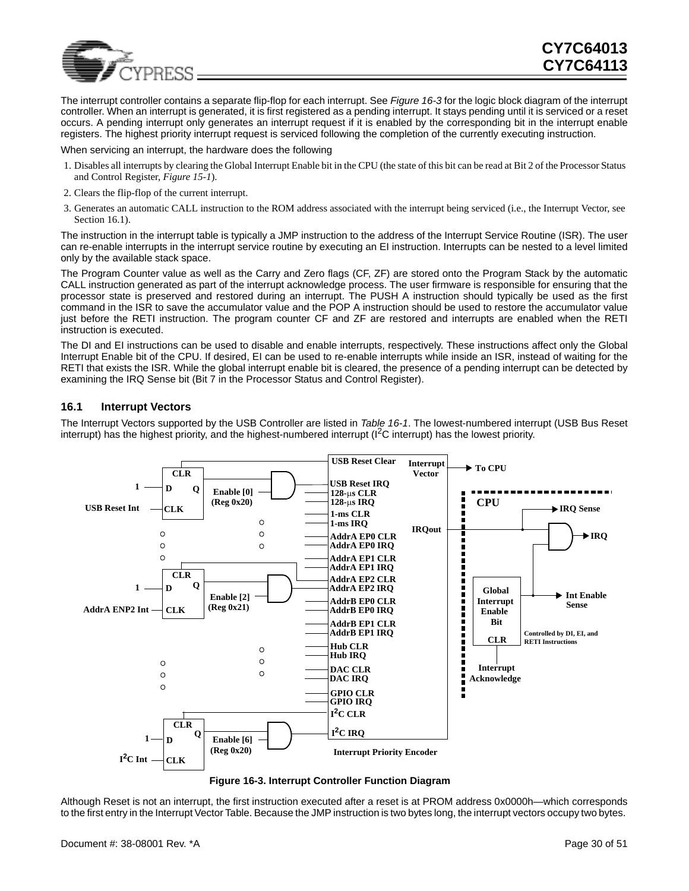

The interrupt controller contains a separate flip-flop for each interrupt. See *[Figure 16-3](#page-29-1)* for the logic block diagram of the interrupt controller. When an interrupt is generated, it is first registered as a pending interrupt. It stays pending until it is serviced or a reset occurs. A pending interrupt only generates an interrupt request if it is enabled by the corresponding bit in the interrupt enable registers. The highest priority interrupt request is serviced following the completion of the currently executing instruction.

When servicing an interrupt, the hardware does the following

- 1. Disables all interrupts by clearing the Global Interrupt Enable bit in the CPU (the state of this bit can be read at Bit 2 of the Processor Status and Control Register, *[Figure 15-1](#page-27-1)*).
- 2. Clears the flip-flop of the current interrupt.
- 3. Generates an automatic CALL instruction to the ROM address associated with the interrupt being serviced (i.e., the Interrupt Vector, see Section [16.1\)](#page-29-0).

The instruction in the interrupt table is typically a JMP instruction to the address of the Interrupt Service Routine (ISR). The user can re-enable interrupts in the interrupt service routine by executing an EI instruction. Interrupts can be nested to a level limited only by the available stack space.

The Program Counter value as well as the Carry and Zero flags (CF, ZF) are stored onto the Program Stack by the automatic CALL instruction generated as part of the interrupt acknowledge process. The user firmware is responsible for ensuring that the processor state is preserved and restored during an interrupt. The PUSH A instruction should typically be used as the first command in the ISR to save the accumulator value and the POP A instruction should be used to restore the accumulator value just before the RETI instruction. The program counter CF and ZF are restored and interrupts are enabled when the RETI instruction is executed.

The DI and EI instructions can be used to disable and enable interrupts, respectively. These instructions affect only the Global Interrupt Enable bit of the CPU. If desired, EI can be used to re-enable interrupts while inside an ISR, instead of waiting for the RETI that exists the ISR. While the global interrupt enable bit is cleared, the presence of a pending interrupt can be detected by examining the IRQ Sense bit (Bit 7 in the Processor Status and Control Register).

#### <span id="page-29-0"></span>**16.1 Interrupt Vectors**

The Interrupt Vectors supported by the USB Controller are listed in *[Table 16-1](#page-30-5)*. The lowest-numbered interrupt (USB Bus Reset interrupt) has the highest priority, and the highest-numbered interrupt  $\binom{12}{\text{C}}$  interrupt) has the lowest priority.



<span id="page-29-1"></span>**Figure 16-3. Interrupt Controller Function Diagram**

Although Reset is not an interrupt, the first instruction executed after a reset is at PROM address 0x0000h—which corresponds to the first entry in the Interrupt Vector Table. Because the JMP instruction is two bytes long, the interrupt vectors occupy two bytes.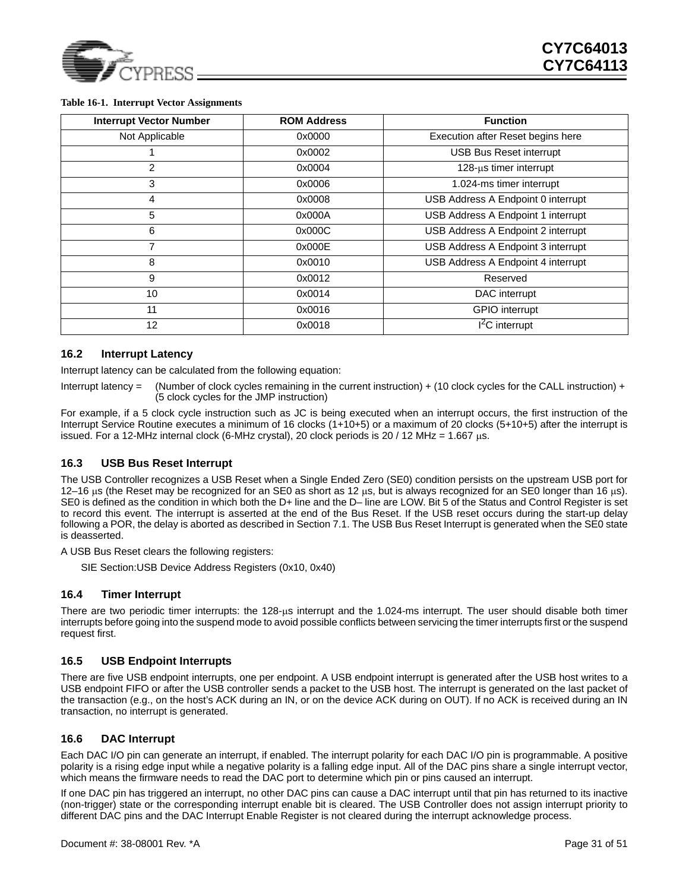

| <b>Interrupt Vector Number</b> | <b>ROM Address</b> | <b>Function</b>                    |
|--------------------------------|--------------------|------------------------------------|
| Not Applicable                 | 0x0000             | Execution after Reset begins here  |
|                                | 0x0002             | <b>USB Bus Reset interrupt</b>     |
| $\overline{2}$                 | 0x0004             | $128$ -µs timer interrupt          |
| 3                              | 0x0006             | 1.024-ms timer interrupt           |
| 4                              | 0x0008             | USB Address A Endpoint 0 interrupt |
| 5                              | 0x000A             | USB Address A Endpoint 1 interrupt |
| 6                              | 0x000C             | USB Address A Endpoint 2 interrupt |
| 7                              | 0x000E             | USB Address A Endpoint 3 interrupt |
| 8                              | 0x0010             | USB Address A Endpoint 4 interrupt |
| 9                              | 0x0012             | Reserved                           |
| 10                             | 0x0014             | DAC interrupt                      |
| 11                             | 0x0016             | <b>GPIO</b> interrupt              |
| 12                             | 0x0018             | $I2C$ interrupt                    |

#### <span id="page-30-5"></span>**Table 16-1. Interrupt Vector Assignments**

#### <span id="page-30-0"></span>**16.2 Interrupt Latency**

Interrupt latency can be calculated from the following equation:

Interrupt latency = (Number of clock cycles remaining in the current instruction) + (10 clock cycles for the CALL instruction) + (5 clock cycles for the JMP instruction)

For example, if a 5 clock cycle instruction such as JC is being executed when an interrupt occurs, the first instruction of the Interrupt Service Routine executes a minimum of 16 clocks (1+10+5) or a maximum of 20 clocks (5+10+5) after the interrupt is issued. For a 12-MHz internal clock (6-MHz crystal), 20 clock periods is 20 / 12 MHz = 1.667  $\mu$ s.

### <span id="page-30-1"></span>**16.3 USB Bus Reset Interrupt**

The USB Controller recognizes a USB Reset when a Single Ended Zero (SE0) condition persists on the upstream USB port for 12–16  $\mu$ s (the Reset may be recognized for an SE0 as short as 12  $\mu$ s, but is always recognized for an SE0 longer than 16  $\mu$ s). SE0 is defined as the condition in which both the D+ line and the D– line are LOW. Bit 5 of the Status and Control Register is set to record this event. The interrupt is asserted at the end of the Bus Reset. If the USB reset occurs during the start-up delay following a POR, the delay is aborted as described in Section [7.1](#page-16-2). The USB Bus Reset Interrupt is generated when the SE0 state is deasserted.

A USB Bus Reset clears the following registers:

SIE Section:USB Device Address Registers (0x10, 0x40)

#### <span id="page-30-2"></span>**16.4 Timer Interrupt**

There are two periodic timer interrupts: the 128-µs interrupt and the 1.024-ms interrupt. The user should disable both timer interrupts before going into the suspend mode to avoid possible conflicts between servicing the timer interrupts first or the suspend request first.

### <span id="page-30-3"></span>**16.5 USB Endpoint Interrupts**

There are five USB endpoint interrupts, one per endpoint. A USB endpoint interrupt is generated after the USB host writes to a USB endpoint FIFO or after the USB controller sends a packet to the USB host. The interrupt is generated on the last packet of the transaction (e.g., on the host's ACK during an IN, or on the device ACK during on OUT). If no ACK is received during an IN transaction, no interrupt is generated.

### <span id="page-30-4"></span>**16.6 DAC Interrupt**

Each DAC I/O pin can generate an interrupt, if enabled. The interrupt polarity for each DAC I/O pin is programmable. A positive polarity is a rising edge input while a negative polarity is a falling edge input. All of the DAC pins share a single interrupt vector, which means the firmware needs to read the DAC port to determine which pin or pins caused an interrupt.

If one DAC pin has triggered an interrupt, no other DAC pins can cause a DAC interrupt until that pin has returned to its inactive (non-trigger) state or the corresponding interrupt enable bit is cleared. The USB Controller does not assign interrupt priority to different DAC pins and the DAC Interrupt Enable Register is not cleared during the interrupt acknowledge process.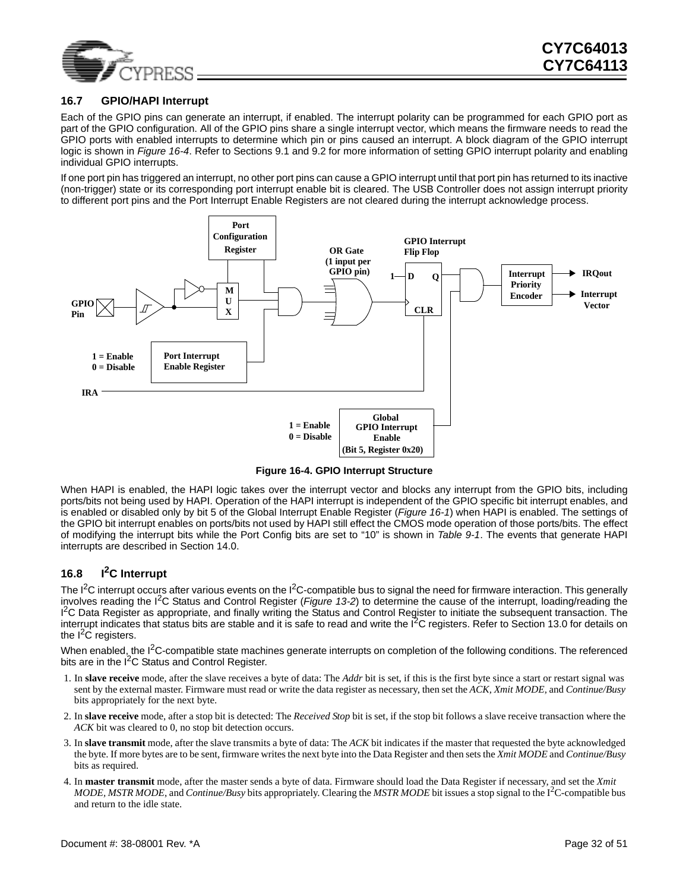

### <span id="page-31-0"></span>**16.7 GPIO/HAPI Interrupt**

Each of the GPIO pins can generate an interrupt, if enabled. The interrupt polarity can be programmed for each GPIO port as part of the GPIO configuration. All of the GPIO pins share a single interrupt vector, which means the firmware needs to read the GPIO ports with enabled interrupts to determine which pin or pins caused an interrupt. A block diagram of the GPIO interrupt logic is shown in *[Figure 16-4](#page-31-2)*. Refer to Sections [9.1](#page-19-0) and [9.2](#page-20-0) for more information of setting GPIO interrupt polarity and enabling individual GPIO interrupts.

If one port pin has triggered an interrupt, no other port pins can cause a GPIO interrupt until that port pin has returned to its inactive (non-trigger) state or its corresponding port interrupt enable bit is cleared. The USB Controller does not assign interrupt priority to different port pins and the Port Interrupt Enable Registers are not cleared during the interrupt acknowledge process.



**Figure 16-4. GPIO Interrupt Structure**

<span id="page-31-2"></span>When HAPI is enabled, the HAPI logic takes over the interrupt vector and blocks any interrupt from the GPIO bits, including ports/bits not being used by HAPI. Operation of the HAPI interrupt is independent of the GPIO specific bit interrupt enables, and is enabled or disabled only by bit 5 of the Global Interrupt Enable Register (*[Figure 16-1](#page-28-1)*) when HAPI is enabled. The settings of the GPIO bit interrupt enables on ports/bits not used by HAPI still effect the CMOS mode operation of those ports/bits. The effect of modifying the interrupt bits while the Port Config bits are set to "10" is shown in *[Table 9-1](#page-19-3)*. The events that generate HAPI interrupts are described in Section [14.0](#page-26-0).

### <span id="page-31-1"></span>**16.8 I2C Interrupt**

The  $I<sup>2</sup>C$  interrupt occurs after various events on the  $I<sup>2</sup>C$ -compatible bus to signal the need for firmware interaction. This generally involves reading the I2C Status and Control Register (*[Figure 13-2](#page-24-2)*) to determine the cause of the interrupt, loading/reading the <sup>12</sup>C Data Register as appropriate, and finally writing the Status and Control Register to initiate the subsequent transaction. The interrupt indicates that status bits are stable and it is safe to read and write the  $I<sup>2</sup>C$  registers. Refer to Section [13.0](#page-24-0) for details on the  $I^2C$  registers.

When enabled, the I<sup>2</sup>C-compatible state machines generate interrupts on completion of the following conditions. The referenced bits are in the  $I^2C$  Status and Control Register.

- 1. In **slave receive** mode, after the slave receives a byte of data: The *Addr* bit is set, if this is the first byte since a start or restart signal was sent by the external master. Firmware must read or write the data register as necessary, then set the *ACK, Xmit MODE,* and *Continue/Busy* bits appropriately for the next byte.
- 2. In **slave receive** mode, after a stop bit is detected: The *Received Stop* bit is set, if the stop bit follows a slave receive transaction where the *ACK* bit was cleared to 0, no stop bit detection occurs.
- 3. In **slave transmit** mode, after the slave transmits a byte of data: The *ACK* bit indicates if the master that requested the byte acknowledged the byte. If more bytes are to be sent, firmware writes the next byte into the Data Register and then sets the *Xmit MODE* and *Continue/Busy* bits as required.
- 4. In **master transmit** mode, after the master sends a byte of data. Firmware should load the Data Register if necessary, and set the *Xmit MODE, MSTR MODE*, and *Continue/Busy* bits appropriately. Clearing the *MSTR MODE* bit issues a stop signal to the I<sup>2</sup> C-compatible bus and return to the idle state.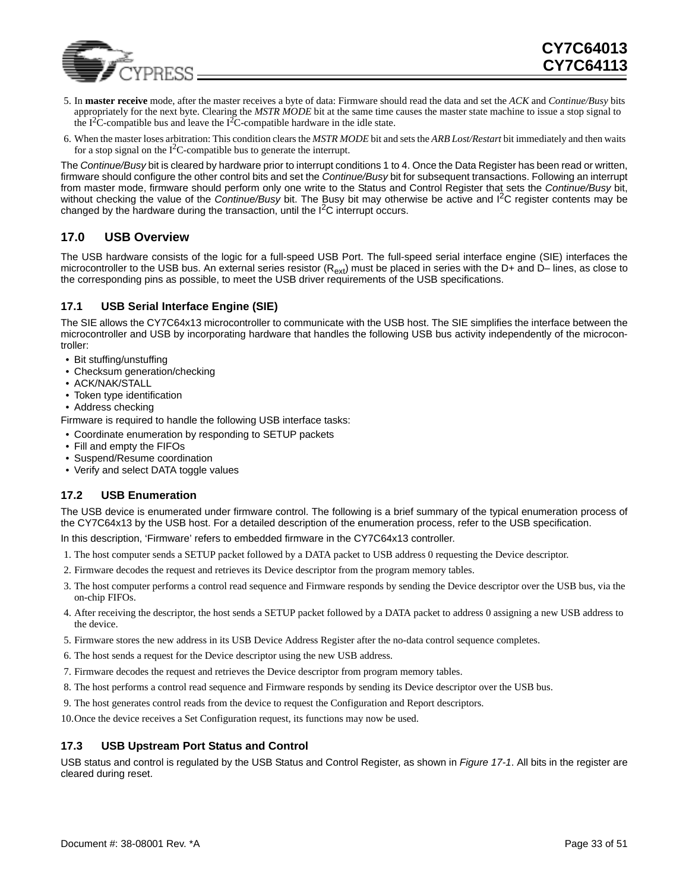

- 5. In **master receive** mode, after the master receives a byte of data: Firmware should read the data and set the *ACK* and *Continue/Busy* bits appropriately for the next byte. Clearing the *MSTR MODE* bit at the same time causes the master state machine to issue a stop signal to the  $I^2C$ -compatible bus and leave the  $I^2C$ -compatible hardware in the idle state.
- 6. When the master loses arbitration: This condition clears the *MSTR MODE* bit and sets the *ARB Lost/Restart* bit immediately and then waits for a stop signal on the  $I^2C$ -compatible bus to generate the interrupt.

The *Continue/Busy* bit is cleared by hardware prior to interrupt conditions 1 to 4. Once the Data Register has been read or written, firmware should configure the other control bits and set the *Continue/Busy* bit for subsequent transactions. Following an interrupt from master mode, firmware should perform only one write to the Status and Control Register that sets the *Continue/Busy* bit, without checking the value of the *Continue/Busy* bit. The Busy bit may otherwise be active and I2C register contents may be changed by the hardware during the transaction, until the  $I<sup>2</sup>C$  interrupt occurs.

### <span id="page-32-0"></span>**17.0 USB Overview**

The USB hardware consists of the logic for a full-speed USB Port. The full-speed serial interface engine (SIE) interfaces the microcontroller to the USB bus. An external series resistor  $(R_{ext})$  must be placed in series with the D+ and D– lines, as close to the corresponding pins as possible, to meet the USB driver requirements of the USB specifications.

### <span id="page-32-1"></span>**17.1 USB Serial Interface Engine (SIE)**

The SIE allows the CY7C64x13 microcontroller to communicate with the USB host. The SIE simplifies the interface between the microcontroller and USB by incorporating hardware that handles the following USB bus activity independently of the microcontroller:

- Bit stuffing/unstuffing
- Checksum generation/checking
- ACK/NAK/STALL
- Token type identification
- Address checking

Firmware is required to handle the following USB interface tasks:

- Coordinate enumeration by responding to SETUP packets
- Fill and empty the FIFOs
- Suspend/Resume coordination
- Verify and select DATA toggle values

### <span id="page-32-2"></span>**17.2 USB Enumeration**

The USB device is enumerated under firmware control. The following is a brief summary of the typical enumeration process of the CY7C64x13 by the USB host. For a detailed description of the enumeration process, refer to the USB specification.

In this description, 'Firmware' refers to embedded firmware in the CY7C64x13 controller.

- 1. The host computer sends a SETUP packet followed by a DATA packet to USB address 0 requesting the Device descriptor.
- 2. Firmware decodes the request and retrieves its Device descriptor from the program memory tables.
- 3. The host computer performs a control read sequence and Firmware responds by sending the Device descriptor over the USB bus, via the on-chip FIFOs.
- 4. After receiving the descriptor, the host sends a SETUP packet followed by a DATA packet to address 0 assigning a new USB address to the device.
- 5. Firmware stores the new address in its USB Device Address Register after the no-data control sequence completes.
- 6. The host sends a request for the Device descriptor using the new USB address.
- 7. Firmware decodes the request and retrieves the Device descriptor from program memory tables.
- 8. The host performs a control read sequence and Firmware responds by sending its Device descriptor over the USB bus.
- 9. The host generates control reads from the device to request the Configuration and Report descriptors.
- 10.Once the device receives a Set Configuration request, its functions may now be used.

### <span id="page-32-3"></span>**17.3 USB Upstream Port Status and Control**

USB status and control is regulated by the USB Status and Control Register, as shown in *[Figure 17-1](#page-33-2)*. All bits in the register are cleared during reset.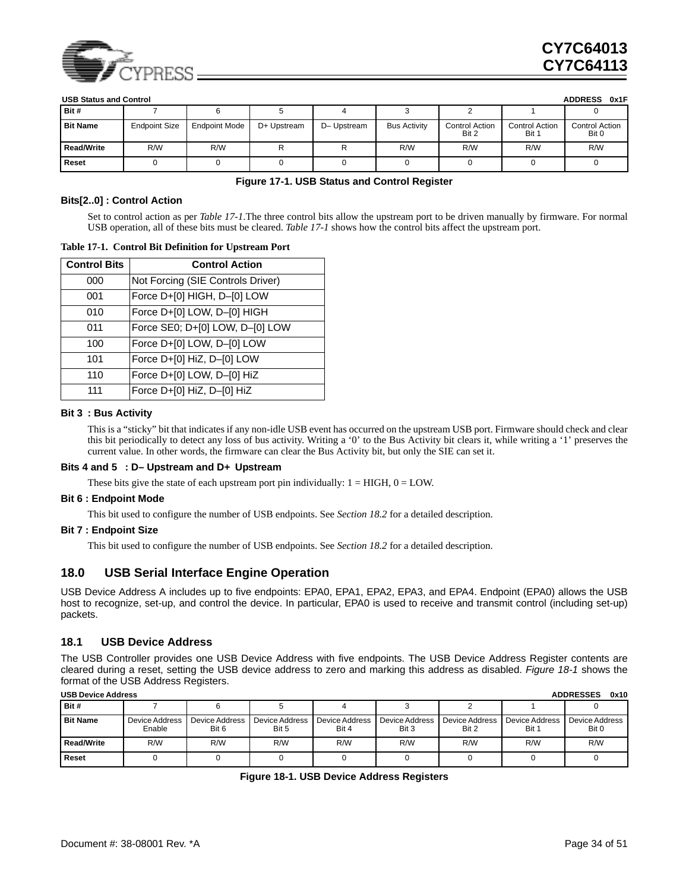

|                   | <b>ADDRESS</b><br><b>USB Status and Control</b><br>0x1F |                      |             |             |                     |                         |                                |                                |  |  |
|-------------------|---------------------------------------------------------|----------------------|-------------|-------------|---------------------|-------------------------|--------------------------------|--------------------------------|--|--|
| Bit #             |                                                         |                      |             |             |                     |                         |                                |                                |  |  |
| <b>Bit Name</b>   | <b>Endpoint Size</b>                                    | <b>Endpoint Mode</b> | D+ Upstream | D- Upstream | <b>Bus Activity</b> | Control Action<br>Bit 2 | <b>Control Action</b><br>Bit 1 | <b>Control Action</b><br>Bit 0 |  |  |
| <b>Read/Write</b> | R/W                                                     | R/W                  | R/W<br>R/W  |             | R/W                 | R/W                     |                                |                                |  |  |
| Reset             |                                                         |                      |             |             |                     |                         |                                |                                |  |  |

#### **Figure 17-1. USB Status and Control Register**

#### <span id="page-33-2"></span>**Bits[2..0] : Control Action**

Set to control action as per *[Table 17-1](#page-33-4)*.The three control bits allow the upstream port to be driven manually by firmware. For normal USB operation, all of these bits must be cleared. *[Table 17-1](#page-33-4)* shows how the control bits affect the upstream port.

#### <span id="page-33-4"></span>**Table 17-1. Control Bit Definition for Upstream Port**

| <b>Control Bits</b> | <b>Control Action</b>             |
|---------------------|-----------------------------------|
| 000                 | Not Forcing (SIE Controls Driver) |
| 001                 | Force D+[0] HIGH, D-[0] LOW       |
| 010                 | Force D+[0] LOW, D-[0] HIGH       |
| 011                 | Force SE0; D+[0] LOW, D-[0] LOW   |
| 100                 | Force D+[0] LOW, D-[0] LOW        |
| 101                 | Force D+[0] HiZ, D-[0] LOW        |
| 110                 | Force D+[0] LOW, D-[0] HiZ        |
| 111                 | Force D+[0] HiZ, D-[0] HiZ        |

#### **Bit 3 : Bus Activity**

This is a "sticky" bit that indicates if any non-idle USB event has occurred on the upstream USB port. Firmware should check and clear this bit periodically to detect any loss of bus activity. Writing a '0' to the Bus Activity bit clears it, while writing a '1' preserves the current value. In other words, the firmware can clear the Bus Activity bit, but only the SIE can set it.

#### **Bits 4 and 5 : D– Upstream and D+ Upstream**

These bits give the state of each upstream port pin individually:  $1 = HIGH$ ,  $0 = LOW$ .

#### **Bit 6 : Endpoint Mode**

This bit used to configure the number of USB endpoints. See *Section [18.2](#page-34-0)* for a detailed description.

#### **Bit 7 : Endpoint Size**

This bit used to configure the number of USB endpoints. See *Section [18.2](#page-34-0)* for a detailed description.

### <span id="page-33-0"></span>**18.0 USB Serial Interface Engine Operation**

USB Device Address A includes up to five endpoints: EPA0, EPA1, EPA2, EPA3, and EPA4. Endpoint (EPA0) allows the USB host to recognize, set-up, and control the device. In particular, EPA0 is used to receive and transmit control (including set-up) packets.

#### <span id="page-33-1"></span>**18.1 USB Device Address**

The USB Controller provides one USB Device Address with five endpoints. The USB Device Address Register contents are cleared during a reset, setting the USB device address to zero and marking this address as disabled. *[Figure 18-1](#page-33-3)* shows the format of the USB Address Registers.

<span id="page-33-3"></span>

|                   | <b>ADDRESSES</b><br>0x10<br><b>USB Device Address</b> |                         |                         |                          |                         |                         |                         |                         |  |  |
|-------------------|-------------------------------------------------------|-------------------------|-------------------------|--------------------------|-------------------------|-------------------------|-------------------------|-------------------------|--|--|
| Bit #             |                                                       |                         |                         |                          |                         |                         |                         |                         |  |  |
| <b>Bit Name</b>   | Device Address<br>Enable                              | Device Address<br>Bit 6 | Device Address<br>Bit 5 | Device Address<br>Bit 4  | Device Address<br>Bit 3 | Device Address<br>Bit 2 | Device Address<br>Bit 1 | Device Address<br>Bit 0 |  |  |
| <b>Read/Write</b> | R/W                                                   | R/W                     | R/W                     | R/W<br>R/W<br>R/W<br>R/W |                         |                         | R/W                     |                         |  |  |
| Reset             |                                                       |                         |                         |                          |                         |                         |                         |                         |  |  |

| Figure 18-1. USB Device Address Registers |  |  |  |  |
|-------------------------------------------|--|--|--|--|
|-------------------------------------------|--|--|--|--|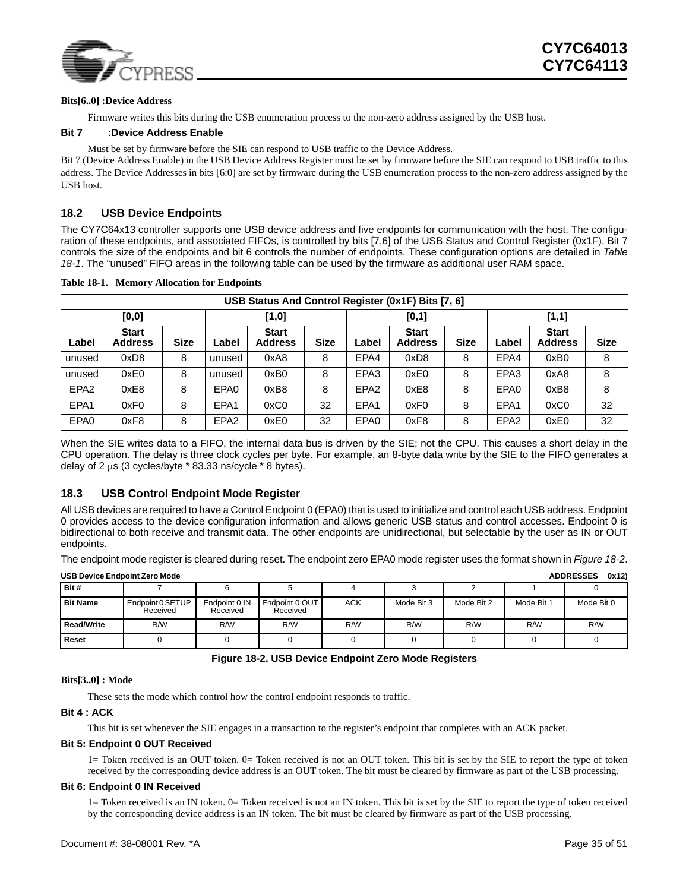

#### **Bits[6..0] :Device Address**

Firmware writes this bits during the USB enumeration process to the non-zero address assigned by the USB host.

#### **Bit 7 :Device Address Enable**

Must be set by firmware before the SIE can respond to USB traffic to the Device Address.

Bit 7 (Device Address Enable) in the USB Device Address Register must be set by firmware before the SIE can respond to USB traffic to this address. The Device Addresses in bits [6:0] are set by firmware during the USB enumeration process to the non-zero address assigned by the USB host.

### <span id="page-34-0"></span>**18.2 USB Device Endpoints**

The CY7C64x13 controller supports one USB device address and five endpoints for communication with the host. The configuration of these endpoints, and associated FIFOs, is controlled by bits [7,6] of the USB Status and Control Register (0x1F). Bit 7 controls the size of the endpoints and bit 6 controls the number of endpoints. These configuration options are detailed in *[Table](#page-34-3) [18-1](#page-34-3)*. The "unused" FIFO areas in the following table can be used by the firmware as additional user RAM space.

|                  | USB Status And Control Register (0x1F) Bits [7, 6] |             |                  |                                |             |                  |                                |             |                  |                                |             |  |
|------------------|----------------------------------------------------|-------------|------------------|--------------------------------|-------------|------------------|--------------------------------|-------------|------------------|--------------------------------|-------------|--|
| [0, 0]<br>[1, 0] |                                                    |             |                  |                                |             | [0,1]            |                                |             | [1,1]            |                                |             |  |
| Label            | <b>Start</b><br><b>Address</b>                     | <b>Size</b> | _abel            | <b>Start</b><br><b>Address</b> | <b>Size</b> | Label            | <b>Start</b><br><b>Address</b> | <b>Size</b> | Label            | <b>Start</b><br><b>Address</b> | <b>Size</b> |  |
| unused           | 0xD8                                               | 8           | unused           | 0xA8                           | 8           | EPA4             | 0xD8                           | 8           | EPA4             | 0xB0                           | 8           |  |
| unused           | 0xE0                                               | 8           | unused           | 0xB0                           | 8           | EPA3             | 0xE0                           | 8           | EPA <sub>3</sub> | 0xA8                           | 8           |  |
| EPA <sub>2</sub> | 0xE8                                               | 8           | EPA0             | 0xB8                           | 8           | EPA <sub>2</sub> | 0xE8                           | 8           | EPA0             | 0xB8                           | 8           |  |
| EPA1             | 0xF0                                               | 8           | EPA1             | 0xC0                           | 32          | EPA1             | 0xF0                           | 8           | EPA <sub>1</sub> | 0xC0                           | 32          |  |
| EPA0             | 0xF8                                               | 8           | EPA <sub>2</sub> | 0xE0                           | 32          | EPA0             | 0xF8                           | 8           | EPA <sub>2</sub> | 0xE0                           | 32          |  |

<span id="page-34-3"></span>**Table 18-1. Memory Allocation for Endpoints** 

When the SIE writes data to a FIFO, the internal data bus is driven by the SIE; not the CPU. This causes a short delay in the CPU operation. The delay is three clock cycles per byte. For example, an 8-byte data write by the SIE to the FIFO generates a delay of 2 µs (3 cycles/byte \* 83.33 ns/cycle \* 8 bytes).

### <span id="page-34-1"></span>**18.3 USB Control Endpoint Mode Register**

All USB devices are required to have a Control Endpoint 0 (EPA0) that is used to initialize and control each USB address. Endpoint 0 provides access to the device configuration information and allows generic USB status and control accesses. Endpoint 0 is bidirectional to both receive and transmit data. The other endpoints are unidirectional, but selectable by the user as IN or OUT endpoints.

The endpoint mode register is cleared during reset. The endpoint zero EPA0 mode register uses the format shown in *[Figure 18-2](#page-34-2)*.

| 0x12<br><b>USB Device Endpoint Zero Mode</b><br><b>ADDRESSES</b> |                              |                           |                            |            |            |            |            |            |  |  |  |  |  |  |
|------------------------------------------------------------------|------------------------------|---------------------------|----------------------------|------------|------------|------------|------------|------------|--|--|--|--|--|--|
| Bit #                                                            |                              |                           |                            |            |            |            |            |            |  |  |  |  |  |  |
| <b>Bit Name</b>                                                  | Endpoint 0 SETUP<br>Received | Endpoint 0 IN<br>Received | Endpoint 0 OUT<br>Received | <b>ACK</b> | Mode Bit 3 | Mode Bit 2 | Mode Bit 1 | Mode Bit 0 |  |  |  |  |  |  |
| <b>Read/Write</b>                                                | R/W                          | R/W                       | R/W                        | R/W        | R/W        | R/W        | R/W        | R/W        |  |  |  |  |  |  |
| <b>Reset</b>                                                     |                              |                           |                            |            |            |            |            |            |  |  |  |  |  |  |

**Figure 18-2. USB Device Endpoint Zero Mode Registers**

#### <span id="page-34-2"></span>**Bits[3..0] : Mode**

These sets the mode which control how the control endpoint responds to traffic.

#### **Bit 4 : ACK**

This bit is set whenever the SIE engages in a transaction to the register's endpoint that completes with an ACK packet.

#### **Bit 5: Endpoint 0 OUT Received**

1= Token received is an OUT token. 0= Token received is not an OUT token. This bit is set by the SIE to report the type of token received by the corresponding device address is an OUT token. The bit must be cleared by firmware as part of the USB processing.

#### **Bit 6: Endpoint 0 IN Received**

1= Token received is an IN token. 0= Token received is not an IN token. This bit is set by the SIE to report the type of token received by the corresponding device address is an IN token. The bit must be cleared by firmware as part of the USB processing.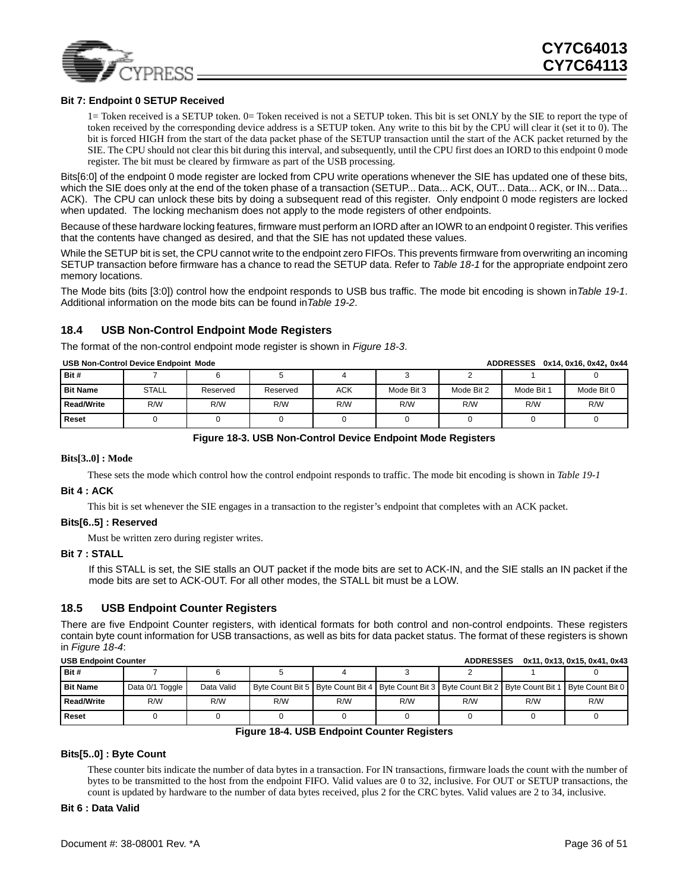

#### **Bit 7: Endpoint 0 SETUP Received**

1= Token received is a SETUP token. 0= Token received is not a SETUP token. This bit is set ONLY by the SIE to report the type of token received by the corresponding device address is a SETUP token. Any write to this bit by the CPU will clear it (set it to 0). The bit is forced HIGH from the start of the data packet phase of the SETUP transaction until the start of the ACK packet returned by the SIE. The CPU should not clear this bit during this interval, and subsequently, until the CPU first does an IORD to this endpoint 0 mode register. The bit must be cleared by firmware as part of the USB processing.

Bits[6:0] of the endpoint 0 mode register are locked from CPU write operations whenever the SIE has updated one of these bits, which the SIE does only at the end of the token phase of a transaction (SETUP... Data... ACK, OUT... Data... ACK, or IN... Data... ACK). The CPU can unlock these bits by doing a subsequent read of this register. Only endpoint 0 mode registers are locked when updated. The locking mechanism does not apply to the mode registers of other endpoints.

Because of these hardware locking features, firmware must perform an IORD after an IOWR to an endpoint 0 register. This verifies that the contents have changed as desired, and that the SIE has not updated these values.

While the SETUP bit is set, the CPU cannot write to the endpoint zero FIFOs. This prevents firmware from overwriting an incoming SETUP transaction before firmware has a chance to read the SETUP data. Refer to *[Table 18-1](#page-34-3)* for the appropriate endpoint zero memory locations.

The Mode bits (bits [3:0]) control how the endpoint responds to USB bus traffic. The mode bit encoding is shown in*[Table 19-1](#page-38-1)*. Additional information on the mode bits can be found in*[Table 19-2](#page-40-0)*.

#### <span id="page-35-0"></span>**18.4 USB Non-Control Endpoint Mode Registers**

The format of the non-control endpoint mode register is shown in *[Figure 18-3](#page-35-2)*.

|                   | USB Non-Control Device Endboint Mode<br>ADDRESSES 0X14.0X16.0X42.0X44 |          |          |            |            |            |            |            |  |  |  |  |  |  |
|-------------------|-----------------------------------------------------------------------|----------|----------|------------|------------|------------|------------|------------|--|--|--|--|--|--|
| Bit #             |                                                                       |          |          |            |            |            |            |            |  |  |  |  |  |  |
| <b>Bit Name</b>   | <b>STALL</b>                                                          | Reserved | Reserved | <b>ACK</b> | Mode Bit 3 | Mode Bit 2 | Mode Bit 1 | Mode Bit 0 |  |  |  |  |  |  |
| <b>Read/Write</b> | R/W                                                                   | R/W      | R/W      | R/W        | R/W        | R/W        | R/W        | R/W        |  |  |  |  |  |  |
| <b>Reset</b>      |                                                                       |          |          |            |            |            |            |            |  |  |  |  |  |  |

**USB Non-Control Device Endpoint Mode ADDRESSES 0x14, 0x16, 0x42, 0x44**

#### **Figure 18-3. USB Non-Control Device Endpoint Mode Registers**

#### <span id="page-35-2"></span>**Bits[3..0] : Mode**

These sets the mode which control how the control endpoint responds to traffic. The mode bit encoding is shown in *[Table 19-1](#page-38-1)*

#### **Bit 4 : ACK**

This bit is set whenever the SIE engages in a transaction to the register's endpoint that completes with an ACK packet.

#### **Bits[6..5] : Reserved**

Must be written zero during register writes.

#### **Bit 7 : STALL**

 If this STALL is set, the SIE stalls an OUT packet if the mode bits are set to ACK-IN, and the SIE stalls an IN packet if the mode bits are set to ACK-OUT. For all other modes, the STALL bit must be a LOW.

#### <span id="page-35-1"></span>**18.5 USB Endpoint Counter Registers**

There are five Endpoint Counter registers, with identical formats for both control and non-control endpoints. These registers contain byte count information for USB transactions, as well as bits for data packet status. The format of these registers is shown in *[Figure 18-4](#page-35-3)*:

| <b>USB Endpoint Counter</b><br>0x11, 0x13, 0x15, 0x41, 0x43<br><b>ADDRESSES</b> |                 |            |     |     |     |     |     |                                                                                                                 |  |  |  |
|---------------------------------------------------------------------------------|-----------------|------------|-----|-----|-----|-----|-----|-----------------------------------------------------------------------------------------------------------------|--|--|--|
| Bit #                                                                           |                 |            |     |     |     |     |     |                                                                                                                 |  |  |  |
| <b>Bit Name</b>                                                                 | Data 0/1 Toggle | Data Valid |     |     |     |     |     | Byte Count Bit 5   Byte Count Bit 4   Byte Count Bit 3   Byte Count Bit 2   Byte Count Bit 1   Byte Count Bit 0 |  |  |  |
| Read/Write                                                                      | R/W             | R/W        | R/W | R/W | R/W | R/W | R/W | R/W                                                                                                             |  |  |  |
| <b>Reset</b>                                                                    |                 |            |     |     |     |     |     |                                                                                                                 |  |  |  |

#### **Figure 18-4. USB Endpoint Counter Registers**

#### <span id="page-35-3"></span>**Bits[5..0] : Byte Count**

These counter bits indicate the number of data bytes in a transaction. For IN transactions, firmware loads the count with the number of bytes to be transmitted to the host from the endpoint FIFO. Valid values are 0 to 32, inclusive. For OUT or SETUP transactions, the count is updated by hardware to the number of data bytes received, plus 2 for the CRC bytes. Valid values are 2 to 34, inclusive.

#### **Bit 6 : Data Valid**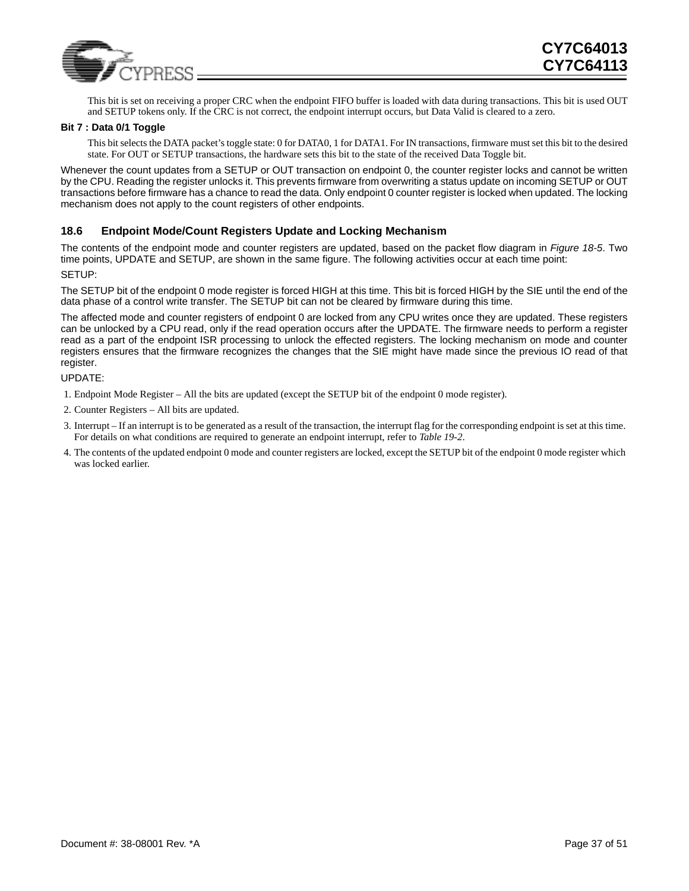

This bit is set on receiving a proper CRC when the endpoint FIFO buffer is loaded with data during transactions. This bit is used OUT and SETUP tokens only. If the CRC is not correct, the endpoint interrupt occurs, but Data Valid is cleared to a zero.

#### **Bit 7 : Data 0/1 Toggle**

This bit selects the DATA packet's toggle state: 0 for DATA0, 1 for DATA1. For IN transactions, firmware must set this bit to the desired state. For OUT or SETUP transactions, the hardware sets this bit to the state of the received Data Toggle bit.

Whenever the count updates from a SETUP or OUT transaction on endpoint 0, the counter register locks and cannot be written by the CPU. Reading the register unlocks it. This prevents firmware from overwriting a status update on incoming SETUP or OUT transactions before firmware has a chance to read the data. Only endpoint 0 counter register is locked when updated. The locking mechanism does not apply to the count registers of other endpoints.

#### <span id="page-36-0"></span>**18.6 Endpoint Mode/Count Registers Update and Locking Mechanism**

The contents of the endpoint mode and counter registers are updated, based on the packet flow diagram in *[Figure 18-5](#page-37-0)*. Two time points, UPDATE and SETUP, are shown in the same figure. The following activities occur at each time point: SETUP:

The SETUP bit of the endpoint 0 mode register is forced HIGH at this time. This bit is forced HIGH by the SIE until the end of the data phase of a control write transfer. The SETUP bit can not be cleared by firmware during this time.

The affected mode and counter registers of endpoint 0 are locked from any CPU writes once they are updated. These registers can be unlocked by a CPU read, only if the read operation occurs after the UPDATE. The firmware needs to perform a register read as a part of the endpoint ISR processing to unlock the effected registers. The locking mechanism on mode and counter registers ensures that the firmware recognizes the changes that the SIE might have made since the previous IO read of that register.

UPDATE:

- 1. Endpoint Mode Register All the bits are updated (except the SETUP bit of the endpoint 0 mode register).
- 2. Counter Registers All bits are updated.
- 3. Interrupt If an interrupt is to be generated as a result of the transaction, the interrupt flag for the corresponding endpoint is set at this time. For details on what conditions are required to generate an endpoint interrupt, refer to *[Table 19-2](#page-40-0)*.
- 4. The contents of the updated endpoint 0 mode and counter registers are locked, except the SETUP bit of the endpoint 0 mode register which was locked earlier.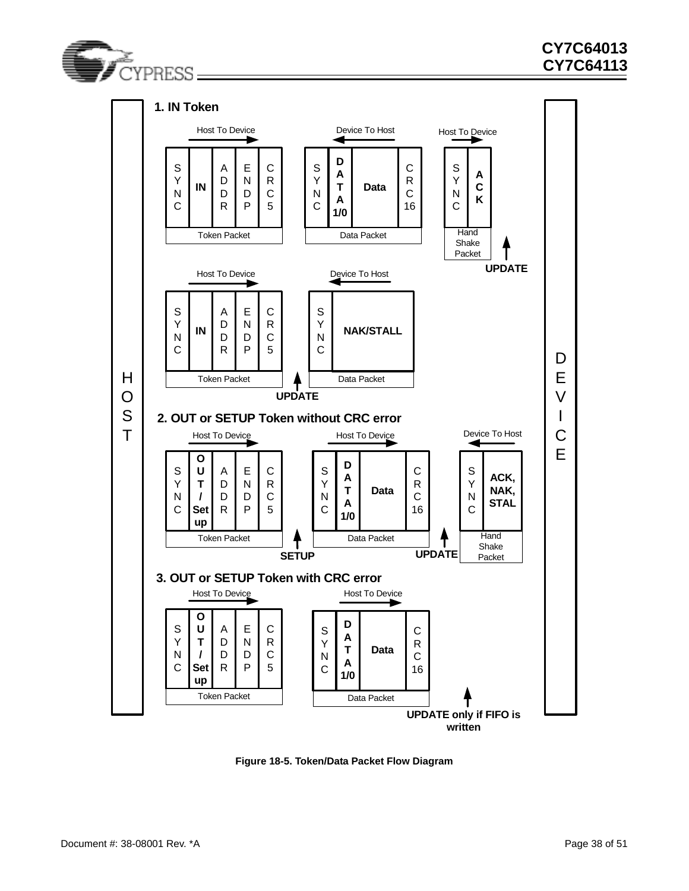



<span id="page-37-0"></span>**Figure 18-5. Token/Data Packet Flow Diagram**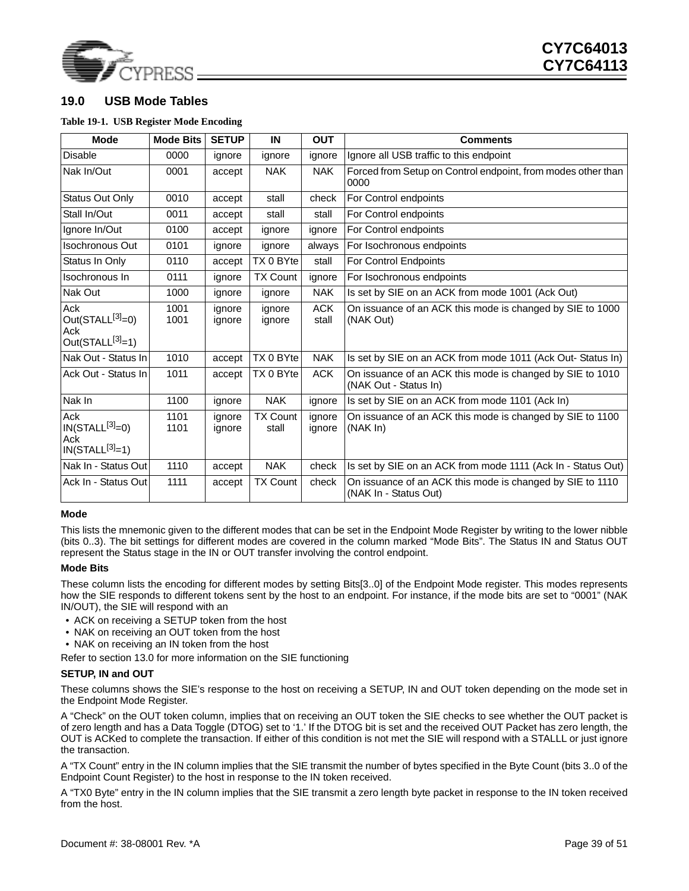

### <span id="page-38-0"></span>**19.0 USB Mode Tables**

#### <span id="page-38-1"></span>**Table 19-1. USB Register Mode Encoding**

| <b>Mode</b>                                               | <b>Mode Bits</b> | <b>SETUP</b>     | IN                       | <b>OUT</b>          | <b>Comments</b>                                                                    |
|-----------------------------------------------------------|------------------|------------------|--------------------------|---------------------|------------------------------------------------------------------------------------|
| <b>Disable</b>                                            | 0000             | ignore           | ignore                   | ignore              | Ignore all USB traffic to this endpoint                                            |
| Nak In/Out                                                | 0001             | accept           | <b>NAK</b>               | <b>NAK</b>          | Forced from Setup on Control endpoint, from modes other than<br>0000               |
| <b>Status Out Only</b>                                    | 0010             | accept           | stall                    | check               | For Control endpoints                                                              |
| Stall In/Out                                              | 0011             | accept           | stall                    | stall               | For Control endpoints                                                              |
| Ignore In/Out                                             | 0100             | accept           | ignore                   | ignore              | For Control endpoints                                                              |
| <b>Isochronous Out</b>                                    | 0101             | ignore           | ignore                   | always              | For Isochronous endpoints                                                          |
| Status In Only                                            | 0110             | accept           | TX 0 BYte                | stall               | For Control Endpoints                                                              |
| Isochronous In                                            | 0111             | ignore           | <b>TX Count</b>          | ignore              | For Isochronous endpoints                                                          |
| Nak Out                                                   | 1000             | ignore           | ignore                   | <b>NAK</b>          | Is set by SIE on an ACK from mode 1001 (Ack Out)                                   |
| Ack<br>Out( $STALL^{[3]}=0$ )<br>Ack<br>$Out(STALL[3]=1)$ | 1001<br>1001     | ignore<br>ignore | ignore<br>ignore         | <b>ACK</b><br>stall | On issuance of an ACK this mode is changed by SIE to 1000<br>(NAK Out)             |
| Nak Out - Status In                                       | 1010             | accept           | TX 0 BYte                | <b>NAK</b>          | Is set by SIE on an ACK from mode 1011 (Ack Out-Status In)                         |
| Ack Out - Status In                                       | 1011             | accept           | TX 0 BYte                | <b>ACK</b>          | On issuance of an ACK this mode is changed by SIE to 1010<br>(NAK Out - Status In) |
| Nak In                                                    | 1100             | ignore           | <b>NAK</b>               | ignore              | Is set by SIE on an ACK from mode 1101 (Ack In)                                    |
| Ack<br>$IN(STALL[3]=0)$<br>Ack<br>$IN(STALL[3]=1)$        | 1101<br>1101     | ignore<br>ignore | <b>TX Count</b><br>stall | ignore<br>ignore    | On issuance of an ACK this mode is changed by SIE to 1100<br>(NAK In)              |
| Nak In - Status Out                                       | 1110             | accept           | <b>NAK</b>               | check               | Is set by SIE on an ACK from mode 1111 (Ack In - Status Out)                       |
| Ack In - Status Out                                       | 1111             | accept           | <b>TX Count</b>          | check               | On issuance of an ACK this mode is changed by SIE to 1110<br>(NAK In - Status Out) |

#### **Mode**

This lists the mnemonic given to the different modes that can be set in the Endpoint Mode Register by writing to the lower nibble (bits 0..3). The bit settings for different modes are covered in the column marked "Mode Bits". The Status IN and Status OUT represent the Status stage in the IN or OUT transfer involving the control endpoint.

#### **Mode Bits**

These column lists the encoding for different modes by setting Bits[3..0] of the Endpoint Mode register. This modes represents how the SIE responds to different tokens sent by the host to an endpoint. For instance, if the mode bits are set to "0001" (NAK IN/OUT), the SIE will respond with an

- ACK on receiving a SETUP token from the host
- NAK on receiving an OUT token from the host
- NAK on receiving an IN token from the host

Refer to section 13.0 for more information on the SIE functioning

#### **SETUP, IN and OUT**

These columns shows the SIE's response to the host on receiving a SETUP, IN and OUT token depending on the mode set in the Endpoint Mode Register.

A "Check" on the OUT token column, implies that on receiving an OUT token the SIE checks to see whether the OUT packet is of zero length and has a Data Toggle (DTOG) set to '1.' If the DTOG bit is set and the received OUT Packet has zero length, the OUT is ACKed to complete the transaction. If either of this condition is not met the SIE will respond with a STALLL or just ignore the transaction.

A "TX Count" entry in the IN column implies that the SIE transmit the number of bytes specified in the Byte Count (bits 3..0 of the Endpoint Count Register) to the host in response to the IN token received.

A "TX0 Byte" entry in the IN column implies that the SIE transmit a zero length byte packet in response to the IN token received from the host.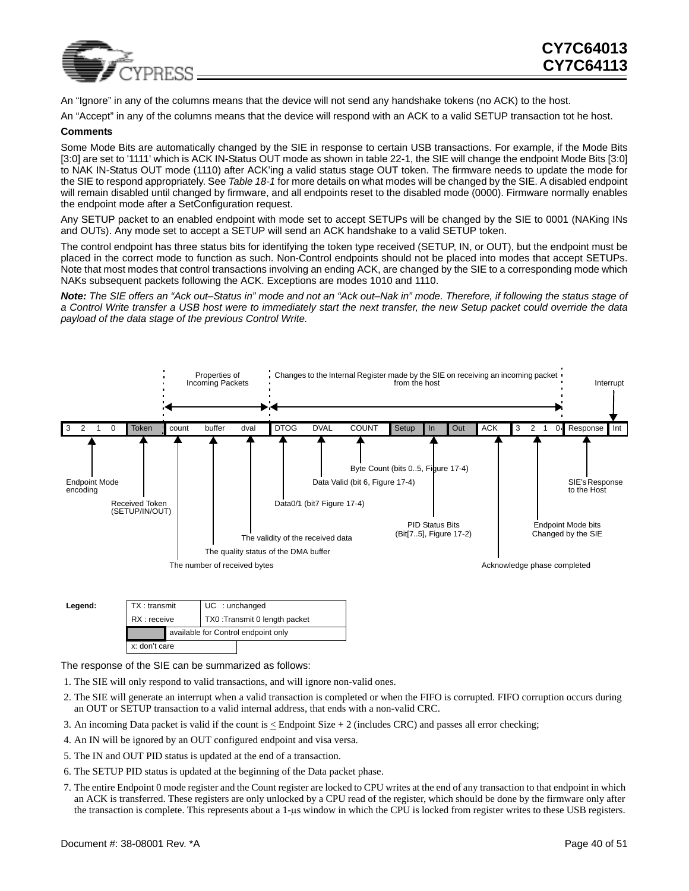

An "Ignore" in any of the columns means that the device will not send any handshake tokens (no ACK) to the host.

An "Accept" in any of the columns means that the device will respond with an ACK to a valid SETUP transaction tot he host.

#### **Comments**

Some Mode Bits are automatically changed by the SIE in response to certain USB transactions. For example, if the Mode Bits [3:0] are set to '1111' which is ACK IN-Status OUT mode as shown in table 22-1, the SIE will change the endpoint Mode Bits [3:0] to NAK IN-Status OUT mode (1110) after ACK'ing a valid status stage OUT token. The firmware needs to update the mode for the SIE to respond appropriately. See *[Table 18-1](#page-34-3)* for more details on what modes will be changed by the SIE. A disabled endpoint will remain disabled until changed by firmware, and all endpoints reset to the disabled mode (0000). Firmware normally enables the endpoint mode after a SetConfiguration request.

Any SETUP packet to an enabled endpoint with mode set to accept SETUPs will be changed by the SIE to 0001 (NAKing INs and OUTs). Any mode set to accept a SETUP will send an ACK handshake to a valid SETUP token.

The control endpoint has three status bits for identifying the token type received (SETUP, IN, or OUT), but the endpoint must be placed in the correct mode to function as such. Non-Control endpoints should not be placed into modes that accept SETUPs. Note that most modes that control transactions involving an ending ACK, are changed by the SIE to a corresponding mode which NAKs subsequent packets following the ACK. Exceptions are modes 1010 and 1110.

*Note: The SIE offers an "Ack out–Status in" mode and not an "Ack out–Nak in" mode. Therefore, if following the status stage of a Control Write transfer a USB host were to immediately start the next transfer, the new Setup packet could override the data payload of the data stage of the previous Control Write.*



| Legend: | TX: transmit  | $UC$ : unchanged              |                                     |  |  |  |  |
|---------|---------------|-------------------------------|-------------------------------------|--|--|--|--|
|         | RX : receive  | TX0: Transmit 0 length packet |                                     |  |  |  |  |
|         |               |                               | available for Control endpoint only |  |  |  |  |
|         | x: don't care |                               |                                     |  |  |  |  |

The response of the SIE can be summarized as follows:

- 1. The SIE will only respond to valid transactions, and will ignore non-valid ones.
- 2. The SIE will generate an interrupt when a valid transaction is completed or when the FIFO is corrupted. FIFO corruption occurs during an OUT or SETUP transaction to a valid internal address, that ends with a non-valid CRC.
- 3. An incoming Data packet is valid if the count is  $\leq$  Endpoint Size + 2 (includes CRC) and passes all error checking;
- 4. An IN will be ignored by an OUT configured endpoint and visa versa.
- 5. The IN and OUT PID status is updated at the end of a transaction.
- 6. The SETUP PID status is updated at the beginning of the Data packet phase.
- 7. The entire Endpoint 0 mode register and the Count register are locked to CPU writes at the end of any transaction to that endpoint in which an ACK is transferred. These registers are only unlocked by a CPU read of the register, which should be done by the firmware only after the transaction is complete. This represents about a 1-µs window in which the CPU is locked from register writes to these USB registers.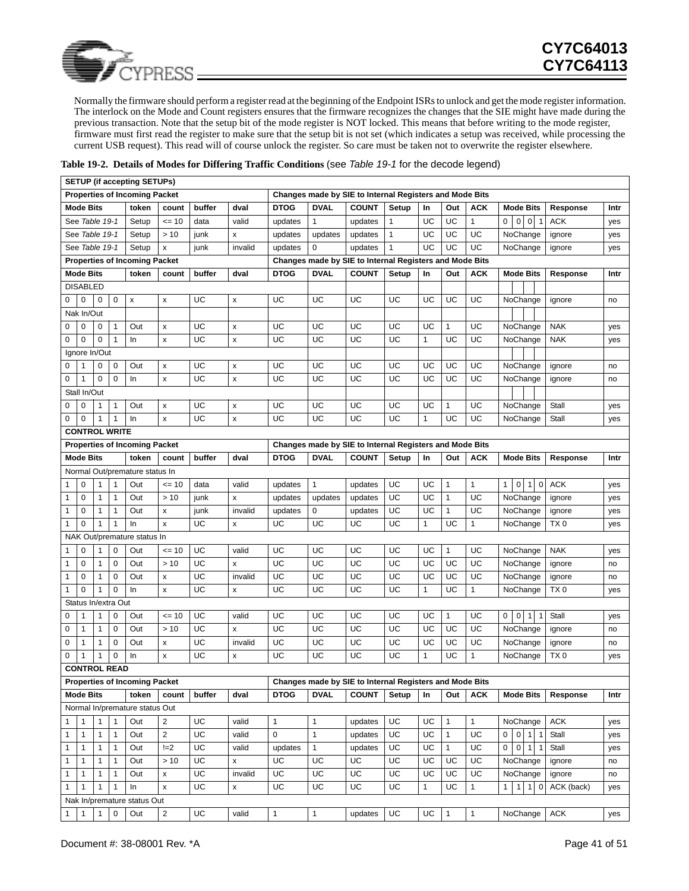

Normally the firmware should perform a register read at the beginning of the Endpoint ISRs to unlock and get the mode register information. The interlock on the Mode and Count registers ensures that the firmware recognizes the changes that the SIE might have made during the previous transaction. Note that the setup bit of the mode register is NOT locked. This means that before writing to the mode register, firmware must first read the register to make sure that the setup bit is not set (which indicates a setup was received, while processing the current USB request). This read will of course unlock the register. So care must be taken not to overwrite the register elsewhere.

|              |                      |                |              | <b>SETUP (if accepting SETUPs)</b><br><b>Properties of Incoming Packet</b> |                         |           |         | Changes made by SIE to Internal Registers and Mode Bits |              |                                                                         |              |    |              |              |                                                  |             |                 |      |
|--------------|----------------------|----------------|--------------|----------------------------------------------------------------------------|-------------------------|-----------|---------|---------------------------------------------------------|--------------|-------------------------------------------------------------------------|--------------|----|--------------|--------------|--------------------------------------------------|-------------|-----------------|------|
|              | <b>Mode Bits</b>     |                |              | token                                                                      | count                   | buffer    | dval    | <b>DTOG</b>                                             | <b>DVAL</b>  | <b>COUNT</b>                                                            | Setup        | In | Out          | <b>ACK</b>   | <b>Mode Bits</b>                                 |             | Response        | Intr |
|              | See Table 19-1       |                |              | Setup                                                                      | $= 10$                  | data      | valid   | updates                                                 | 1            | updates                                                                 | $\mathbf{1}$ | UC | UC           | $\mathbf{1}$ | $0$ 0 0 1                                        |             | <b>ACK</b>      | yes  |
|              | See Table 19-1       |                |              | Setup                                                                      | >10                     | junk      | x       | updates                                                 | updates      | updates                                                                 | $\mathbf{1}$ | UC | UC           | UC           | NoChange                                         |             | ignore          | yes  |
|              | See Table 19-1       |                |              | Setup                                                                      | x                       | junk      | invalid | updates                                                 | $\mathbf 0$  | updates                                                                 | $\mathbf{1}$ | UC | UC           | UC           | NoChange                                         |             | ignore          | yes  |
|              |                      |                |              | <b>Properties of Incoming Packet</b>                                       |                         |           |         |                                                         |              | Changes made by SIE to Internal Registers and Mode Bits                 |              |    |              |              |                                                  |             |                 |      |
|              | <b>Mode Bits</b>     |                |              | token                                                                      | count                   | buffer    | dval    | DTOG                                                    | <b>DVAL</b>  | <b>COUNT</b>                                                            | Setup        | In | Out          | <b>ACK</b>   | <b>Mode Bits</b>                                 |             | Response        | Intr |
|              | <b>DISABLED</b>      |                |              |                                                                            |                         |           |         |                                                         |              |                                                                         |              |    |              |              |                                                  |             |                 |      |
| 0            | $\mathbf 0$          | 0              | 0            | $\pmb{\mathsf{x}}$                                                         | x                       | UC        | x       | UC                                                      | UC           | UC                                                                      | UC           | UC | UC           | UC           | NoChange                                         |             | ignore          | no   |
|              | Nak In/Out           |                |              |                                                                            |                         |           |         |                                                         |              |                                                                         |              |    |              |              |                                                  |             |                 |      |
| 0            | 0                    | 0              | $\mathbf{1}$ | Out                                                                        | x                       | UC        | X       | UC                                                      | UC           | UC                                                                      | UC           | UC | $\mathbf{1}$ | UC           | NoChange                                         |             | <b>NAK</b>      | yes  |
| 0            | $\mathsf 0$          | $\mathbf 0$    | $\mathbf{1}$ | In                                                                         | $\pmb{\mathsf{x}}$      | UC        | x       | UC                                                      | UC           | UC                                                                      | UC           | 1  | UC           | UC           | NoChange                                         |             | <b>NAK</b>      | yes  |
|              | Ignore In/Out        |                |              |                                                                            |                         |           |         |                                                         |              |                                                                         |              |    |              |              |                                                  |             |                 |      |
| 0            | 1                    | 0              | 0            | Out                                                                        | x                       | UC        | X       | UC                                                      | UC           | UC                                                                      | UC           | UC | UC           | UC           | NoChange                                         |             | ignore          | no   |
| 0            | $\mathbf{1}$         | $\pmb{0}$      | 0            | In                                                                         | x                       | UC        | X       | UC                                                      | UC           | UC                                                                      | UC           | UC | UC           | UC           | NoChange                                         |             | ignore          | no   |
|              | Stall In/Out         |                |              |                                                                            |                         |           |         |                                                         |              |                                                                         |              |    |              |              |                                                  |             |                 |      |
| 0            | 0                    | 1              | 1            | Out                                                                        | x                       | UC        | X       | UC                                                      | UC           | UC                                                                      | UC           | UC | 1            | UC           | NoChange                                         |             | Stall           | yes  |
| 0            | $\mathbf 0$          | 1              | 1            | In                                                                         | x                       | UC        | x       | UC                                                      | UC           | UC                                                                      | UC           | 1  | UC           | UC           | NoChange                                         |             | Stall           | yes  |
|              | <b>CONTROL WRITE</b> |                |              |                                                                            |                         |           |         |                                                         |              |                                                                         |              |    |              |              |                                                  |             |                 |      |
|              |                      |                |              | <b>Properties of Incoming Packet</b>                                       |                         |           |         |                                                         |              | Changes made by SIE to Internal Registers and Mode Bits                 |              |    |              |              |                                                  |             |                 |      |
|              | <b>Mode Bits</b>     |                |              | token                                                                      | count                   | buffer    | dval    | <b>DTOG</b>                                             | <b>DVAL</b>  | <b>COUNT</b>                                                            | Setup        | In | Out          | <b>ACK</b>   | <b>Mode Bits</b>                                 |             | Response        | Intr |
|              |                      |                |              | Normal Out/premature status In                                             |                         |           |         |                                                         |              |                                                                         |              |    |              |              |                                                  |             |                 |      |
| 1            | 0                    | $\mathbf{1}$   | 1            | Out                                                                        | $= 10$                  | data      | valid   | updates                                                 | 1            | updates                                                                 | UС           | UC | 1            | $\mathbf{1}$ | $\mathbf 0$<br>$\mathbf{1}$<br>$\mathbf{1}$      | $\mathbf 0$ | <b>ACK</b>      | yes  |
| 1            | 0                    | $\mathbf{1}$   | 1            | Out                                                                        | >10                     | junk      | x       | updates                                                 | updates      | updates                                                                 | UC           | UC | 1            | UC           | NoChange                                         |             | ignore          | yes  |
| 1            | 0                    | $\mathbf{1}$   | $\mathbf{1}$ | Out                                                                        | x                       | junk      | invalid | updates                                                 | 0            | updates                                                                 | UC           | UC | $\mathbf{1}$ | UC           | NoChange                                         |             | ignore          | yes  |
| 1            | $\mathbf 0$          | 1              | 1            | In                                                                         | x                       | UC        | x       | UC                                                      | UC           | UC                                                                      | UC           | 1  | UC           | $\mathbf{1}$ | NoChange                                         |             | TX <sub>0</sub> | yes  |
|              |                      |                |              | NAK Out/premature status In                                                |                         |           |         |                                                         |              |                                                                         |              |    |              |              |                                                  |             |                 |      |
| 1            | 0                    | 1              | 0            | Out                                                                        | $= 10$                  | UC        | valid   | UC                                                      | UC           | UC                                                                      | UС           | UC | $\mathbf{1}$ | UC           | NoChange                                         |             | <b>NAK</b>      | yes  |
| 1            | 0                    | $\mathbf{1}$   | 0            | Out                                                                        | >10                     | UC        | x       | UC                                                      | UC           | UC                                                                      | UC           | UC | UC           | UC           | NoChange                                         |             | ignore          | no   |
| 1            | 0                    | $\mathbf{1}$   | $\pmb{0}$    | Out                                                                        | $\pmb{\mathsf{x}}$      | UC        | invalid | UC                                                      | UC           | UC                                                                      | UC           | UC | UC           | UC           | NoChange                                         |             | ignore          | no   |
| $\mathbf{1}$ | $\pmb{0}$            | $\mathbf{1}$   | 0            | In                                                                         | $\pmb{\mathsf{x}}$      | UC        | x       | UC                                                      | UC           | UC                                                                      | UC           | 1  | UC           | $\mathbf{1}$ | NoChange                                         |             | TX <sub>0</sub> | yes  |
|              | Status In/extra Out  |                |              |                                                                            |                         |           |         |                                                         |              |                                                                         |              |    |              |              |                                                  |             |                 |      |
| 0            | 1                    | 1              | 0            | Out                                                                        | $= 10$                  | UC        | valid   | UC                                                      | UC           | UC                                                                      | UС           | UC | 1            | UC           | $\overline{0}$<br>$\overline{0}$<br>$\mathbf{1}$ | 1           | Stall           | yes  |
| 0            | $\mathbf{1}$         | $\mathbf{1}$   | 0            | Out                                                                        | >10                     | UC        | x       | UC                                                      | UC           | UC                                                                      | UC           | UC | UC           | UC           | NoChange                                         |             | ignore          | no   |
| 0            | $\mathbf{1}$         | $\mathbf{1}$   | 0            | Out                                                                        | x                       | UC        | invalid | UC                                                      | UC           | UC                                                                      | UC           | UC | UC           | UC           | NoChange                                         |             | ignore          | no   |
| 0            | 1                    | 1              | 0            | In                                                                         | x                       | UC        | X       | UC                                                      | UC           | UC                                                                      | UC           | 1  | UC           | $\mathbf{1}$ | NoChange                                         |             | TX <sub>0</sub> | yes  |
|              | <b>CONTROL READ</b>  |                |              |                                                                            |                         |           |         |                                                         |              |                                                                         |              |    |              |              |                                                  |             |                 |      |
|              | <b>Mode Bits</b>     |                |              | <b>Properties of Incoming Packet</b><br>token                              | count                   | buffer    | dval    | <b>DTOG</b>                                             | <b>DVAL</b>  | Changes made by SIE to Internal Registers and Mode Bits<br><b>COUNT</b> | Setup        | In | Out          | <b>ACK</b>   | <b>Mode Bits</b>                                 |             | Response        | Intr |
|              |                      |                |              | Normal In/premature status Out                                             |                         |           |         |                                                         |              |                                                                         |              |    |              |              |                                                  |             |                 |      |
| 1            | $\mathbf{1}$         | $\mathbf{1}$   | $\mathbf{1}$ | Out                                                                        | $\overline{2}$          | UC        | valid   | $\mathbf{1}$                                            | $\mathbf{1}$ | updates                                                                 | UC           | UC | $\mathbf{1}$ | $\mathbf{1}$ | NoChange                                         |             | <b>ACK</b>      | yes  |
| 1            | $\mathbf{1}$         | $\mathbf{1}$   | $\mathbf{1}$ | Out                                                                        | $\overline{c}$          | UC        | valid   | 0                                                       | $\mathbf{1}$ | updates                                                                 | UC           | UC | $\mathbf{1}$ | UC           | $\overline{0}$<br>$\mathbf 0$<br>$\overline{1}$  | -1          | Stall           | yes  |
| 1            | $\mathbf{1}$         | $\mathbf{1}$   | 1            | Out                                                                        | $!=2$                   | UC        | valid   | updates                                                 | $\mathbf{1}$ | updates                                                                 | UC           | UC | $\mathbf{1}$ | UC           | 0<br>$\mathbf 0$<br>$\overline{1}$               |             | Stall           | yes  |
| 1            | 1                    | $\mathbf{1}$   | 1            | Out                                                                        | >10                     | UC        | x       | UC                                                      | UC           | UC                                                                      | UC           | UC | UC           | UC           | NoChange                                         |             | ignore          | no   |
| $\mathbf{1}$ | $\mathbf{1}$         | $\mathbf{1}$   | $\mathbf{1}$ | Out                                                                        | x                       | <b>UC</b> | invalid | UC                                                      | UC           | UC                                                                      | UC           | UC | UC           | UC           | NoChange                                         |             | ignore          | no   |
| 1            | 1                    |                |              | In                                                                         | x                       | UC        | x       | UC                                                      | UC           | UC                                                                      | UC           | 1  | UC           | $\mathbf{1}$ | 1<br>$\vert$ 1<br>$1\overline{0}$                |             | ACK (back)      | yes  |
|              |                      |                |              | Nak In/premature status Out                                                |                         |           |         |                                                         |              |                                                                         |              |    |              |              |                                                  |             |                 |      |
| $\mathbf{1}$ | $\vert$ 1            | $\overline{1}$ | $\,0\,$      | Out                                                                        | $\overline{\mathbf{c}}$ | UC        | valid   | $\mathbf{1}$                                            | $\mathbf{1}$ | updates                                                                 | UC           | UC | $\mathbf{1}$ | $\mathbf{1}$ | NoChange                                         |             | ACK             | yes  |
|              |                      |                |              |                                                                            |                         |           |         |                                                         |              |                                                                         |              |    |              |              |                                                  |             |                 |      |

#### <span id="page-40-0"></span>**Table 19-2. Details of Modes for Differing Traffic Conditions** (see *[Table 19-1](#page-38-1)* for the decode legend)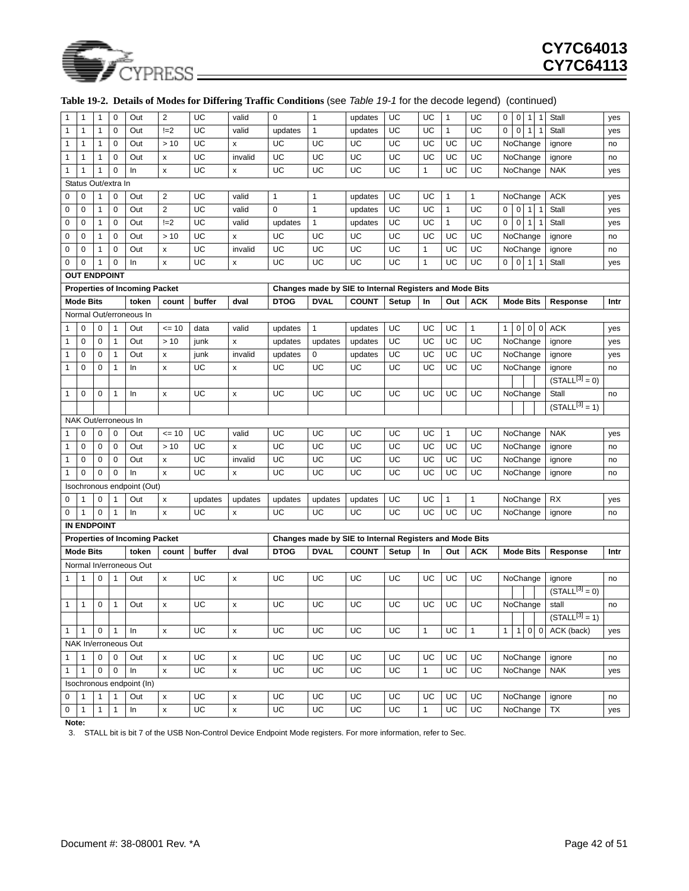

| 1            | 1                   | 1            | 0            | Out                                  | $\overline{2}$     | UC            | valid              | $\pmb{0}$     | $\mathbf{1}$  | updates                                                 | UC    | UC           | $\mathbf{1}$ | UC           | 0            | $\mathbf 0$    | $\mathbf{1}$<br>$\mathbf{1}$  | Stall               | yes  |
|--------------|---------------------|--------------|--------------|--------------------------------------|--------------------|---------------|--------------------|---------------|---------------|---------------------------------------------------------|-------|--------------|--------------|--------------|--------------|----------------|-------------------------------|---------------------|------|
| 1            | 1                   | 1            | 0            | Out                                  | $!=2$              | UC            | valid              | updates       | 1             | updates                                                 | UC    | UC           | 1            | UC           | 0            | 0              | $\mathbf{1}$                  | Stall               | yes  |
| 1            | 1                   | 1            | 0            | Out                                  | >10                | UC            | x                  | UC            | UC            | UC                                                      | UC    | UC           | UC           | UC           |              |                | NoChange                      | ignore              | no   |
| 1            | 1                   | $\mathbf{1}$ | 0            | Out                                  | X                  | UC            | invalid            | UC            | UC            | UC                                                      | UC    | UC           | UC           | UC           |              |                | NoChange                      | ignore              | no   |
| 1            | 1                   | 1            | 0            | In                                   | X                  | UC            | x                  | UC            | UC            | UC                                                      | UC    | $\mathbf{1}$ | UC           | UC           |              |                | NoChange                      | <b>NAK</b>          | yes  |
|              | Status Out/extra In |              |              |                                      |                    |               |                    |               |               |                                                         |       |              |              |              |              |                |                               |                     |      |
| 0            | 0                   | 1            | 0            | Out                                  | $\overline{2}$     | UC            | valid              | 1             | 1             | updates                                                 | UC    | UC           | 1            | 1            |              |                | NoChange                      | <b>ACK</b>          | yes  |
| 0            | 0                   | 1            | $\pmb{0}$    | Out                                  | $\overline{2}$     | UC            | valid              | $\mathbf 0$   | $\mathbf{1}$  | updates                                                 | UC    | UC           | $\mathbf{1}$ | UC           | 0            | $\mathbf 0$    | 1<br>$\mathbf{1}$             | Stall               | yes  |
| 0            | 0                   | 1            | 0            | Out                                  | $!=2$              | UC            | valid              | updates       | $\mathbf{1}$  | updates                                                 | UC    | UC           | $\mathbf{1}$ | UC           | 0            | $\mathbf 0$    | 1<br>$\overline{1}$           | Stall               | yes  |
| 0            | 0                   | $\mathbf{1}$ | 0            | Out                                  | >10                | UC            | x                  | UC            | UC            | UC                                                      | UC    | UC           | UC           | UC           |              |                | NoChange                      | ignore              | no   |
| 0            | 0                   | 1            | 0            | Out                                  | x                  | UC            | invalid            | UC            | UC            | UC                                                      | UC    | $\mathbf{1}$ | UC           | UC           |              |                | NoChange                      | ignore              | no   |
| 0            | 0                   | 1            | 0            | In                                   | X                  | UC            | x                  | UC            | UC            | UC                                                      | UC    | $\mathbf{1}$ | UC           | UC           | 0            | $\overline{0}$ | 1<br>$\overline{1}$           | Stall               | yes  |
|              | <b>OUT ENDPOINT</b> |              |              |                                      |                    |               |                    |               |               |                                                         |       |              |              |              |              |                |                               |                     |      |
|              |                     |              |              | <b>Properties of Incoming Packet</b> |                    |               |                    |               |               | Changes made by SIE to Internal Registers and Mode Bits |       |              |              |              |              |                |                               |                     |      |
|              | <b>Mode Bits</b>    |              |              | token                                | count              | buffer        | dval               | <b>DTOG</b>   | <b>DVAL</b>   | <b>COUNT</b>                                            | Setup | In           | Out          | <b>ACK</b>   |              |                | <b>Mode Bits</b>              | Response            | Intr |
|              |                     |              |              | Normal Out/erroneous In              |                    |               |                    |               |               |                                                         |       |              |              |              |              |                |                               |                     |      |
| 1            | 0                   | 0            | 1            | Out                                  | $= 10$             | data          | valid              | updates       | 1             | updates                                                 | UC    | UC           | UC           | $\mathbf{1}$ | 1            | $\mathbf 0$    | $\mathbf 0$<br>0              | <b>ACK</b>          | yes  |
| 1            | 0                   | 0            | $\mathbf{1}$ | Out                                  | >10                | junk          | x                  | updates       | updates       | updates                                                 | UC    | UC           | UC           | UC           |              |                | NoChange                      | ignore              | yes  |
| 1            | 0                   | 0            | $\mathbf{1}$ | Out                                  | x                  | junk          | invalid            | updates       | 0             | updates                                                 | UC    | UC           | UC           | UC           |              |                | NoChange                      | ignore              | yes  |
| $\mathbf{1}$ | 0                   | 0            | $\mathbf{1}$ | In                                   | x                  | UC            | x                  | UC            | UC            | UC                                                      | UC    | UC           | UC           | UC           |              |                | NoChange                      | ignore              | no   |
|              |                     |              |              |                                      |                    |               |                    |               |               |                                                         |       |              |              |              |              |                |                               | $(STALL[3] = 0)$    |      |
| 1            | 0                   | 0            | $\mathbf{1}$ | In                                   | x                  | UC            | X                  | UC            | UC            | UC                                                      | UC    | UC           | UC           | UC           |              |                | NoChange                      | Stall               | no   |
|              |                     |              |              |                                      |                    |               |                    |               |               |                                                         |       |              |              |              |              |                |                               | $(STALL[3] = 1)$    |      |
|              |                     |              |              | NAK Out/erroneous In                 |                    |               |                    |               |               |                                                         |       |              |              |              |              |                |                               |                     |      |
|              | 0                   | 0            | 0            | Out                                  | $= 10$             | UC            | valid              | UC            | UC            | UC                                                      | UC    | UC           | $\mathbf{1}$ | UC           |              |                | NoChange                      | <b>NAK</b>          | yes  |
| 1            | 0                   | 0            | 0            | Out                                  | >10                | UC            | x                  | UC            | UC            | UC                                                      | UC    | UC           | UC           | UC           |              |                | NoChange                      | ignore              | no   |
| 1            | 0                   | 0            | 0            | Out                                  | X                  | UC            | invalid            | UC            | UC            | UC                                                      | UC    | UC           | UC           | UC           |              |                | NoChange                      | ignore              | no   |
| 1            | 0                   | 0            | $\mathbf 0$  | In                                   | X                  | UC            | x                  | UC            | UC            | UC                                                      | UC    | UC           | UC           | UC           |              |                | NoChange                      | ignore              | no   |
| 0            |                     | 0            | 1            | Isochronous endpoint (Out)<br>Out    |                    |               |                    |               |               |                                                         | UC    | UC           | 1            | $\mathbf{1}$ |              |                |                               | <b>RX</b>           |      |
| 0            | 1<br>1              | 0            | $\mathbf{1}$ | In                                   | X<br>x             | updates<br>UC | updates<br>x       | updates<br>UC | updates<br>UC | updates<br>UC                                           | UC    | UC           | UC           | UC           |              |                | NoChange<br>NoChange          |                     | yes  |
|              | <b>IN ENDPOINT</b>  |              |              |                                      |                    |               |                    |               |               |                                                         |       |              |              |              |              |                |                               | ignore              | no   |
|              |                     |              |              | <b>Properties of Incoming Packet</b> |                    |               |                    |               |               | Changes made by SIE to Internal Registers and Mode Bits |       |              |              |              |              |                |                               |                     |      |
|              | <b>Mode Bits</b>    |              |              | token                                | count              | buffer        | dval               | <b>DTOG</b>   | <b>DVAL</b>   | <b>COUNT</b>                                            | Setup | In           | Out          | <b>ACK</b>   |              |                | <b>Mode Bits</b>              | Response            | Intr |
|              |                     |              |              | Normal In/erroneous Out              |                    |               |                    |               |               |                                                         |       |              |              |              |              |                |                               |                     |      |
|              | 1                   | 0            | 1            | Out                                  | x                  | UC            | x                  | UC            | UC            | UC                                                      | UC    | UC           | UC           | UC           |              |                | NoChange                      | ignore              | no   |
|              |                     |              |              |                                      |                    |               |                    |               |               |                                                         |       |              |              |              |              |                |                               | $(STALL^{[3]} = 0)$ |      |
| $\mathbf{1}$ | 1                   | 0            | 1            | Out                                  | x                  | UC            | x                  | UC            | UC            | UC                                                      | UC    | UC           | UC           | UC           |              |                | NoChange                      | stall               | no   |
|              |                     |              |              |                                      |                    |               |                    |               |               |                                                         |       |              |              |              |              |                |                               | $(STALL^{[3]} = 1)$ |      |
| $\mathbf{1}$ | $\mathbf{1}$        | $\mathbf 0$  | $\mathbf{1}$ | In                                   | x                  | <b>UC</b>     | $\pmb{\mathsf{x}}$ | UC            | UC            | UC                                                      | UC    | $\mathbf{1}$ | UC           | $\mathbf{1}$ | $\mathbf{1}$ | $\mathbf{1}$   | $\mathbf 0$<br>$\overline{0}$ | ACK (back)          | yes  |
|              |                     |              |              | NAK In/erroneous Out                 |                    |               |                    |               |               |                                                         |       |              |              |              |              |                |                               |                     |      |
| $\mathbf{1}$ | 1                   | 0            | $\pmb{0}$    | Out                                  | x                  | UC            | X                  | UC            | UC            | UC                                                      | UC    | UC           | UC           | UC           |              |                | NoChange                      | ignore              | no   |
| $\mathbf{1}$ | 1                   | $\mathsf 0$  | $\mathbf 0$  | In                                   | $\pmb{\times}$     | UC            | $\pmb{\mathsf{x}}$ | UC            | UC            | UC                                                      | UC    | $\mathbf{1}$ | UC           | UC           |              |                | NoChange                      | <b>NAK</b>          | yes  |
|              |                     |              |              | Isochronous endpoint (In)            |                    |               |                    |               |               |                                                         |       |              |              |              |              |                |                               |                     |      |
| 0            | 1                   | $\mathbf{1}$ | $\mathbf{1}$ | Out                                  | x                  | UC            | x                  | UC            | UC            | UC                                                      | UC    | UC           | UC           | UC           |              |                | NoChange                      | ignore              | no   |
| $\mathbf 0$  | $\mathbf{1}$        | $\mathbf{1}$ | $\mathbf{1}$ | In                                   | $\pmb{\mathsf{x}}$ | UC            | $\pmb{\mathsf{x}}$ | <b>UC</b>     | UC            | UC                                                      | UC    | $\mathbf{1}$ | UC           | UC           |              |                | NoChange                      | TX                  | yes  |
| Note:        |                     |              |              |                                      |                    |               |                    |               |               |                                                         |       |              |              |              |              |                |                               |                     |      |

#### **Table 19-2. Details of Modes for Differing Traffic Conditions** (see *Table 19-1* for the decode legend) (continued)

<span id="page-41-0"></span>3. STALL bit is bit 7 of the USB Non-Control Device Endpoint Mode registers. For more information, refer to Sec.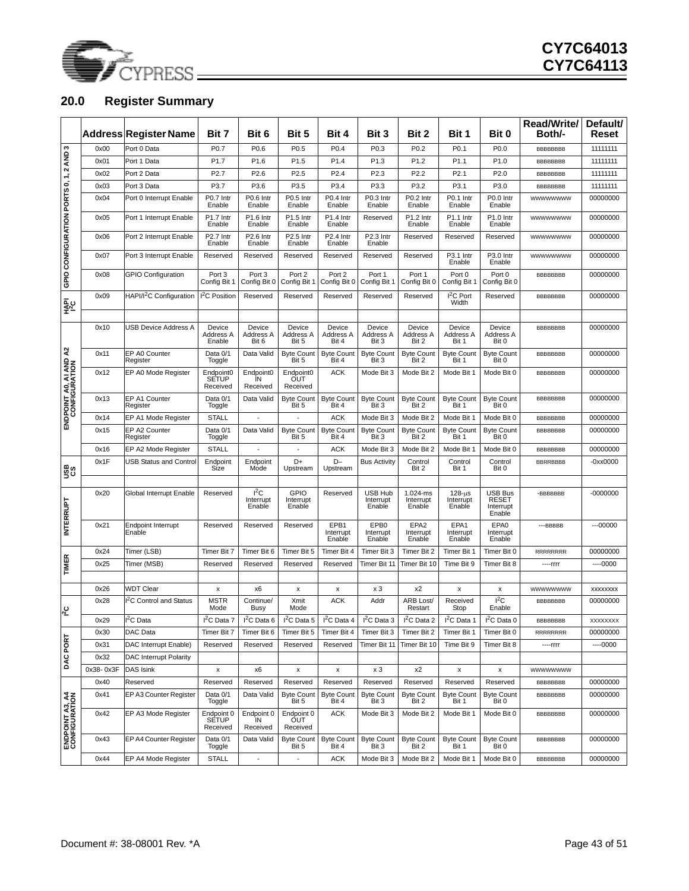

## <span id="page-42-0"></span>**20.0 Register Summary**

|                                        |           | Address Register Name               | Bit 7                                 | Bit 6                         | Bit 5                              | Bit 4                        | Bit 3                                   | Bit 2                                   | Bit 1                                | Bit 0                                                 | <b>Read/Write/</b><br>Both/- | Default/<br>Reset |
|----------------------------------------|-----------|-------------------------------------|---------------------------------------|-------------------------------|------------------------------------|------------------------------|-----------------------------------------|-----------------------------------------|--------------------------------------|-------------------------------------------------------|------------------------------|-------------------|
|                                        | 0x00      | Port 0 Data                         | P <sub>0.7</sub>                      | P <sub>0.6</sub>              | P <sub>0.5</sub>                   | P <sub>0.4</sub>             | P <sub>0.3</sub>                        | P <sub>0.2</sub>                        | P <sub>0.1</sub>                     | P <sub>0.0</sub>                                      | BBBBBBBB                     | 11111111          |
|                                        | 0x01      | Port 1 Data                         | P1.7                                  | P <sub>1.6</sub>              | P1.5                               | P1.4                         | P1.3                                    | P <sub>1.2</sub>                        | P1.1                                 | P <sub>1.0</sub>                                      | BBBBBBBB                     | 11111111          |
|                                        | 0x02      | Port 2 Data                         | P <sub>2.7</sub>                      | P2.6                          | P <sub>2.5</sub>                   | P <sub>2.4</sub>             | P <sub>2.3</sub>                        | P2.2                                    | P <sub>2.1</sub>                     | P2.0                                                  | <b>BBBBBBBB</b>              | 11111111          |
|                                        | 0x03      | Port 3 Data                         | P3.7                                  | P3.6                          | P3.5                               | P3.4                         | P3.3                                    | P3.2                                    | P3.1                                 | P3.0                                                  | <b>BBBBBBBB</b>              | 11111111          |
| GPIO CONFIGURATION PORTS 0, 1, 2 AND 3 | 0x04      | Port 0 Interrupt Enable             | P0.7 Intr<br>Enable                   | P0.6 Intr<br>Enable           | P0.5 Intr<br>Enable                | P0.4 Intr<br>Enable          | P0.3 Intr<br>Enable                     | P0.2 Intr<br>Enable                     | P0.1 Intr<br>Enable                  | P0.0 Intr<br>Enable                                   | wwwwwww                      | 00000000          |
|                                        | 0x05      | Port 1 Interrupt Enable             | P1.7 Intr<br>Enable                   | P1.6 Intr<br>Enable           | P <sub>1.5</sub> Intr<br>Enable    | P1.4 Intr<br>Enable          | Reserved                                | P1.2 Intr<br>Enable                     | P1.1 Intr<br>Enable                  | P1.0 Intr<br>Enable                                   | wwwwwww                      | 00000000          |
|                                        | 0x06      | Port 2 Interrupt Enable             | P2.7 Intr<br>Enable                   | P2.6 Intr<br>Enable           | P2.5 Intr<br>Enable                | P2.4 Intr<br>Enable          | P2.3 Intr<br>Enable                     | Reserved                                | Reserved                             | Reserved                                              | wwwwwww                      | 00000000          |
|                                        | 0x07      | Port 3 Interrupt Enable             | Reserved                              | Reserved                      | Reserved                           | Reserved                     | Reserved                                | Reserved                                | P3.1 Intr<br>Enable                  | P3.0 Intr<br>Enable                                   | wwwwwww                      | 00000000          |
|                                        | 0x08      | <b>GPIO Configuration</b>           | Port 3<br>Config Bit 1                | Port 3<br>Config Bit 0        | Port 2<br>Config Bit 1             | Port 2<br>Config Bit 0       | Port 1<br>Config Bit 1                  | Port 1<br>Config Bit 0                  | Port 0<br>Config Bit 1               | Port 0<br>Config Bit 0                                | BBBBBBBB                     | 00000000          |
| 훭                                      | 0x09      | HAPI/I <sup>2</sup> C Configuration | I <sup>2</sup> C Position             | Reserved                      | Reserved                           | Reserved                     | Reserved                                | Reserved                                | I <sup>2</sup> C Port<br>Width       | Reserved                                              | BBBBBBBB                     | 00000000          |
|                                        |           |                                     |                                       |                               |                                    |                              |                                         |                                         |                                      |                                                       |                              |                   |
|                                        | 0x10      | USB Device Address A                | Device<br>Address A<br>Enable         | Device<br>Address A<br>Bit 6  | Device<br>Address A<br>Bit 5       | Device<br>Address A<br>Bit 4 | Device<br>Address A<br>Bit 3            | Device<br>Address A<br>Bit 2            | Device<br>Address A<br>Bit 1         | Device<br>Address A<br>Bit 0                          | <b>BBBBBBBB</b>              | 00000000          |
| $\mathbf{z}$                           | 0x11      | EP A0 Counter<br>Register           | Data 0/1<br>Toggle                    | Data Valid                    | <b>Byte Count</b><br>Bit 5         | <b>Byte Count</b><br>Bit 4   | <b>Byte Count</b><br>Bit 3              | <b>Byte Count</b><br>Bit 2              | <b>Byte Count</b><br>Bit 1           | <b>Byte Count</b><br>Bit 0                            | BBBBBBBB                     | 00000000          |
| ENDPOINT AO, AI AND<br>CONFIGURATION   | 0x12      | EP A0 Mode Register                 | Endpoint0<br><b>SETUP</b><br>Received | Endpoint0<br>IN<br>Received   | Endpoint0<br>OUT<br>Received       | <b>ACK</b>                   | Mode Bit 3                              | Mode Bit 2                              | Mode Bit 1                           | Mode Bit 0                                            | <b>BBBBBBBB</b>              | 00000000          |
|                                        | 0x13      | EP A1 Counter<br>Register           | Data 0/1<br>Toggle                    | Data Valid                    | <b>Byte Count</b><br>Bit 5         | <b>Byte Count</b><br>Bit 4   | <b>Byte Count</b><br>Bit 3              | <b>Byte Count</b><br>Bit 2              | <b>Byte Count</b><br>Bit 1           | <b>Byte Count</b><br>Bit 0                            | <b>BBBBBBBB</b>              | 00000000          |
|                                        | 0x14      | EP A1 Mode Register                 | <b>STALL</b>                          | $\overline{\phantom{a}}$      | $\overline{\phantom{a}}$           | <b>ACK</b>                   | Mode Bit 3                              | Mode Bit 2                              | Mode Bit 1                           | Mode Bit 0                                            | BBBBBBBB                     | 00000000          |
|                                        | 0x15      | EP A2 Counter<br>Register           | Data 0/1<br>Toggle                    | Data Valid                    | <b>Byte Count</b><br>Bit 5         | <b>Byte Count</b><br>Bit 4   | <b>Byte Count</b><br>Bit 3              | <b>Byte Count</b><br>Bit 2              | <b>Byte Count</b><br>Bit 1           | <b>Byte Count</b><br>Bit 0                            | <b>BBBBBBBB</b>              | 00000000          |
|                                        | 0x16      | EP A2 Mode Register                 | <b>STALL</b>                          |                               |                                    | <b>ACK</b>                   | Mode Bit 3                              | Mode Bit 2                              | Mode Bit 1                           | Mode Bit 0                                            | <b>BBBBBBBB</b>              | 00000000          |
| និន                                    | 0x1F      | <b>USB Status and Control</b>       | Endpoint<br>Size                      | Endpoint<br>Mode              | D+<br>Upstream                     | $D -$<br>Upstream            | <b>Bus Activity</b>                     | Control<br>Bit 2                        | Control<br>Bit 1                     | Control<br>Bit 0                                      | <b>BBRRBBBB</b>              | $-0$ xx $0000$    |
|                                        |           |                                     |                                       |                               |                                    |                              |                                         |                                         |                                      |                                                       |                              |                   |
| <b>INTERRUPT</b>                       | 0x20      | Global Interrupt Enable             | Reserved                              | $I^2C$<br>Interrupt<br>Enable | <b>GPIO</b><br>Interrupt<br>Enable | Reserved                     | USB Hub<br>Interrupt<br>Enable          | 1.024-ms<br>Interrupt<br>Enable         | $128 - \mu s$<br>Interrupt<br>Enable | <b>USB Bus</b><br><b>RESET</b><br>Interrupt<br>Enable | -BBBBBBB                     | $-0000000$        |
|                                        | 0x21      | <b>Endpoint Interrupt</b><br>Enable | Reserved                              | Reserved                      | Reserved                           | EPB1<br>Interrupt<br>Enable  | EPB <sub>0</sub><br>Interrupt<br>Enable | EPA <sub>2</sub><br>Interrupt<br>Enable | EPA1<br>Interrupt<br>Enable          | EPA0<br>Interrupt<br>Enable                           | ---BBBBB                     | $--00000$         |
|                                        | 0x24      | Timer (LSB)                         | Timer Bit 7                           | Timer Bit 6                   | Timer Bit 5                        | Timer Bit 4                  | Timer Bit 3                             | Timer Bit 2                             | Timer Bit 1                          | Timer Bit 0                                           | <b>RRRRRRRR</b>              | 00000000          |
| <b>TIMER</b>                           | 0x25      | Timer (MSB)                         | Reserved                              | Reserved                      | Reserved                           | Reserved                     | Timer Bit 11                            | Timer Bit 10                            | Time Bit 9                           | Timer Bit 8                                           | $---rrrr$                    | $---0000$         |
|                                        | 0x26      | WDT Clear                           | x                                     | x6                            | x                                  | x                            | xЗ                                      | x2                                      | X                                    | x                                                     | wwwwwww                      | <b>XXXXXXXX</b>   |
| $\frac{1}{2}$                          | 0x28      | <sup>2</sup> C Control and Status   | <b>MSTR</b><br>Mode                   | Continue/<br>Busy             | Xmit<br>Mode                       | <b>ACK</b>                   | Addr                                    | ARB Lost/<br>Restart                    | Received<br>Stop                     | ${}^{12}$ C<br>Enable                                 | <b>BBBBBBBB</b>              | 00000000          |
|                                        | 0x29      | $I2C$ Data                          | I <sup>2</sup> C Data 7               | $I^2C$ Data 6                 | $I^2C$ Data 5                      | $I2C$ Data 4                 | $I2C$ Data 3                            | I <sup>2</sup> C Data 2                 | $I2C$ Data 1                         | $I^2C$ Data 0                                         | <b>BBBBBBBB</b>              | XXXXXXXX          |
|                                        | 0x30      | DAC Data                            | Timer Bit 7                           | Timer Bit 6                   | Timer Bit 5                        | Timer Bit 4                  | Timer Bit 3                             | Timer Bit 2                             | Timer Bit 1                          | Timer Bit 0                                           | <b>RRRRRRRR</b>              | 00000000          |
| <b>DAC PORT</b>                        | 0x31      | DAC Interrupt Enable)               | Reserved                              | Reserved                      | Reserved                           | Reserved                     | Timer Bit 11                            | Timer Bit 10                            | Time Bit 9                           | Timer Bit 8                                           | $---rrrr$                    | $---0000$         |
|                                        | 0x32      | DAC Interrupt Polarity              |                                       |                               |                                    |                              |                                         |                                         |                                      |                                                       |                              |                   |
|                                        | 0x38-0x3F | DAS Isink                           | x                                     | x6                            | x                                  | X                            | xЗ                                      | x2                                      | x                                    | x                                                     | wwwwwww                      |                   |
|                                        | 0x40      | Reserved                            | Reserved                              | Reserved                      | Reserved                           | Reserved                     | Reserved                                | Reserved                                | Reserved                             | Reserved                                              | <b>BBBBBBBB</b>              | 00000000          |
|                                        | 0x41      | EP A3 Counter Register              | Data 0/1<br>Toggle                    | Data Valid                    | <b>Byte Count</b><br>Bit 5         | <b>Byte Count</b><br>Bit 4   | <b>Byte Count</b><br>Bit 3              | <b>Byte Count</b><br>Bit 2              | <b>Byte Count</b><br>Bit 1           | <b>Byte Count</b><br>Bit 0                            | BBBBBBBB                     | 00000000          |
| Configuration<br>Configuration         | 0x42      | EP A3 Mode Register                 | Endpoint 0<br>SETUP<br>Received       | Endpoint 0<br>IN<br>Received  | Endpoint 0<br>OUT<br>Received      | <b>ACK</b>                   | Mode Bit 3                              | Mode Bit 2                              | Mode Bit 1                           | Mode Bit 0                                            | BBBBBBBB                     | 00000000          |
|                                        | 0x43      | EP A4 Counter Register              | Data 0/1<br>Toggle                    | Data Valid                    | <b>Byte Count</b><br>Bit 5         | <b>Byte Count</b><br>Bit 4   | <b>Byte Count</b><br>Bit 3              | <b>Byte Count</b><br>Bit 2              | <b>Byte Count</b><br>Bit 1           | <b>Byte Count</b><br>Bit 0                            | BBBBBBBB                     | 00000000          |
|                                        | 0x44      | EP A4 Mode Register                 | <b>STALL</b>                          | $\overline{\phantom{a}}$      | $\overline{\phantom{a}}$           | <b>ACK</b>                   | Mode Bit 3                              | Mode Bit 2                              | Mode Bit 1                           | Mode Bit 0                                            | BBBBBBBB                     | 00000000          |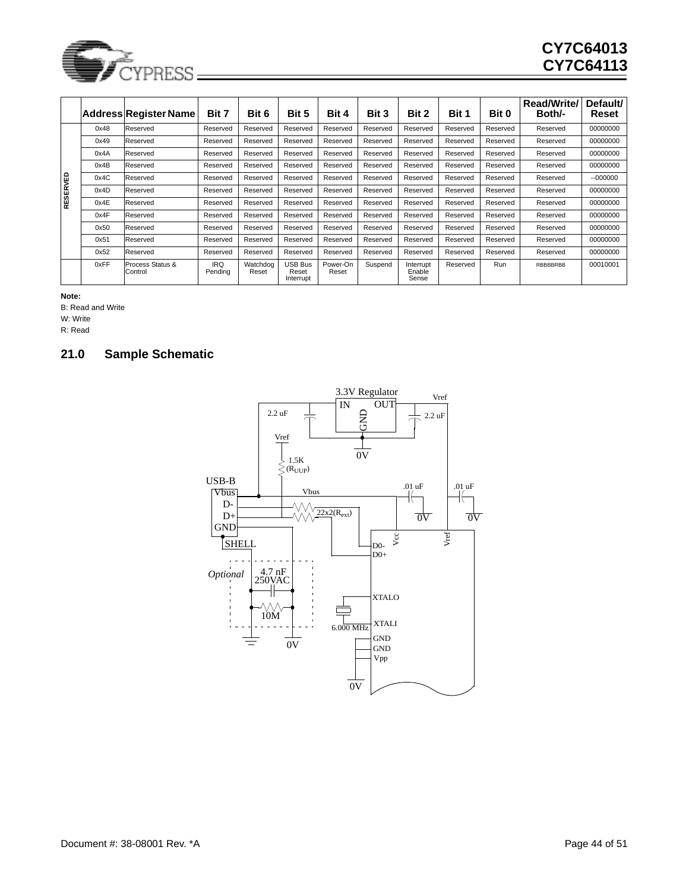

|                              |                   | <b>Address Register Name</b> | Bit 7                 | Bit 6             | Bit 5                                | Bit 4             | Bit 3    | Bit 2                        | Bit 1    | Bit 0    | Read/Write/<br>Both/- | Default/<br>Reset |
|------------------------------|-------------------|------------------------------|-----------------------|-------------------|--------------------------------------|-------------------|----------|------------------------------|----------|----------|-----------------------|-------------------|
|                              | 0x48              | Reserved                     | Reserved              | Reserved          | Reserved                             | Reserved          | Reserved | Reserved                     | Reserved | Reserved | Reserved              | 00000000          |
|                              | 0x49              | Reserved                     | Reserved              | Reserved          | Reserved                             | Reserved          | Reserved | Reserved                     | Reserved | Reserved | Reserved              | 00000000          |
|                              | 0x4A              | Reserved                     | Reserved              | Reserved          | Reserved                             | Reserved          | Reserved | Reserved                     | Reserved | Reserved | Reserved              | 00000000          |
|                              | 0x4B              | Reserved                     | Reserved              | Reserved          | Reserved                             | Reserved          | Reserved | Reserved                     | Reserved | Reserved | Reserved              | 00000000          |
|                              | 0x4C              | Reserved                     | Reserved              | Reserved          | Reserved                             | Reserved          | Reserved | Reserved                     | Reserved | Reserved | Reserved              | $-000000$         |
| RESERVED                     | 0x4D              | Reserved                     | Reserved              | Reserved          | Reserved                             | Reserved          | Reserved | Reserved                     | Reserved | Reserved | Reserved              | 00000000          |
|                              | 0x4E              | Reserved                     | Reserved              | Reserved          | Reserved                             | Reserved          | Reserved | Reserved                     | Reserved | Reserved | Reserved              | 00000000          |
|                              | 0x4F              | Reserved                     | Reserved              | Reserved          | Reserved                             | Reserved          | Reserved | Reserved                     | Reserved | Reserved | Reserved              | 00000000          |
|                              | 0x50              | Reserved                     | Reserved              | Reserved          | Reserved                             | Reserved          | Reserved | Reserved                     | Reserved | Reserved | Reserved              | 00000000          |
|                              | 0x51              | Reserved                     | Reserved              | Reserved          | Reserved                             | Reserved          | Reserved | Reserved                     | Reserved | Reserved | Reserved              | 00000000          |
|                              | 0x52              | Reserved                     | Reserved              | Reserved          | Reserved                             | Reserved          | Reserved | Reserved                     | Reserved | Reserved | Reserved              | 00000000          |
|                              | 0xFF              | Process Status &<br>Control  | <b>IRQ</b><br>Pendina | Watchdog<br>Reset | <b>USB Bus</b><br>Reset<br>Interrupt | Power-On<br>Reset | Suspend  | Interrupt<br>Enable<br>Sense | Reserved | Run      | RBBBBRBB              | 00010001          |
| Note:<br>W: Write<br>R: Read | B: Read and Write |                              |                       |                   |                                      |                   |          |                              |          |          |                       |                   |
| 21.0                         |                   | <b>Sample Schematic</b>      |                       |                   |                                      |                   |          |                              |          |          |                       |                   |

<span id="page-43-0"></span>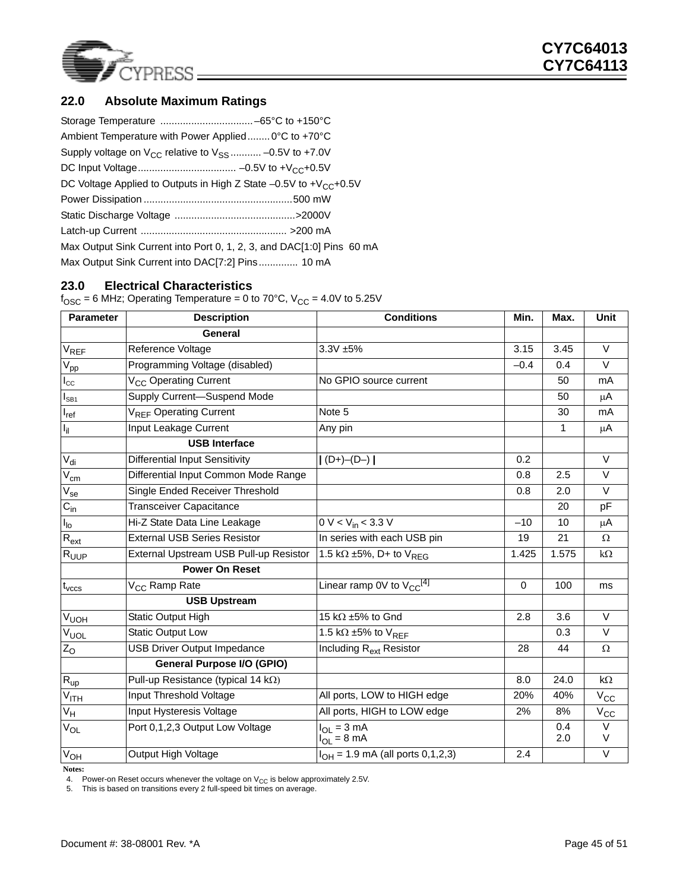

### <span id="page-44-0"></span>**22.0 Absolute Maximum Ratings**

| Ambient Temperature with Power Applied 0°C to +70°C                     |  |
|-------------------------------------------------------------------------|--|
| Supply voltage on $V_{CC}$ relative to $V_{SS}$ -0.5V to +7.0V          |  |
|                                                                         |  |
| DC Voltage Applied to Outputs in High Z State $-0.5V$ to $+V_{CC}+0.5V$ |  |
|                                                                         |  |
|                                                                         |  |
|                                                                         |  |
| Max Output Sink Current into Port 0, 1, 2, 3, and DAC[1:0] Pins 60 mA   |  |
| Max Output Sink Current into DAC[7:2] Pins 10 mA                        |  |

### <span id="page-44-1"></span>**23.0 Electrical Characteristics**

 $f<sub>OSC</sub> = 6 MHz$ ; Operating Temperature = 0 to 70°C,  $V<sub>CC</sub> = 4.0V$  to 5.25V

| <b>Parameter</b>          | <b>Description</b>                         | <b>Conditions</b>                          | Min.     | Max.       | <b>Unit</b>       |
|---------------------------|--------------------------------------------|--------------------------------------------|----------|------------|-------------------|
|                           | General                                    |                                            |          |            |                   |
| $V_{REF}$                 | Reference Voltage                          | $3.3V + 5%$                                | 3.15     | 3.45       | $\vee$            |
| $V_{\text{pp}}$           | Programming Voltage (disabled)             |                                            | $-0.4$   | 0.4        | $\vee$            |
| $I_{\rm CC}$              | V <sub>CC</sub> Operating Current          | No GPIO source current                     |          | 50         | mA                |
| $I_{SB1}$                 | Supply Current-Suspend Mode                |                                            |          | 50         | $\mu$ A           |
| $I_{ref}$                 | V <sub>RFF</sub> Operating Current         | Note 5                                     |          | 30         | mA                |
| $I_{\rm fl}$              | Input Leakage Current                      | Any pin                                    |          | 1          | $\mu$ A           |
|                           | <b>USB Interface</b>                       |                                            |          |            |                   |
| $V_{di}$                  | <b>Differential Input Sensitivity</b>      | $  (D+)-(D-)  $                            | 0.2      |            | $\vee$            |
| $V_{\text{cm}}$           | Differential Input Common Mode Range       |                                            | 0.8      | 2.5        | $\vee$            |
| $\rm V_{\rm se}$          | Single Ended Receiver Threshold            |                                            | 0.8      | 2.0        | $\vee$            |
| $C_{\text{in}}$           | <b>Transceiver Capacitance</b>             |                                            |          | 20         | pF                |
| I <sub>10</sub>           | Hi-Z State Data Line Leakage               | 0 V < V <sub>in</sub> < 3.3 V              | $-10$    | 10         | $\mu$ A           |
| $R_{ext}$                 | <b>External USB Series Resistor</b>        | In series with each USB pin                | 19       | 21         | $\Omega$          |
| $R_{UUP}$                 | External Upstream USB Pull-up Resistor     | 1.5 k $\Omega$ ±5%, D+ to V <sub>REG</sub> | 1.425    | 1.575      | $k\Omega$         |
|                           | <b>Power On Reset</b>                      |                                            |          |            |                   |
| $t_{\text{vccs}}$         | V <sub>CC</sub> Ramp Rate                  | Linear ramp 0V to $V_{CC}^{[4]}$           | $\Omega$ | 100        | ms                |
|                           | <b>USB Upstream</b>                        |                                            |          |            |                   |
| V <sub>UOH</sub>          | Static Output High                         | 15 kΩ ±5% to Gnd                           | 2.8      | 3.6        | $\vee$            |
| V <sub>UOL</sub>          | <b>Static Output Low</b>                   | 1.5 k $\Omega$ ±5% to $V_{REF}$            |          | 0.3        | V                 |
| $Z_0$                     | <b>USB Driver Output Impedance</b>         | Including R <sub>ext</sub> Resistor        | 28       | 44         | Ω                 |
|                           | <b>General Purpose I/O (GPIO)</b>          |                                            |          |            |                   |
| $R_{up}$                  | Pull-up Resistance (typical 14 $k\Omega$ ) |                                            | 8.0      | 24.0       | $k\Omega$         |
| $\overline{V}_{ITH}$      | Input Threshold Voltage                    | All ports, LOW to HIGH edge                | 20%      | 40%        | $V_{\text{CC}}$   |
| $\mathsf{V}_{\mathsf{H}}$ | Input Hysteresis Voltage                   | All ports, HIGH to LOW edge                | 2%       | 8%         | $V_{\rm CC}$      |
| $V_{OL}$                  | Port 0,1,2,3 Output Low Voltage            | $I_{OL} = 3 mA$<br>$I_{OL} = 8 \text{ mA}$ |          | 0.4<br>2.0 | V<br>V            |
| $V_{OH}$                  | Output High Voltage                        | $I_{OH}$ = 1.9 mA (all ports 0,1,2,3)      | 2.4      |            | $\overline{\vee}$ |

**Notes:**

<span id="page-44-3"></span>4. Power-on Reset occurs whenever the voltage on  $V_{CC}$  is below approximately 2.5V.<br>5. This is based on transitions every 2 full-speed bit times on average.

<span id="page-44-2"></span>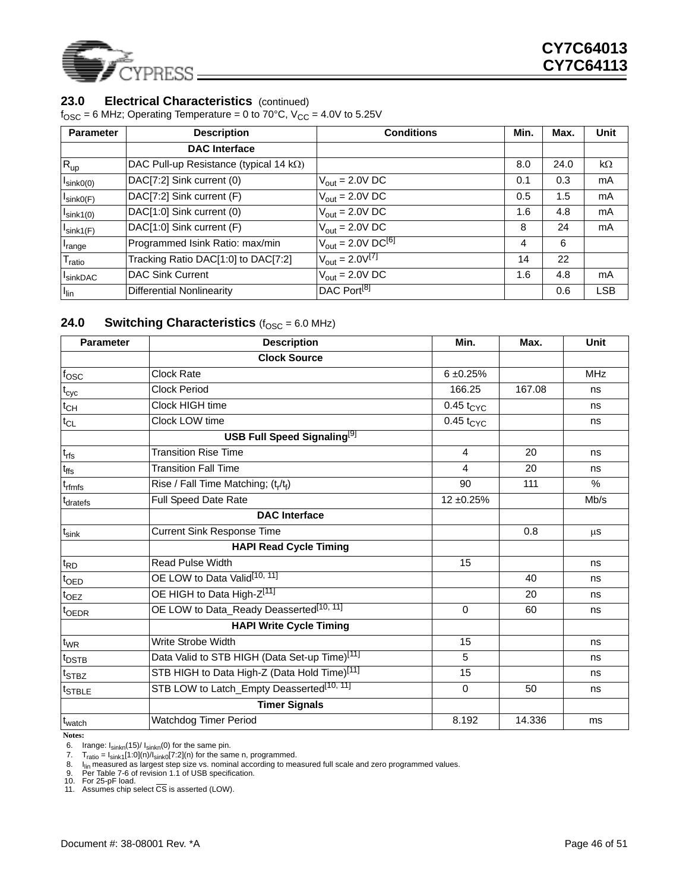

### 23.0 **Electrical Characteristics** (continued)

 $f<sub>OSC</sub> = 6 MHz$ ; Operating Temperature = 0 to 70°C,  $V<sub>CC</sub> = 4.0V$  to 5.25V

| <b>Parameter</b>      | <b>Description</b>                             | <b>Conditions</b>                               | Min. | Max. | Unit       |
|-----------------------|------------------------------------------------|-------------------------------------------------|------|------|------------|
|                       | <b>DAC</b> Interface                           |                                                 |      |      |            |
| $R_{up}$              | DAC Pull-up Resistance (typical 14 $k\Omega$ ) |                                                 | 8.0  | 24.0 | $k\Omega$  |
| $I_{\text{sink}0(0)}$ | DAC[7:2] Sink current (0)                      | $V_{\text{out}} = 2.0 V \text{ DC}$             | 0.1  | 0.3  | mA         |
| $I_{\text{sinkO(F)}}$ | DAC[7:2] Sink current (F)                      | $V_{\text{out}} = 2.0 V \text{ DC}$             | 0.5  | 1.5  | mA         |
| $I_{\text{sink1}(0)}$ | DAC[1:0] Sink current (0)                      | $V_{\text{out}} = 2.0 V \text{ DC}$             | 1.6  | 4.8  | mA         |
| $I$ sink1(F)          | DAC[1:0] Sink current (F)                      | $V_{\text{out}} = 2.0 V \text{ DC}$             | 8    | 24   | mA         |
| <sup>I</sup> range    | Programmed Isink Ratio: max/min                | $V_{\text{out}} = 2.0 \text{V} \text{DC}^{[6]}$ | 4    | 6    |            |
| <sup>I</sup> ratio    | Tracking Ratio DAC[1:0] to DAC[7:2]            | $V_{\text{out}} = 2.0 V^{[7]}$                  | 14   | 22   |            |
| <sup>I</sup> sinkDAC  | <b>DAC Sink Current</b>                        | $V_{\text{out}} = 2.0 \text{V} \cdot \text{DC}$ | 1.6  | 4.8  | mA         |
| $I_{lin}$             | Differential Nonlinearity                      | DAC Port <sup>[8]</sup>                         |      | 0.6  | <b>LSB</b> |

### **24.0 Switching Characteristics** ( $f_{\text{OSC}} = 6.0 \text{ MHz}$ )

| <b>Parameter</b>              | <b>Description</b>                                        | Min.           | Max.   | <b>Unit</b> |
|-------------------------------|-----------------------------------------------------------|----------------|--------|-------------|
|                               | <b>Clock Source</b>                                       |                |        |             |
| $f_{\rm OSC}$                 | Clock Rate                                                | $6 + 0.25%$    |        | MHz         |
| $t_{\rm cyc}$                 | <b>Clock Period</b>                                       | 166.25         | 167.08 | ns          |
| $t_{CH}$                      | Clock HIGH time                                           | $0.45 t_{CYC}$ |        | ns          |
| $t_{CL}$                      | Clock LOW time                                            | $0.45 t_{CYC}$ |        | ns          |
|                               | <b>USB Full Speed Signaling</b> <sup>[9]</sup>            |                |        |             |
| $t_{\text{rfs}}$              | <b>Transition Rise Time</b>                               | $\overline{4}$ | 20     | ns          |
| t <sub>ffs</sub>              | <b>Transition Fall Time</b>                               | 4              | 20     | ns          |
| t <sub>rfmfs</sub>            | Rise / Fall Time Matching; $(t_r/t_f)$                    | 90             | 111    | $\%$        |
| t <sub>dratefs</sub>          | Full Speed Date Rate                                      | 12 ±0.25%      |        | Mb/s        |
|                               | <b>DAC</b> Interface                                      |                |        |             |
| $t_{\sf sink}$                | <b>Current Sink Response Time</b>                         |                | 0.8    | $\mu$ S     |
|                               | <b>HAPI Read Cycle Timing</b>                             |                |        |             |
| $t_{\mathsf{RD}}$             | Read Pulse Width                                          | 15             |        | ns          |
| $t_{\sf OED}$                 | OE LOW to Data Valid <sup>[10, 11]</sup>                  |                | 40     | ns          |
| $t$ <sub>OEZ</sub>            | OE HIGH to Data High-Z <sup>[11]</sup>                    |                | 20     | ns          |
| t <sub>OEDR</sub>             | OE LOW to Data_Ready Deasserted <sup>[10, 11]</sup>       | $\Omega$       | 60     | ns          |
|                               | <b>HAPI Write Cycle Timing</b>                            |                |        |             |
| $t_{WR}$                      | Write Strobe Width                                        | 15             |        | ns          |
| t <sub>DSTB</sub>             | Data Valid to STB HIGH (Data Set-up Time) <sup>[11]</sup> | 5              |        | ns          |
| $t_{\sf STBZ}$                | STB HIGH to Data High-Z (Data Hold Time)[11]              | 15             |        | ns          |
| $\mathsf{t}_{\textsf{STBLE}}$ | STB LOW to Latch_Empty Deasserted <sup>[10, 11]</sup>     | $\Omega$       | 50     | ns          |
|                               | <b>Timer Signals</b>                                      |                |        |             |
| $t_{\text{watch}}$            | <b>Watchdog Timer Period</b>                              | 8.192          | 14.336 | ms          |

**Notes:**

<span id="page-45-2"></span>6. Irange: I<sub>sinkn</sub>(15)/ I<sub>sinkn</sub>(0) for the same pin.

<span id="page-45-3"></span>7.  $T_{ratio} = I_{sink1}[1:0](n)/I_{sink0}[7:2](n)$  for the same n, programmed.

<span id="page-45-4"></span>8. I<sub>lin</sub> measured as largest step size vs. nominal according to measured full scale and zero programmed values.<br>9. Per Table 7-6 of revision 1.1 of USB specification.<br>10. For 25-pF load.

<span id="page-45-0"></span>

<span id="page-45-1"></span>

<span id="page-45-5"></span>11. Assumes chip select  $\overline{CS}$  is asserted (LOW).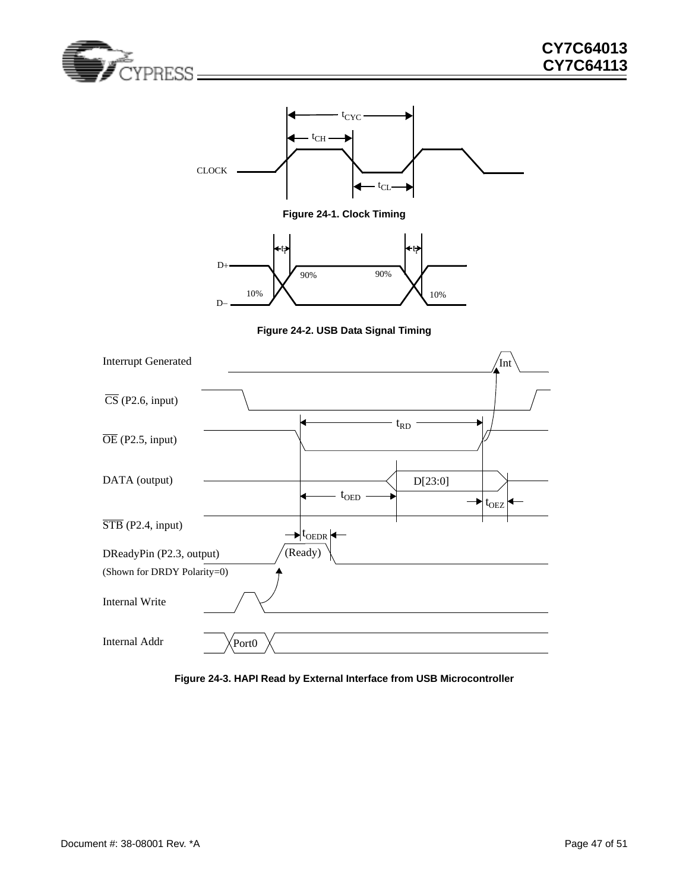



**Figure 24-1. Clock Timing**



**Figure 24-2. USB Data Signal Timing**

<span id="page-46-1"></span><span id="page-46-0"></span>

<span id="page-46-2"></span>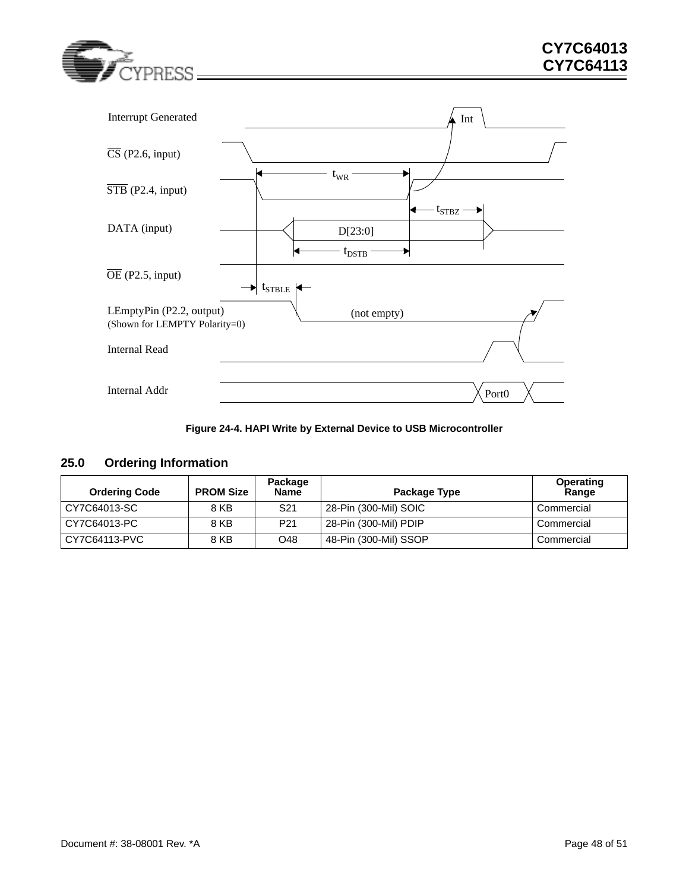



### <span id="page-47-1"></span>**Figure 24-4. HAPI Write by External Device to USB Microcontroller**

### <span id="page-47-0"></span>**25.0 Ordering Information**

| <b>Ordering Code</b> | <b>PROM Size</b> | Package<br>Name | Package Type          | Operating<br>Range |
|----------------------|------------------|-----------------|-----------------------|--------------------|
| CY7C64013-SC         | 8 KB             | S <sub>21</sub> | 28-Pin (300-Mil) SOIC | Commercial         |
| CY7C64013-PC         | 8 KB             | P <sub>21</sub> | 28-Pin (300-Mil) PDIP | Commercial         |
| CY7C64113-PVC        | 8 KB             | O48             | 48-Pin (300-Mil) SSOP | Commercial         |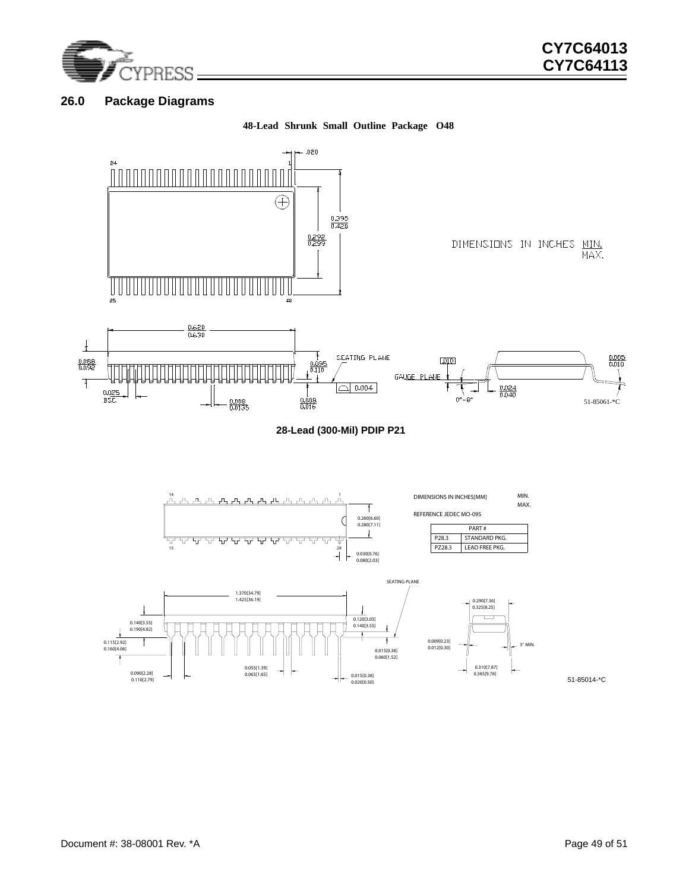

### <span id="page-48-0"></span>**26.0 Package Diagrams**

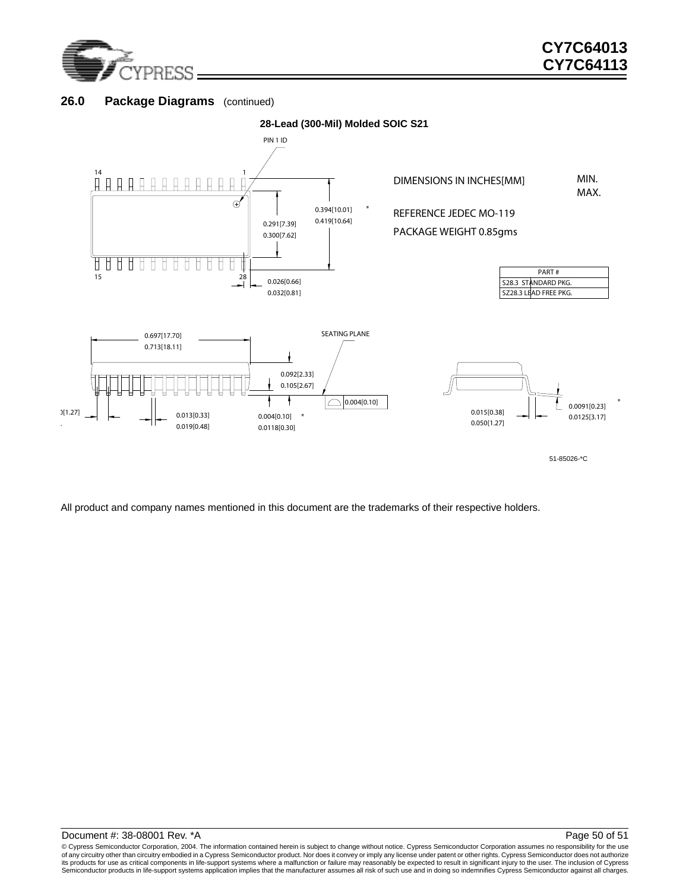

.

### 26.0 Package Diagrams (continued)



51-85026-\*C

All product and company names mentioned in this document are the trademarks of their respective holders.

© Cypress Semiconductor Corporation, 2004. The information contained herein is subject to change without notice. Cypress Semiconductor Corporation assumes no responsibility for the use<br>of any circuitry other than circuitry